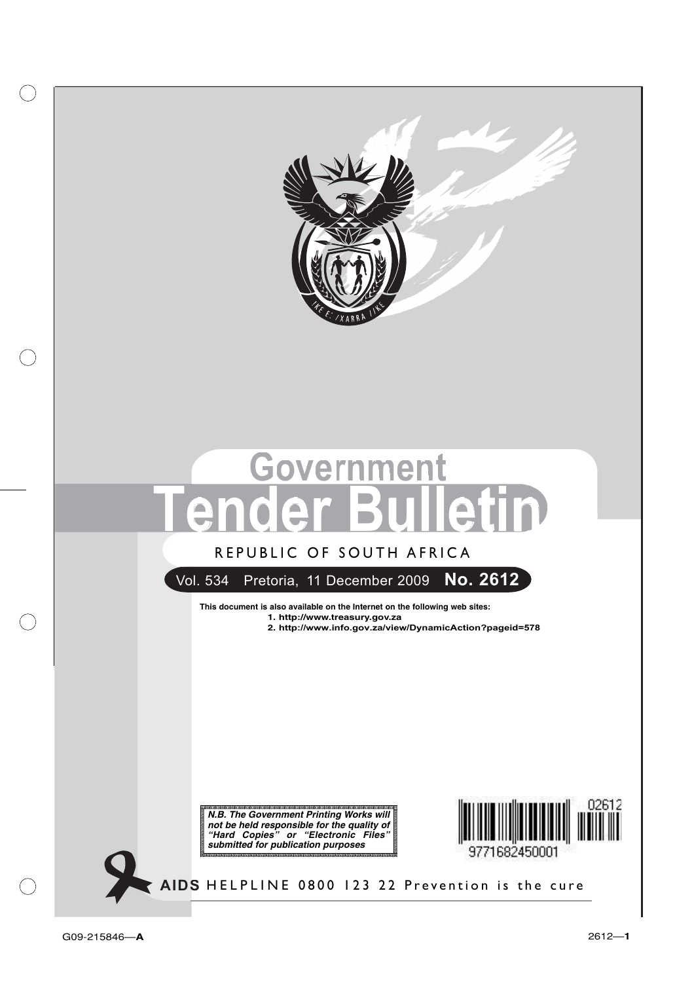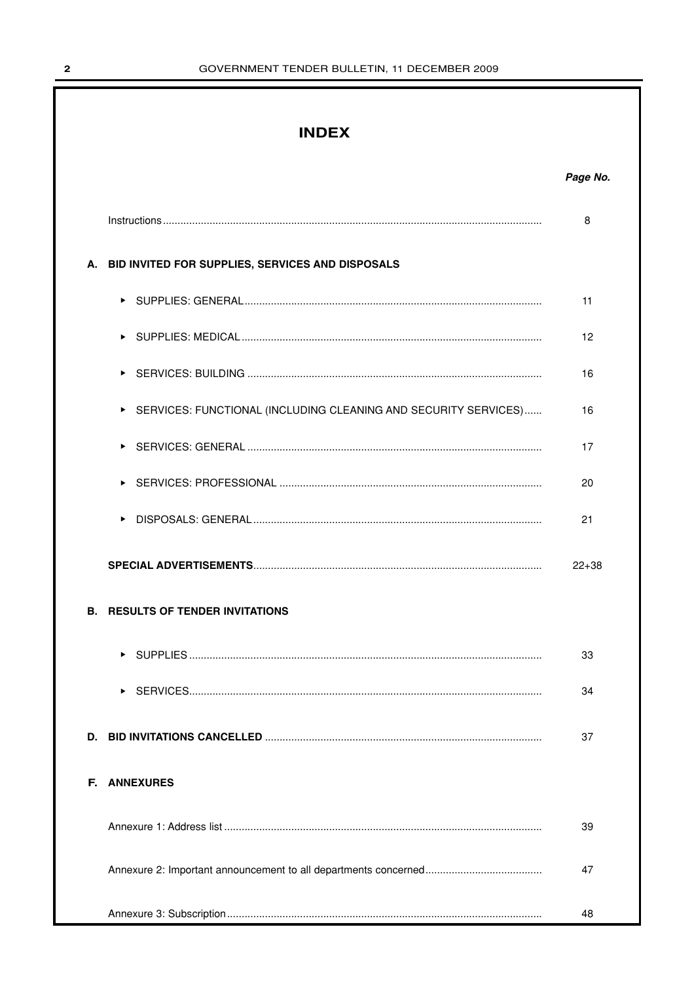### **INDEX**

|                                                                      | Page No.  |
|----------------------------------------------------------------------|-----------|
|                                                                      | 8         |
| A. BID INVITED FOR SUPPLIES, SERVICES AND DISPOSALS                  |           |
|                                                                      | 11        |
|                                                                      | 12        |
|                                                                      | 16        |
| SERVICES: FUNCTIONAL (INCLUDING CLEANING AND SECURITY SERVICES)<br>▶ | 16        |
|                                                                      | 17        |
|                                                                      | 20        |
|                                                                      | 21        |
|                                                                      | $22 + 38$ |
| <b>B. RESULTS OF TENDER INVITATIONS</b>                              |           |
|                                                                      | 33        |
|                                                                      | 34        |
|                                                                      | 37        |
| <b>F. ANNEXURES</b>                                                  |           |
|                                                                      | 39        |
|                                                                      | 47        |
|                                                                      | 48        |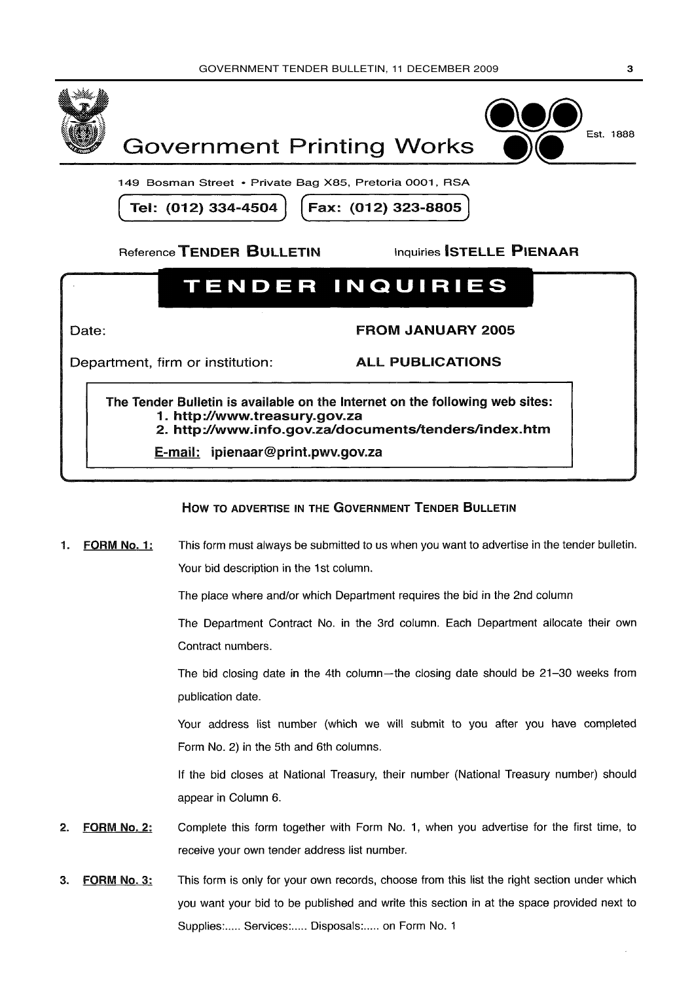

#### HOW TO ADVERTISE IN THE GOVERNMENT TENDER BULLETIN

FORM No. 1: This form must always be submitted to us when you want to advertise in the tender bulletin. 1. Your bid description in the 1st column.

The place where and/or which Department requires the bid in the 2nd column

The Department Contract No. in the 3rd column. Each Department allocate their own Contract numbers.

The bid closing date in the 4th column—the closing date should be 21-30 weeks from publication date.

Your address list number (which we will submit to you after you have completed Form No. 2) in the 5th and 6th columns.

If the bid closes at National Treasury, their number (National Treasury number) should appear in Column 6.

- Complete this form together with Form No. 1, when you advertise for the first time, to **FORM No. 2:**  $\mathbf{2}$ receive your own tender address list number.
- **FORM No. 3:** This form is only for your own records, choose from this list the right section under which 3. you want your bid to be published and write this section in at the space provided next to Supplies:..... Services:..... Disposals:..... on Form No. 1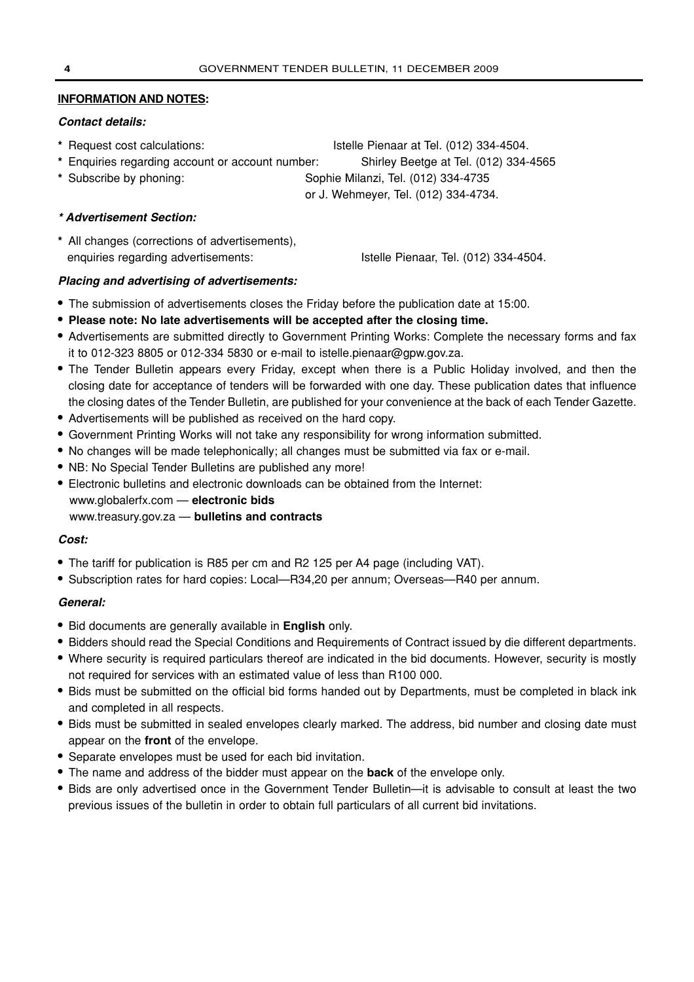#### **INFORMATION AND NOTES:**

#### **Contact details:**

- **\*** Request cost calculations: Istelle Pienaar at Tel. (012) 334-4504.
- **\*** Enquiries regarding account or account number: Shirley Beetge at Tel. (012) 334-4565
- **\*** Subscribe by phoning: Sophie Milanzi, Tel. (012) 334-4735

or J. Wehmeyer, Tel. (012) 334-4734.

### **\* Advertisement Section:**

**\*** All changes (corrections of advertisements), enquiries regarding advertisements: Istelle Pienaar, Tel. (012) 334-4504.

#### **Placing and advertising of advertisements:**

- **•** The submission of advertisements closes the Friday before the publication date at 15:00.
- **• Please note: No late advertisements will be accepted after the closing time.**
- **•** Advertisements are submitted directly to Government Printing Works: Complete the necessary forms and fax it to 012-323 8805 or 012-334 5830 or e-mail to istelle.pienaar@gpw.gov.za.
- **•** The Tender Bulletin appears every Friday, except when there is a Public Holiday involved, and then the closing date for acceptance of tenders will be forwarded with one day. These publication dates that influence the closing dates of the Tender Bulletin, are published for your convenience at the back of each Tender Gazette.
- **•** Advertisements will be published as received on the hard copy.
- **•** Government Printing Works will not take any responsibility for wrong information submitted.
- **•** No changes will be made telephonically; all changes must be submitted via fax or e-mail.
- **•** NB: No Special Tender Bulletins are published any more!
- **•** Electronic bulletins and electronic downloads can be obtained from the Internet:
	- www.globalerfx.com **electronic bids**

www.treasury.gov.za — **bulletins and contracts**

#### **Cost:**

- **•** The tariff for publication is R85 per cm and R2 125 per A4 page (including VAT).
- **•** Subscription rates for hard copies: Local—R34,20 per annum; Overseas—R40 per annum.

#### **General:**

- **•** Bid documents are generally available in **English** only.
- **•** Bidders should read the Special Conditions and Requirements of Contract issued by die different departments.
- **•** Where security is required particulars thereof are indicated in the bid documents. However, security is mostly not required for services with an estimated value of less than R100 000.
- **•** Bids must be submitted on the official bid forms handed out by Departments, must be completed in black ink and completed in all respects.
- **•** Bids must be submitted in sealed envelopes clearly marked. The address, bid number and closing date must appear on the **front** of the envelope.
- **•** Separate envelopes must be used for each bid invitation.
- **•** The name and address of the bidder must appear on the **back** of the envelope only.
- **•** Bids are only advertised once in the Government Tender Bulletin—it is advisable to consult at least the two previous issues of the bulletin in order to obtain full particulars of all current bid invitations.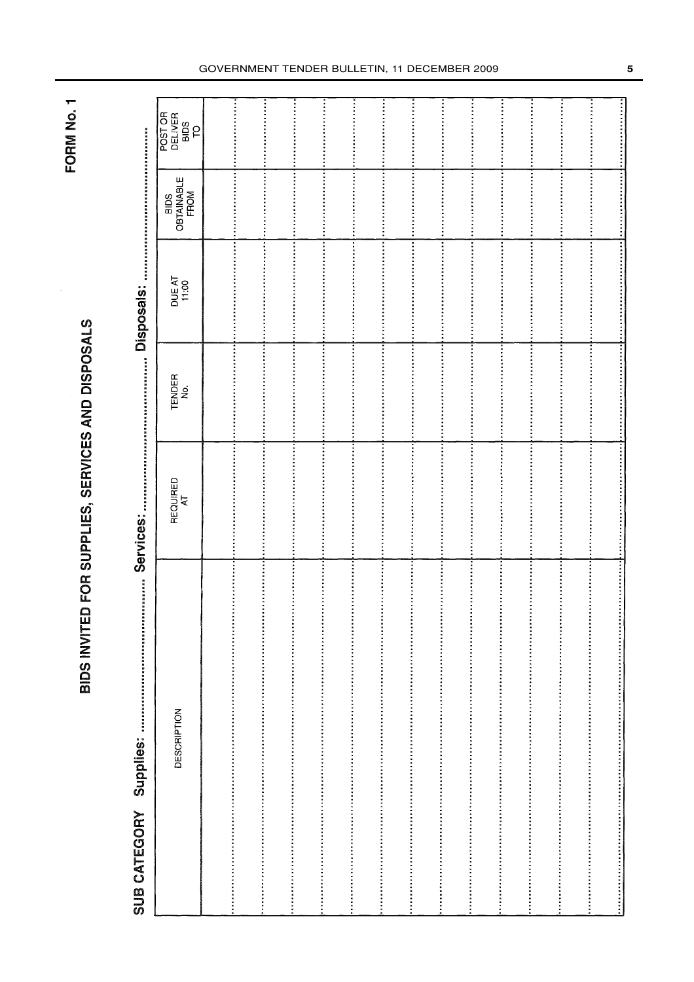BIDS INVITED FOR SUPPLIES, SERVICES AND DISPOSALS

FORM No. 1

|                                                                                                                   | REQUIRED<br>AT | <b>TENDER</b><br>g            | DUE AT<br>11:00 | BIDS<br>  OBTAINABLE  <br>FROM | POST OR<br>DELIVER<br>BIDS<br>TO |
|-------------------------------------------------------------------------------------------------------------------|----------------|-------------------------------|-----------------|--------------------------------|----------------------------------|
|                                                                                                                   |                |                               |                 |                                |                                  |
|                                                                                                                   |                |                               |                 |                                |                                  |
|                                                                                                                   |                | ,,,,,,,,,,,,,,,,,,,,,,,,,,,,, |                 |                                |                                  |
|                                                                                                                   |                |                               | -<br> -<br> -   |                                |                                  |
|                                                                                                                   |                |                               |                 |                                |                                  |
| ти предлагает по предлагает на предлагает на продукции податки продажения по простояния по предлагает по предлага |                |                               |                 |                                |                                  |

#### GOVERNMENT TENDER BULLETIN, 11 DECEMBER 2009 **5**

*<u><u><del>THEFT</u>*</u></u></u></del>

-<br>-<br>-<br>-

:<br>:<br>:<br>:<br>:<br><br><br><br><br><br><br><br><br><br>

 $\ddot{}}$ 

,但是的生活的时候的时候的时候的时候的时候,我们的时候的时候的时候,我们的时候,我们的时候就是我们的时候,我们的时候,我们的时候就是我们的时候,我们的时候就是我们的时候,我们的时候也是

j

i<br>Samuel San

Ì

 $\begin{bmatrix} 1 \\ 1 \\ 2 \\ 3 \\ 4 \end{bmatrix}$ 

Ĭ

*<u><u>Altressed</u>*</u>

j

:<br>:<br>:<br>:

 $\begin{bmatrix} 1 \\ 1 \\ 2 \end{bmatrix}$ 

in the company of the company of the company of the company of the company of the company of the company of the company of the company of the company of the company of the company of the company of the company of the compa

 $\vdots$ 

Ì

j

 $\frac{1}{2}$ 

i<br>:<br>:<br>:

:<br>:<br>:

Ì

İ

j

..........

:<br>:<br>:<br>:

š

:<br>:<br>:<br>:

Î

 $\begin{array}{c}\n\vdots \\
\vdots \\
\vdots\n\end{array}$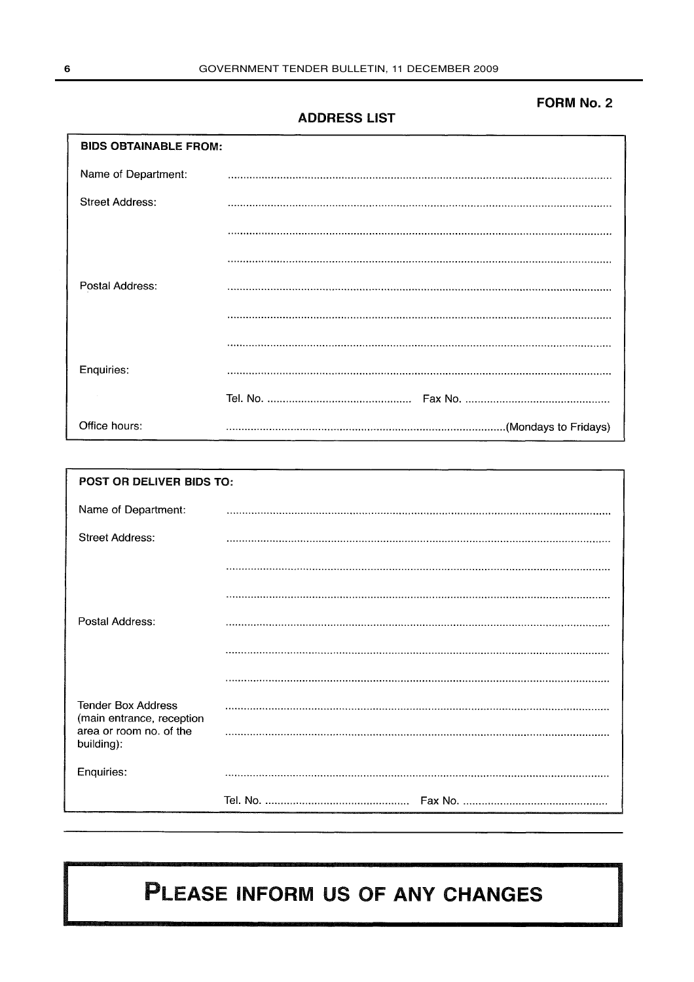### FORM No. 2

**ADDRESS LIST** 

| <b>BIDS OBTAINABLE FROM:</b> |                       |
|------------------------------|-----------------------|
| Name of Department:          |                       |
| <b>Street Address:</b>       |                       |
|                              |                       |
|                              |                       |
| Postal Address:              |                       |
|                              |                       |
|                              |                       |
| Enquiries:                   |                       |
|                              |                       |
| Office hours:                | (Mondays to Fridays). |

| POST OR DELIVER BIDS TO:                               |  |  |  |  |  |  |
|--------------------------------------------------------|--|--|--|--|--|--|
| Name of Department:                                    |  |  |  |  |  |  |
| <b>Street Address:</b>                                 |  |  |  |  |  |  |
|                                                        |  |  |  |  |  |  |
|                                                        |  |  |  |  |  |  |
| Postal Address:                                        |  |  |  |  |  |  |
|                                                        |  |  |  |  |  |  |
|                                                        |  |  |  |  |  |  |
| <b>Tender Box Address</b><br>(main entrance, reception |  |  |  |  |  |  |
| area or room no, of the<br>building):                  |  |  |  |  |  |  |
| Enquiries:                                             |  |  |  |  |  |  |
|                                                        |  |  |  |  |  |  |

## PLEASE INFORM US OF ANY CHANGES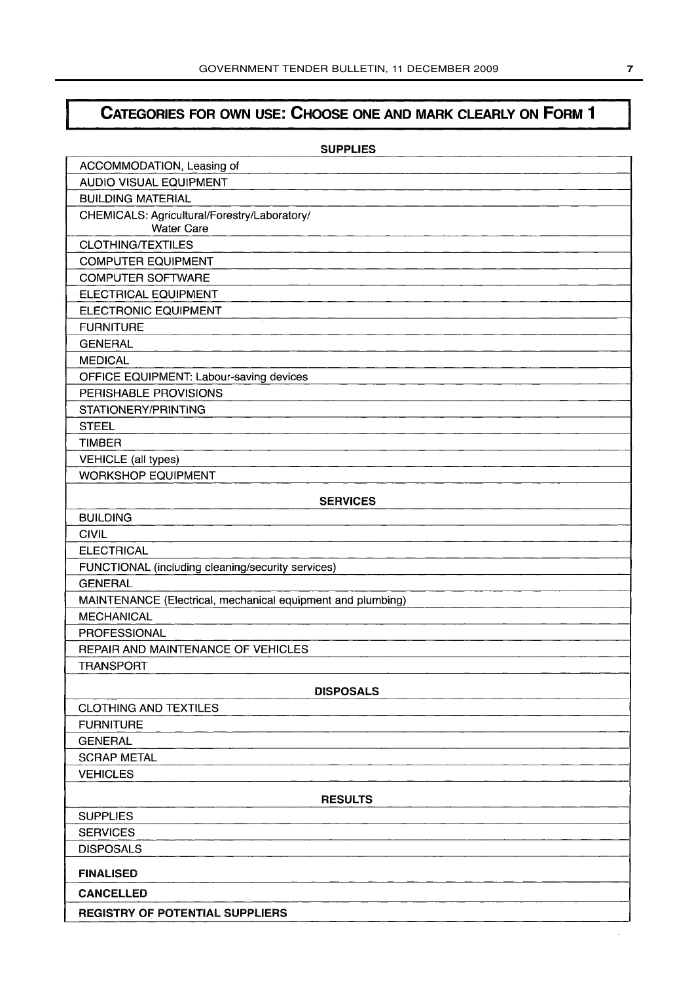## CATEGORIES FOR OWN USE: CHOOSE ONE AND MARK CLEARLY ON FORM 1

| <b>SUPPLIES</b>                                                   |
|-------------------------------------------------------------------|
| ACCOMMODATION, Leasing of                                         |
| <b>AUDIO VISUAL EQUIPMENT</b>                                     |
| <b>BUILDING MATERIAL</b>                                          |
| CHEMICALS: Agricultural/Forestry/Laboratory/<br><b>Water Care</b> |
| <b>CLOTHING/TEXTILES</b>                                          |
| <b>COMPUTER EQUIPMENT</b>                                         |
| <b>COMPUTER SOFTWARE</b>                                          |
| <b>ELECTRICAL EQUIPMENT</b>                                       |
| <b>ELECTRONIC EQUIPMENT</b>                                       |
| <b>FURNITURE</b>                                                  |
| <b>GENERAL</b>                                                    |
| <b>MEDICAL</b>                                                    |
| OFFICE EQUIPMENT: Labour-saving devices                           |
| PERISHABLE PROVISIONS                                             |
| STATIONERY/PRINTING                                               |
| <b>STEEL</b>                                                      |
| <b>TIMBER</b>                                                     |
| <b>VEHICLE</b> (all types)                                        |
| <b>WORKSHOP EQUIPMENT</b>                                         |
| <b>SERVICES</b>                                                   |
| <b>BUILDING</b>                                                   |
| <b>CIVIL</b>                                                      |
| <b>ELECTRICAL</b>                                                 |
| FUNCTIONAL (including cleaning/security services)                 |
| <b>GENERAL</b>                                                    |
| MAINTENANCE (Electrical, mechanical equipment and plumbing)       |
| <b>MECHANICAL</b>                                                 |
| PROFESSIONAL                                                      |
| REPAIR AND MAINTENANCE OF VEHICLES                                |
| <b>TRANSPORT</b>                                                  |
| <b>DISPOSALS</b>                                                  |
| <b>CLOTHING AND TEXTILES</b>                                      |
| <b>FURNITURE</b>                                                  |
| <b>GENERAL</b>                                                    |
| <b>SCRAP METAL</b>                                                |
| <b>VEHICLES</b>                                                   |
| <b>RESULTS</b>                                                    |
| <b>SUPPLIES</b>                                                   |
| <b>SERVICES</b>                                                   |
| <b>DISPOSALS</b>                                                  |
|                                                                   |
| <b>FINALISED</b>                                                  |
| <b>CANCELLED</b>                                                  |
| <b>REGISTRY OF POTENTIAL SUPPLIERS</b>                            |

 $\bar{\bar{z}}$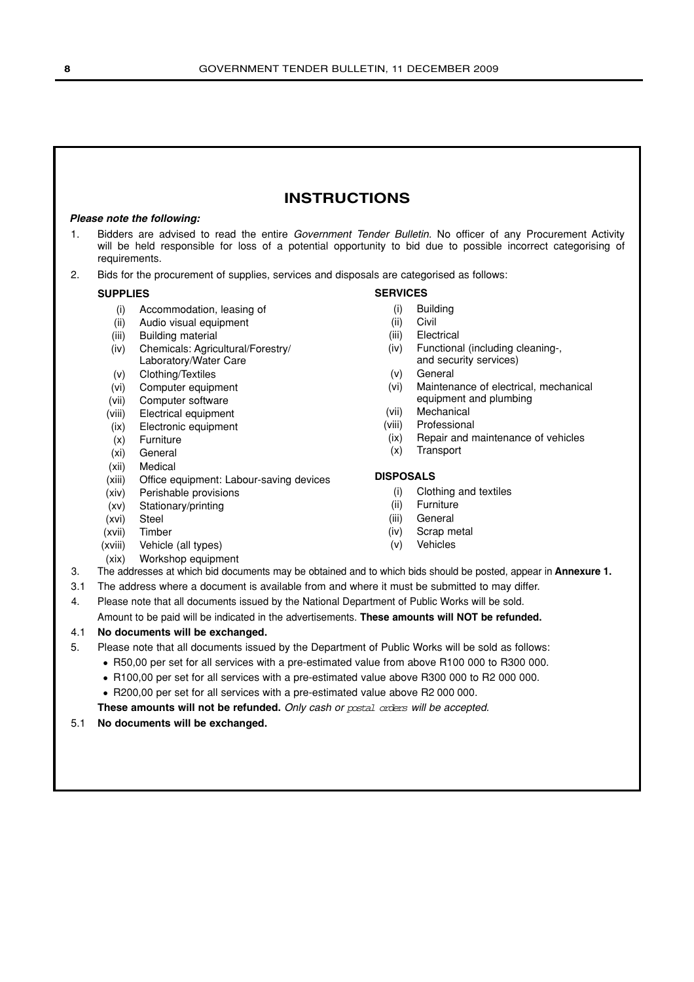### **INSTRUCTIONS**

#### **Please note the following:**

- 1. Bidders are advised to read the entire *Government Tender Bulletin.* No officer of any Procurement Activity will be held responsible for loss of a potential opportunity to bid due to possible incorrect categorising of requirements.
- 2. Bids for the procurement of supplies, services and disposals are categorised as follows:

#### **SUPPLIES**

- (i) Accommodation, leasing of
- (ii) Audio visual equipment
- (iii) Building material
- (iv) Chemicals: Agricultural/Forestry/ Laboratory/Water Care
- (v) Clothing/Textiles
- (vi) Computer equipment
- (vii) Computer software
- (viii) Electrical equipment
- (ix) Electronic equipment
- (x) Furniture
- (xi) General
- (xii) Medical
- (xiii) Office equipment: Labour-saving devices
- (xiv) Perishable provisions
- (xv) Stationary/printing
- (xvi) Steel
- (xvii) Timber
- (xviii) Vehicle (all types)
- (xix) Workshop equipment

- (i) Building
- (ii) Civil<br>(iii) Elec
- Electrical
- (iv) Functional (including cleaning-, and security services)
- (v) General
- (vi) Maintenance of electrical, mechanical equipment and plumbing
- (vii) Mechanical
- (viii) Professional
- (ix) Repair and maintenance of vehicles
- (x) Transport

#### **DISPOSALS**

- (i) Clothing and textiles
- (ii) Furniture
- (iii) General
- (iv) Scrap metal
- (v) Vehicles
- 
- 3. The addresses at which bid documents may be obtained and to which bids should be posted, appear in **Annexure 1.**
- 3.1 The address where a document is available from and where it must be submitted to may differ.
- 4. Please note that all documents issued by the National Department of Public Works will be sold.

Amount to be paid will be indicated in the advertisements. **These amounts will NOT be refunded.**

#### 4.1 **No documents will be exchanged.**

- 5. Please note that all documents issued by the Department of Public Works will be sold as follows:
	- R50,00 per set for all services with a pre-estimated value from above R100 000 to R300 000.
	- R100,00 per set for all services with a pre-estimated value above R300 000 to R2 000 000.
	- R200,00 per set for all services with a pre-estimated value above R2 000 000.

**These amounts will not be refunded.** *Only cash or* postal orders *will be accepted.*

#### 5.1 **No documents will be exchanged.**

**SERVICES**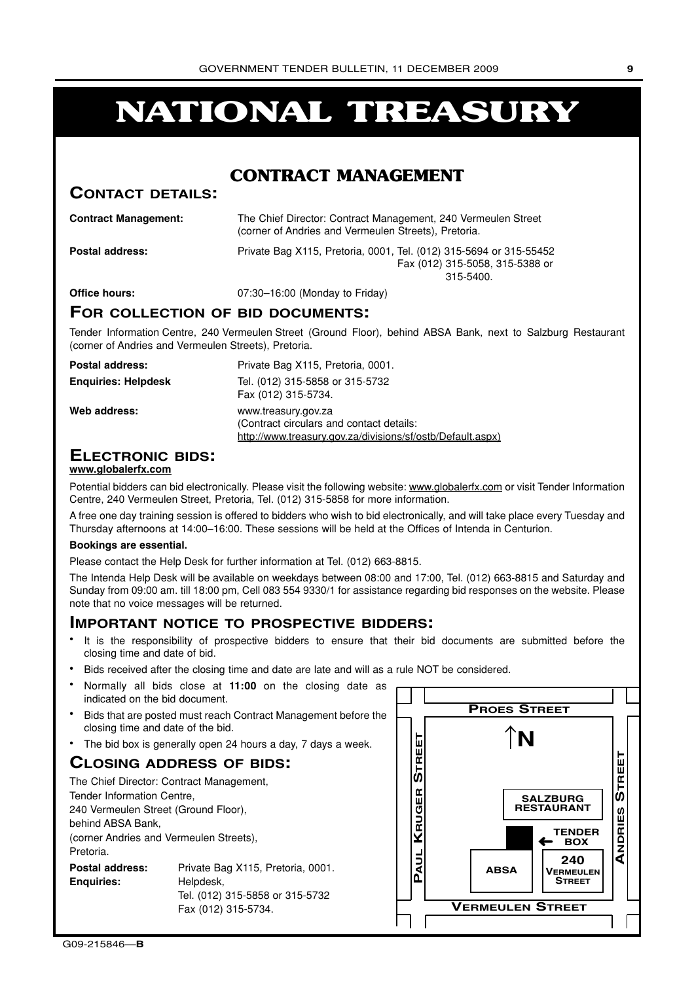# **NATIONAL TREASURY**

### **CONTRACT MANAGEMENT**

### **CONTACT DETAILS:**

| <b>Contract Management:</b> | The Chief Director: Contract Management, 240 Vermeulen Street<br>(corner of Andries and Vermeulen Streets), Pretoria. |
|-----------------------------|-----------------------------------------------------------------------------------------------------------------------|
| <b>Postal address:</b>      | Private Bag X115, Pretoria, 0001, Tel. (012) 315-5694 or 315-55452<br>Fax (012) 315-5058, 315-5388 or<br>315-5400.    |
| Office hours:               | 07:30-16:00 (Monday to Friday)                                                                                        |

### **FOR COLLECTION OF BID DOCUMENTS:**

Tender Information Centre, 240 Vermeulen Street (Ground Floor), behind ABSA Bank, next to Salzburg Restaurant (corner of Andries and Vermeulen Streets), Pretoria.

| <b>Postal address:</b>     | Private Bag X115, Pretoria, 0001.                                                                                             |
|----------------------------|-------------------------------------------------------------------------------------------------------------------------------|
| <b>Enguiries: Helpdesk</b> | Tel. (012) 315-5858 or 315-5732<br>Fax (012) 315-5734.                                                                        |
| Web address:               | www.treasury.gov.za<br>(Contract circulars and contact details:<br>http://www.treasury.gov.za/divisions/sf/ostb/Default.aspx) |

### **ELECTRONIC BIDS:**

#### **www.globalerfx.com**

Potential bidders can bid electronically. Please visit the following website: www.globalerfx.com or visit Tender Information Centre, 240 Vermeulen Street, Pretoria, Tel. (012) 315-5858 for more information.

A free one day training session is offered to bidders who wish to bid electronically, and will take place every Tuesday and Thursday afternoons at 14:00–16:00. These sessions will be held at the Offices of Intenda in Centurion.

#### **Bookings are essential.**

Please contact the Help Desk for further information at Tel. (012) 663-8815.

The Intenda Help Desk will be available on weekdays between 08:00 and 17:00, Tel. (012) 663-8815 and Saturday and Sunday from 09:00 am. till 18:00 pm, Cell 083 554 9330/1 for assistance regarding bid responses on the website. Please note that no voice messages will be returned.

### **IMPORTANT NOTICE TO PROSPECTIVE BIDDERS:**

- It is the responsibility of prospective bidders to ensure that their bid documents are submitted before the closing time and date of bid.
- Bids received after the closing time and date are late and will as a rule NOT be considered.
- Normally all bids close at **11:00** on the closing date as indicated on the bid document.
- Bids that are posted must reach Contract Management before the closing time and date of the bid.
- The bid box is generally open 24 hours a day, 7 days a week.

### **CLOSING ADDRESS OF BIDS:**

| The Chief Director: Contract Management, |                                   |  |  |  |  |
|------------------------------------------|-----------------------------------|--|--|--|--|
| Tender Information Centre,               |                                   |  |  |  |  |
| 240 Vermeulen Street (Ground Floor),     |                                   |  |  |  |  |
| behind ABSA Bank,                        |                                   |  |  |  |  |
| (corner Andries and Vermeulen Streets),  |                                   |  |  |  |  |
| Pretoria.                                |                                   |  |  |  |  |
| Postal address:                          | Private Bag X115, Pretoria, 0001. |  |  |  |  |
| <b>Enquiries:</b>                        | Helpdesk,                         |  |  |  |  |
|                                          | Tel. (012) 315-5858 or 315-5732   |  |  |  |  |
|                                          | Fax (012) 315-5734.               |  |  |  |  |

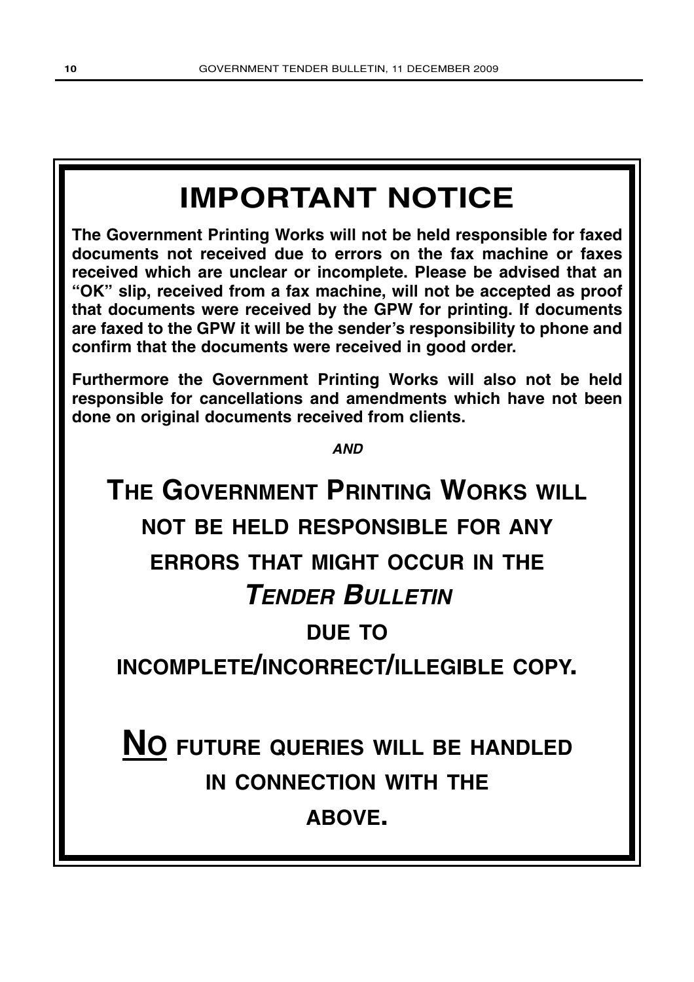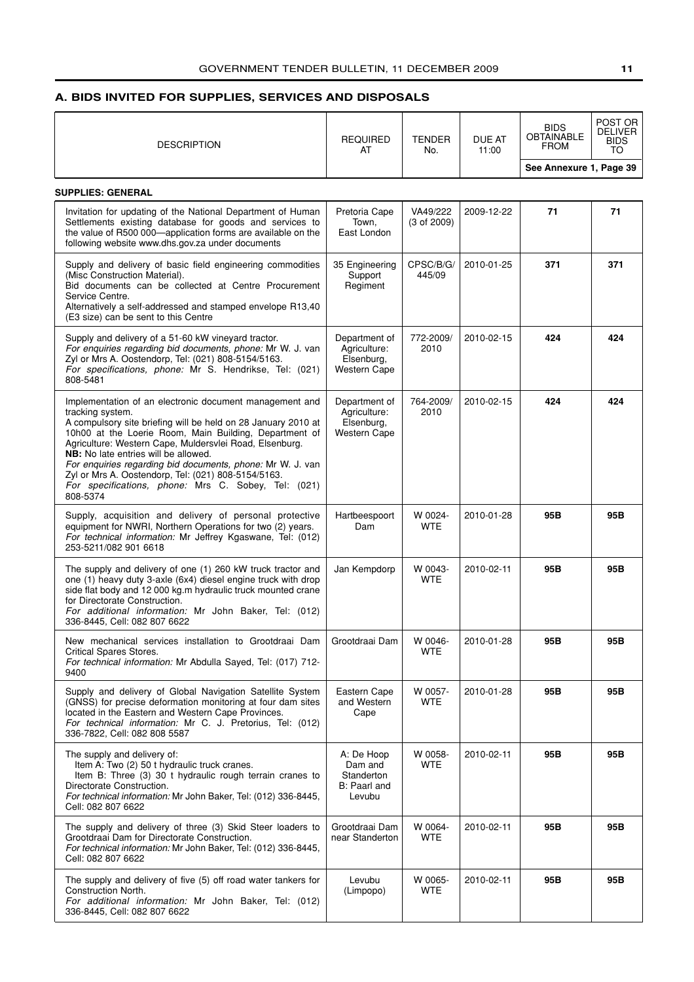### <span id="page-10-0"></span>**A. BIDS INVITED FOR SUPPLIES, SERVICES AND DISPOSALS**

| <b>DESCRIPTION</b>                                                                                                                                                                                                                                                                                                                                                                                                                                                                                | <b>REQUIRED</b><br>AT                                         | <b>TENDER</b><br>No.               | DUE AT<br>11:00 | <b>BIDS</b><br><b>OBTAINABLE</b><br><b>FROM</b> | POST OR<br><b>DELIVER</b><br><b>BIDS</b><br>TO |
|---------------------------------------------------------------------------------------------------------------------------------------------------------------------------------------------------------------------------------------------------------------------------------------------------------------------------------------------------------------------------------------------------------------------------------------------------------------------------------------------------|---------------------------------------------------------------|------------------------------------|-----------------|-------------------------------------------------|------------------------------------------------|
|                                                                                                                                                                                                                                                                                                                                                                                                                                                                                                   |                                                               |                                    |                 | See Annexure 1, Page 39                         |                                                |
| <b>SUPPLIES: GENERAL</b>                                                                                                                                                                                                                                                                                                                                                                                                                                                                          |                                                               |                                    |                 |                                                 |                                                |
| Invitation for updating of the National Department of Human<br>Settlements existing database for goods and services to<br>the value of R500 000-application forms are available on the<br>following website www.dhs.gov.za under documents                                                                                                                                                                                                                                                        | Pretoria Cape<br>Town,<br>East London                         | VA49/222<br>$(3 \text{ of } 2009)$ | 2009-12-22      | 71                                              | 71                                             |
| Supply and delivery of basic field engineering commodities<br>(Misc Construction Material).<br>Bid documents can be collected at Centre Procurement<br>Service Centre.<br>Alternatively a self-addressed and stamped envelope R13,40<br>(E3 size) can be sent to this Centre                                                                                                                                                                                                                      | 35 Engineering<br>Support<br>Regiment                         | CPSC/B/G/<br>445/09                | 2010-01-25      | 371                                             | 371                                            |
| Supply and delivery of a 51-60 kW vineyard tractor.<br>For enquiries regarding bid documents, phone: Mr W. J. van<br>Zyl or Mrs A. Oostendorp, Tel: (021) 808-5154/5163.<br>For specifications, phone: Mr S. Hendrikse, Tel: (021)<br>808-5481                                                                                                                                                                                                                                                    | Department of<br>Agriculture:<br>Elsenburg,<br>Western Cape   | 772-2009/<br>2010                  | 2010-02-15      | 424                                             | 424                                            |
| Implementation of an electronic document management and<br>tracking system.<br>A compulsory site briefing will be held on 28 January 2010 at<br>10h00 at the Loerie Room, Main Building, Department of<br>Agriculture: Western Cape, Muldersvlei Road, Elsenburg.<br>NB: No late entries will be allowed.<br>For enquiries regarding bid documents, phone: Mr W. J. van<br>Zyl or Mrs A. Oostendorp, Tel: (021) 808-5154/5163.<br>For specifications, phone: Mrs C. Sobey, Tel: (021)<br>808-5374 | Department of<br>Agriculture:<br>Elsenburg,<br>Western Cape   | 764-2009/<br>2010                  | 2010-02-15      | 424                                             | 424                                            |
| Supply, acquisition and delivery of personal protective<br>equipment for NWRI, Northern Operations for two (2) years.<br>For technical information: Mr Jeffrey Kgaswane, Tel: (012)<br>253-5211/082 901 6618                                                                                                                                                                                                                                                                                      | Hartbeespoort<br>Dam                                          | W 0024-<br><b>WTE</b>              | 2010-01-28      | 95B                                             | 95B                                            |
| The supply and delivery of one (1) 260 kW truck tractor and<br>one (1) heavy duty 3-axle (6x4) diesel engine truck with drop<br>side flat body and 12 000 kg.m hydraulic truck mounted crane<br>for Directorate Construction.<br>For additional information: Mr John Baker, Tel: (012)<br>336-8445, Cell: 082 807 6622                                                                                                                                                                            | Jan Kempdorp                                                  | W 0043-<br><b>WTE</b>              | 2010-02-11      | 95B                                             | 95B                                            |
| New mechanical services installation to Grootdraai Dam<br><b>Critical Spares Stores.</b><br>For technical information: Mr Abdulla Sayed, Tel: (017) 712-<br>9400                                                                                                                                                                                                                                                                                                                                  | Grootdraai Dam                                                | W 0046-<br><b>WTE</b>              | 2010-01-28      | 95B                                             | 95B                                            |
| Supply and delivery of Global Navigation Satellite System<br>(GNSS) for precise deformation monitoring at four dam sites<br>located in the Eastern and Western Cape Provinces.<br>For technical information: Mr C. J. Pretorius, Tel: (012)<br>336-7822, Cell: 082 808 5587                                                                                                                                                                                                                       | Eastern Cape<br>and Western<br>Cape                           | W 0057-<br><b>WTE</b>              | 2010-01-28      | 95B                                             | 95B                                            |
| The supply and delivery of:<br>Item A: Two (2) 50 t hydraulic truck cranes.<br>Item B: Three (3) 30 t hydraulic rough terrain cranes to<br>Directorate Construction.<br>For technical information: Mr John Baker, Tel: (012) 336-8445,<br>Cell: 082 807 6622                                                                                                                                                                                                                                      | A: De Hoop<br>Dam and<br>Standerton<br>B: Paarl and<br>Levubu | W 0058-<br><b>WTE</b>              | 2010-02-11      | 95B                                             | 95B                                            |
| The supply and delivery of three (3) Skid Steer loaders to<br>Grootdraai Dam for Directorate Construction.<br>For technical information: Mr John Baker, Tel: (012) 336-8445,<br>Cell: 082 807 6622                                                                                                                                                                                                                                                                                                | Grootdraai Dam<br>near Standerton                             | W 0064-<br><b>WTE</b>              | 2010-02-11      | 95B                                             | 95B                                            |
| The supply and delivery of five (5) off road water tankers for<br>Construction North.<br>For additional information: Mr John Baker, Tel: (012)<br>336-8445, Cell: 082 807 6622                                                                                                                                                                                                                                                                                                                    | Levubu<br>(Limpopo)                                           | W 0065-<br><b>WTE</b>              | 2010-02-11      | 95B                                             | 95B                                            |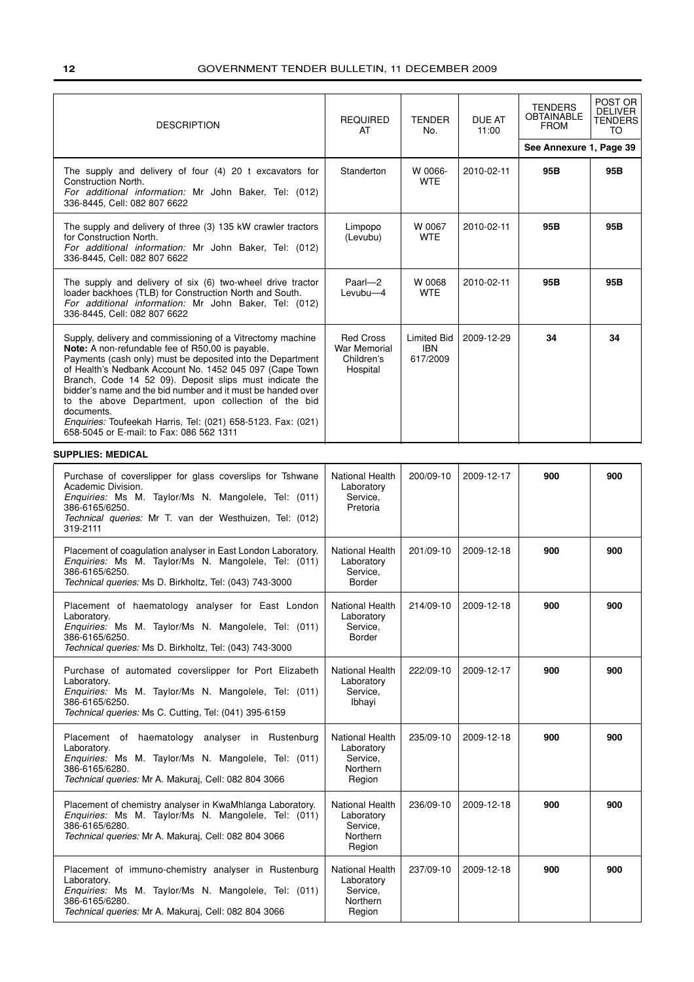| <b>DESCRIPTION</b>                                                                                                                                                                                                                                                                                                                                                                                                                                                                                                                                 | <b>REQUIRED</b><br>AT                                             | <b>TENDER</b><br>No.                         | DUE AT<br>11:00 | <b>TENDERS</b><br><b>OBTAINABLE</b><br><b>FROM</b> | POST OR<br><b>DELIVER</b><br>TENDERS<br>TO |
|----------------------------------------------------------------------------------------------------------------------------------------------------------------------------------------------------------------------------------------------------------------------------------------------------------------------------------------------------------------------------------------------------------------------------------------------------------------------------------------------------------------------------------------------------|-------------------------------------------------------------------|----------------------------------------------|-----------------|----------------------------------------------------|--------------------------------------------|
|                                                                                                                                                                                                                                                                                                                                                                                                                                                                                                                                                    |                                                                   |                                              |                 | See Annexure 1, Page 39                            |                                            |
| The supply and delivery of four $(4)$ 20 t excavators for<br>Construction North.<br>For additional information: Mr John Baker, Tel: (012)<br>336-8445, Cell: 082 807 6622                                                                                                                                                                                                                                                                                                                                                                          | Standerton                                                        | W 0066-<br><b>WTE</b>                        | 2010-02-11      | 95B                                                | 95B                                        |
| The supply and delivery of three (3) 135 kW crawler tractors<br>for Construction North.<br>For additional information: Mr John Baker, Tel: (012)<br>336-8445, Cell: 082 807 6622                                                                                                                                                                                                                                                                                                                                                                   | Limpopo<br>(Levubu)                                               | W 0067<br><b>WTE</b>                         | 2010-02-11      | 95B                                                | 95B                                        |
| The supply and delivery of six (6) two-wheel drive tractor<br>loader backhoes (TLB) for Construction North and South.<br>For additional information: Mr John Baker, Tel: (012)<br>336-8445, Cell: 082 807 6622                                                                                                                                                                                                                                                                                                                                     | Paarl-2<br>Levubu-4                                               | W 0068<br><b>WTE</b>                         | 2010-02-11      | 95B                                                | 95B                                        |
| Supply, delivery and commissioning of a Vitrectomy machine<br>Note: A non-refundable fee of R50,00 is payable.<br>Payments (cash only) must be deposited into the Department<br>of Health's Nedbank Account No. 1452 045 097 (Cape Town<br>Branch, Code 14 52 09). Deposit slips must indicate the<br>bidder's name and the bid number and it must be handed over<br>to the above Department, upon collection of the bid<br>documents.<br>Enquiries: Toufeekah Harris, Tel: (021) 658-5123. Fax: (021)<br>658-5045 or E-mail: to Fax: 086 562 1311 | <b>Red Cross</b><br><b>War Memorial</b><br>Children's<br>Hospital | <b>Limited Bid</b><br><b>IBN</b><br>617/2009 | 2009-12-29      | 34                                                 | 34                                         |
| <b>SUPPLIES: MEDICAL</b>                                                                                                                                                                                                                                                                                                                                                                                                                                                                                                                           |                                                                   |                                              |                 |                                                    |                                            |
| Purchase of coverslipper for glass coverslips for Tshwane<br>Academic Division.<br>Enquiries: Ms M. Taylor/Ms N. Mangolele, Tel: (011)<br>386-6165/6250.<br>Technical queries: Mr T. van der Westhuizen, Tel: (012)<br>319-2111                                                                                                                                                                                                                                                                                                                    | National Health<br>Laboratory<br>Service,<br>Pretoria             | 200/09-10                                    | 2009-12-17      | 900                                                | 900                                        |
| Placement of coagulation analyser in East London Laboratory.<br>Enquiries: Ms M. Taylor/Ms N. Mangolele, Tel: (011)<br>386-6165/6250.<br>Technical queries: Ms D. Birkholtz, Tel: (043) 743-3000                                                                                                                                                                                                                                                                                                                                                   | National Health<br>Laboratory<br>Service,<br>Border               | 201/09-10                                    | 2009-12-18      | 900                                                | 900                                        |
| Placement of haematology analyser for East London<br>Laboratory.<br>Enquiries: Ms M. Taylor/Ms N. Mangolele, Tel: (011)<br>386-6165/6250.<br>Technical queries: Ms D. Birkholtz, Tel: (043) 743-3000                                                                                                                                                                                                                                                                                                                                               | National Health<br>Laboratory<br>Service,<br><b>Border</b>        | 214/09-10                                    | 2009-12-18      | 900                                                | 900                                        |
| Purchase of automated coverslipper for Port Elizabeth<br>Laboratory.<br>Enquiries: Ms M. Taylor/Ms N. Mangolele, Tel: (011)<br>386-6165/6250.<br>Technical queries: Ms C. Cutting, Tel: (041) 395-6159                                                                                                                                                                                                                                                                                                                                             | National Health<br>Laboratory<br>Service,<br>Ibhayi               | 222/09-10                                    | 2009-12-17      | 900                                                | 900                                        |
| Placement of haematology analyser in Rustenburg<br>Laboratory.<br>Enquiries: Ms M. Taylor/Ms N. Mangolele, Tel: (011)<br>386-6165/6280.<br>Technical queries: Mr A. Makuraj, Cell: 082 804 3066                                                                                                                                                                                                                                                                                                                                                    | National Health<br>Laboratory<br>Service,<br>Northern<br>Region   | 235/09-10                                    | 2009-12-18      | 900                                                | 900                                        |
| Placement of chemistry analyser in KwaMhlanga Laboratory.<br>Enquiries: Ms M. Taylor/Ms N. Mangolele, Tel: (011)<br>386-6165/6280.<br>Technical queries: Mr A. Makuraj, Cell: 082 804 3066                                                                                                                                                                                                                                                                                                                                                         | National Health<br>Laboratory<br>Service,<br>Northern<br>Region   | 236/09-10                                    | 2009-12-18      | 900                                                | 900                                        |
| Placement of immuno-chemistry analyser in Rustenburg<br>Laboratory.<br>Enquiries: Ms M. Taylor/Ms N. Mangolele, Tel: (011)<br>386-6165/6280.<br>Technical queries: Mr A. Makuraj, Cell: 082 804 3066                                                                                                                                                                                                                                                                                                                                               | National Health<br>Laboratory<br>Service,<br>Northern<br>Region   | 237/09-10                                    | 2009-12-18      | 900                                                | 900                                        |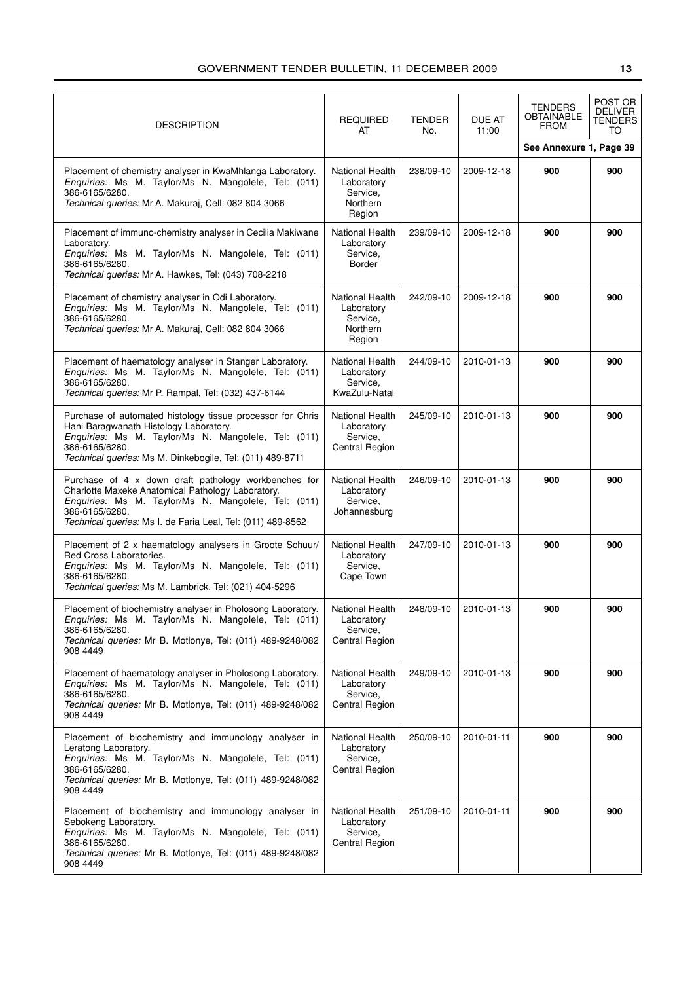| <b>DESCRIPTION</b>                                                                                                                                                                                                                                | <b>REQUIRED</b><br>AT                                                  | <b>TENDER</b><br>No. | DUE AT<br>11:00 | <b>TENDERS</b><br><b>OBTAINABLE</b><br><b>FROM</b> | POST OR<br><b>DELIVER</b><br>TENDERS<br>TO |
|---------------------------------------------------------------------------------------------------------------------------------------------------------------------------------------------------------------------------------------------------|------------------------------------------------------------------------|----------------------|-----------------|----------------------------------------------------|--------------------------------------------|
|                                                                                                                                                                                                                                                   |                                                                        |                      |                 | See Annexure 1, Page 39                            |                                            |
| Placement of chemistry analyser in KwaMhlanga Laboratory.<br>Enquiries: Ms M. Taylor/Ms N. Mangolele, Tel: (011)<br>386-6165/6280.<br>Technical queries: Mr A. Makuraj, Cell: 082 804 3066                                                        | National Health<br>Laboratory<br>Service,<br><b>Northern</b><br>Region | 238/09-10            | 2009-12-18      | 900                                                | 900                                        |
| Placement of immuno-chemistry analyser in Cecilia Makiwane<br>Laboratory.<br>Enquiries: Ms M. Taylor/Ms N. Mangolele, Tel: (011)<br>386-6165/6280.<br>Technical queries: Mr A. Hawkes, Tel: (043) 708-2218                                        | National Health<br>Laboratory<br>Service,<br>Border                    | 239/09-10            | 2009-12-18      | 900                                                | 900                                        |
| Placement of chemistry analyser in Odi Laboratory.<br>Enquiries: Ms M. Taylor/Ms N. Mangolele, Tel: (011)<br>386-6165/6280.<br>Technical queries: Mr A. Makuraj, Cell: 082 804 3066                                                               | National Health<br>Laboratory<br>Service.<br><b>Northern</b><br>Region | 242/09-10            | 2009-12-18      | 900                                                | 900                                        |
| Placement of haematology analyser in Stanger Laboratory.<br>Enquiries: Ms M. Taylor/Ms N. Mangolele, Tel: (011)<br>386-6165/6280.<br>Technical queries: Mr P. Rampal, Tel: (032) 437-6144                                                         | National Health<br>Laboratory<br>Service,<br>KwaZulu-Natal             | 244/09-10            | 2010-01-13      | 900                                                | 900                                        |
| Purchase of automated histology tissue processor for Chris<br>Hani Baragwanath Histology Laboratory.<br>Enquiries: Ms M. Taylor/Ms N. Mangolele, Tel: (011)<br>386-6165/6280.<br>Technical queries: Ms M. Dinkebogile, Tel: (011) 489-8711        | National Health<br>Laboratory<br>Service,<br>Central Region            | 245/09-10            | 2010-01-13      | 900                                                | 900                                        |
| Purchase of 4 x down draft pathology workbenches for<br>Charlotte Maxeke Anatomical Pathology Laboratory.<br>Enquiries: Ms M. Taylor/Ms N. Mangolele, Tel: (011)<br>386-6165/6280.<br>Technical queries: Ms I. de Faria Leal, Tel: (011) 489-8562 | National Health<br>Laboratory<br>Service,<br>Johannesburg              | 246/09-10            | 2010-01-13      | 900                                                | 900                                        |
| Placement of 2 x haematology analysers in Groote Schuur/<br>Red Cross Laboratories.<br>Enquiries: Ms M. Taylor/Ms N. Mangolele, Tel: (011)<br>386-6165/6280.<br>Technical queries: Ms M. Lambrick, Tel: (021) 404-5296                            | National Health<br>Laboratory<br>Service.<br>Cape Town                 | 247/09-10            | 2010-01-13      | 900                                                | 900                                        |
| Placement of biochemistry analyser in Pholosong Laboratory.<br><i>Enquiries:</i> Ms M. Taylor/Ms N. Mangolele, Tel: (011)<br>386-6165/6280.<br>Technical queries: Mr B. Motlonye, Tel: (011) 489-9248/082<br>908 4449                             | National Health<br>Laboratory<br>Service.<br>Central Region            | 248/09-10            | 2010-01-13      | 900                                                | 900                                        |
| Placement of haematology analyser in Pholosong Laboratory.<br>Enquiries: Ms M. Taylor/Ms N. Mangolele, Tel: (011)<br>386-6165/6280.<br>Technical queries: Mr B. Motlonye, Tel: (011) 489-9248/082<br>908 4449                                     | National Health<br>Laboratory<br>Service,<br>Central Region            | 249/09-10            | 2010-01-13      | 900                                                | 900                                        |
| Placement of biochemistry and immunology analyser in<br>Leratong Laboratory.<br>Enquiries: Ms M. Taylor/Ms N. Mangolele, Tel: (011)<br>386-6165/6280.<br>Technical queries: Mr B. Motlonye, Tel: (011) 489-9248/082<br>908 4449                   | National Health<br>Laboratory<br>Service,<br>Central Region            | 250/09-10            | 2010-01-11      | 900                                                | 900                                        |
| Placement of biochemistry and immunology analyser in<br>Sebokeng Laboratory.<br>Enquiries: Ms M. Taylor/Ms N. Mangolele, Tel: (011)<br>386-6165/6280.<br>Technical queries: Mr B. Motlonye, Tel: (011) 489-9248/082<br>908 4449                   | National Health<br>Laboratory<br>Service,<br>Central Region            | 251/09-10            | 2010-01-11      | 900                                                | 900                                        |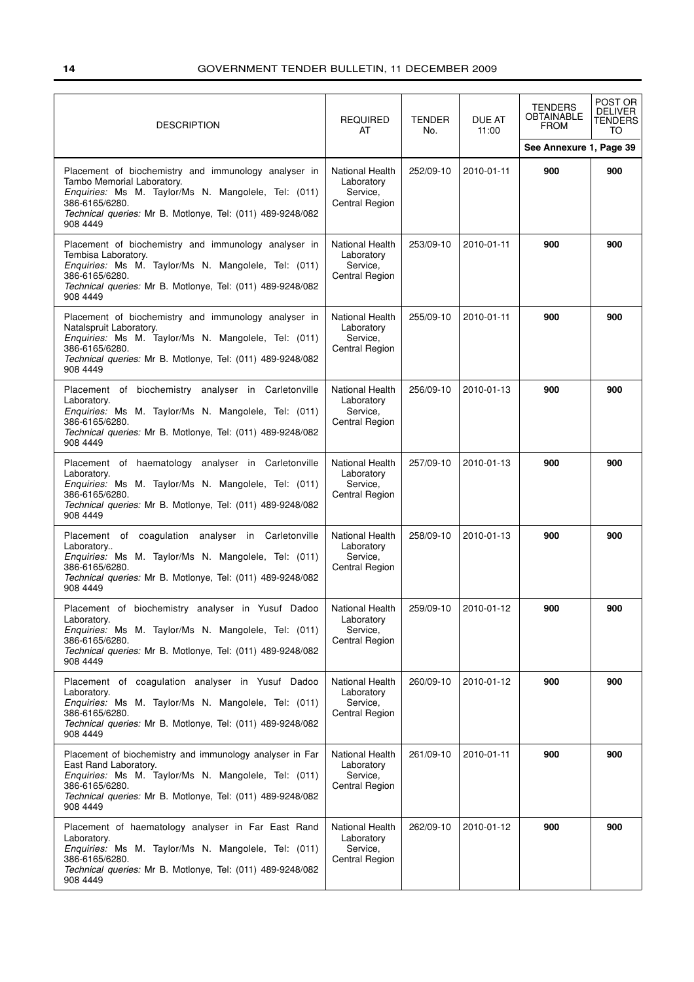| <b>DESCRIPTION</b>                                                                                                                                                                                                                    | <b>REQUIRED</b><br>AT                                              | <b>TENDER</b><br>No. | DUE AT<br>11:00 | <b>TENDERS</b><br><b>OBTAINABLE</b><br><b>FROM</b> | POST OR<br><b>DELIVER</b><br><b>TENDERS</b><br>TO |
|---------------------------------------------------------------------------------------------------------------------------------------------------------------------------------------------------------------------------------------|--------------------------------------------------------------------|----------------------|-----------------|----------------------------------------------------|---------------------------------------------------|
|                                                                                                                                                                                                                                       |                                                                    |                      |                 | See Annexure 1, Page 39                            |                                                   |
| Placement of biochemistry and immunology analyser in<br>Tambo Memorial Laboratory.<br>Enquiries: Ms M. Taylor/Ms N. Mangolele, Tel: (011)<br>386-6165/6280.<br>Technical queries: Mr B. Motlonye, Tel: (011) 489-9248/082<br>908 4449 | National Health<br>Laboratory<br>Service,<br>Central Region        | 252/09-10            | 2010-01-11      | 900                                                | 900                                               |
| Placement of biochemistry and immunology analyser in<br>Tembisa Laboratory.<br>Enquiries: Ms M. Taylor/Ms N. Mangolele, Tel: (011)<br>386-6165/6280.<br>Technical queries: Mr B. Motlonye, Tel: (011) 489-9248/082<br>908 4449        | National Health<br>Laboratory<br>Service,<br>Central Region        | 253/09-10            | 2010-01-11      | 900                                                | 900                                               |
| Placement of biochemistry and immunology analyser in<br>Natalspruit Laboratory.<br>Enquiries: Ms M. Taylor/Ms N. Mangolele, Tel: (011)<br>386-6165/6280.<br>Technical queries: Mr B. Motlonye, Tel: (011) 489-9248/082<br>908 4449    | <b>National Health</b><br>Laboratory<br>Service,<br>Central Region | 255/09-10            | 2010-01-11      | 900                                                | 900                                               |
| Placement of biochemistry analyser in Carletonville<br>Laboratory.<br>Enquiries: Ms M. Taylor/Ms N. Mangolele, Tel: (011)<br>386-6165/6280.<br>Technical queries: Mr B. Motlonye, Tel: (011) 489-9248/082<br>908 4449                 | National Health<br>Laboratory<br>Service.<br>Central Region        | 256/09-10            | 2010-01-13      | 900                                                | 900                                               |
| Placement of haematology analyser in Carletonville<br>Laboratory.<br>Enquiries: Ms M. Taylor/Ms N. Mangolele, Tel: (011)<br>386-6165/6280.<br>Technical queries: Mr B. Motlonye, Tel: (011) 489-9248/082<br>908 4449                  | National Health<br>Laboratory<br>Service,<br>Central Region        | 257/09-10            | 2010-01-13      | 900                                                | 900                                               |
| Placement of coagulation analyser in Carletonville<br>Laboratory<br>Enquiries: Ms M. Taylor/Ms N. Mangolele, Tel: (011)<br>386-6165/6280.<br>Technical queries: Mr B. Motlonye, Tel: (011) 489-9248/082<br>908 4449                   | National Health<br>Laboratory<br>Service,<br>Central Region        | 258/09-10            | 2010-01-13      | 900                                                | 900                                               |
| Placement of biochemistry analyser in Yusuf Dadoo<br>Laboratory.<br>Enquiries: Ms M. Taylor/Ms N. Mangolele, Tel: (011)<br>386-6165/6280.<br>Technical queries: Mr B. Motlonye, Tel: (011) 489-9248/082<br>908 4449                   | National Health<br>Laboratory<br>Service,<br>Central Region        | 259/09-10            | 2010-01-12      | 900                                                | 900                                               |
| Placement of coagulation analyser in Yusuf Dadoo<br>Laboratory.<br>Enquiries: Ms M. Taylor/Ms N. Mangolele, Tel: (011)<br>386-6165/6280.<br>Technical queries: Mr B. Motlonye, Tel: (011) 489-9248/082<br>908 4449                    | <b>National Health</b><br>Laboratory<br>Service,<br>Central Region | 260/09-10            | 2010-01-12      | 900                                                | 900                                               |
| Placement of biochemistry and immunology analyser in Far<br>East Rand Laboratory.<br>Enquiries: Ms M. Taylor/Ms N. Mangolele, Tel: (011)<br>386-6165/6280.<br>Technical queries: Mr B. Motlonye, Tel: (011) 489-9248/082<br>908 4449  | National Health<br>Laboratory<br>Service,<br>Central Region        | 261/09-10            | 2010-01-11      | 900                                                | 900                                               |
| Placement of haematology analyser in Far East Rand<br>Laboratory.<br>Enquiries: Ms M. Taylor/Ms N. Mangolele, Tel: (011)<br>386-6165/6280.<br>Technical queries: Mr B. Motlonye, Tel: (011) 489-9248/082<br>908 4449                  | National Health<br>Laboratory<br>Service,<br>Central Region        | 262/09-10            | 2010-01-12      | 900                                                | 900                                               |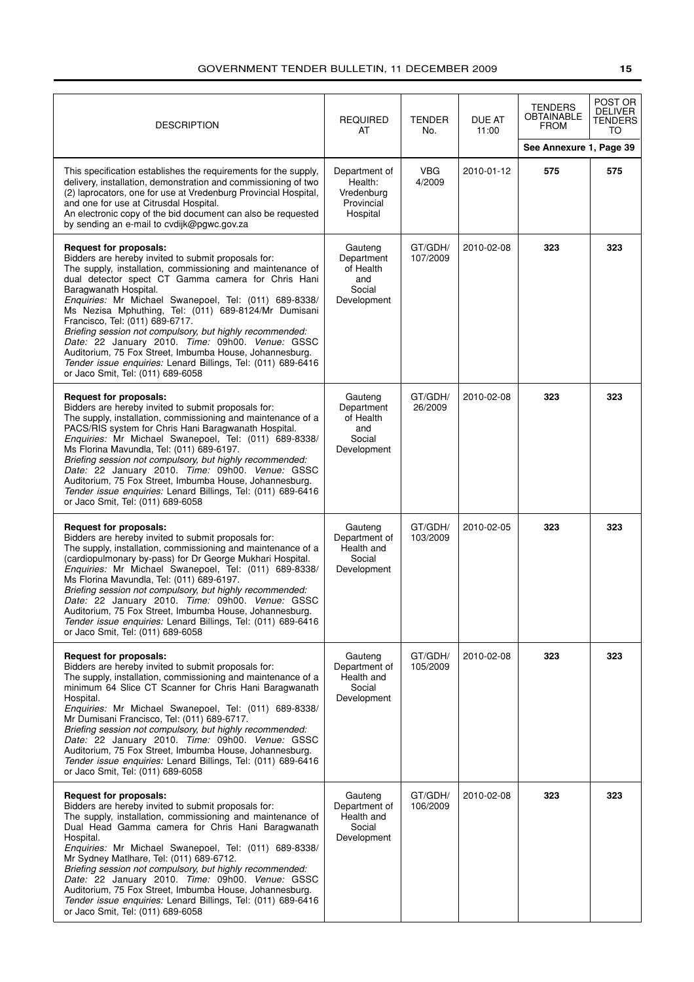| <b>DESCRIPTION</b>                                                                                                                                                                                                                                                                                                                                                                                                                                                                                                                                                                                                                                                   | <b>REQUIRED</b><br>AT                                              | <b>TENDER</b><br>No. | DUE AT<br>11:00 | <b>TENDERS</b><br>OBTAINABLE<br><b>FROM</b> | POST OR<br><b>DELIVER</b><br>TENDERS<br>TO |
|----------------------------------------------------------------------------------------------------------------------------------------------------------------------------------------------------------------------------------------------------------------------------------------------------------------------------------------------------------------------------------------------------------------------------------------------------------------------------------------------------------------------------------------------------------------------------------------------------------------------------------------------------------------------|--------------------------------------------------------------------|----------------------|-----------------|---------------------------------------------|--------------------------------------------|
| This specification establishes the requirements for the supply,<br>delivery, installation, demonstration and commissioning of two<br>(2) laprocators, one for use at Vredenburg Provincial Hospital,<br>and one for use at Citrusdal Hospital.<br>An electronic copy of the bid document can also be requested<br>by sending an e-mail to cvdijk@pgwc.gov.za                                                                                                                                                                                                                                                                                                         | Department of<br>Health:<br>Vredenburg<br>Provincial<br>Hospital   | <b>VBG</b><br>4/2009 | 2010-01-12      | See Annexure 1, Page 39<br>575              | 575                                        |
| <b>Request for proposals:</b><br>Bidders are hereby invited to submit proposals for:<br>The supply, installation, commissioning and maintenance of<br>dual detector spect CT Gamma camera for Chris Hani<br>Baragwanath Hospital.<br>Enquiries: Mr Michael Swanepoel, Tel: (011) 689-8338/<br>Ms Nezisa Mphuthing, Tel: (011) 689-8124/Mr Dumisani<br>Francisco, Tel: (011) 689-6717.<br>Briefing session not compulsory, but highly recommended:<br>Date: 22 January 2010. Time: 09h00. Venue: GSSC<br>Auditorium, 75 Fox Street, Imbumba House, Johannesburg.<br>Tender issue enquiries: Lenard Billings, Tel: (011) 689-6416<br>or Jaco Smit, Tel: (011) 689-6058 | Gauteng<br>Department<br>of Health<br>and<br>Social<br>Development | GT/GDH/<br>107/2009  | 2010-02-08      | 323                                         | 323                                        |
| <b>Request for proposals:</b><br>Bidders are hereby invited to submit proposals for:<br>The supply, installation, commissioning and maintenance of a<br>PACS/RIS system for Chris Hani Baragwanath Hospital.<br>Enquiries: Mr Michael Swanepoel, Tel: (011) 689-8338/<br>Ms Florina Mavundla, Tel: (011) 689-6197.<br>Briefing session not compulsory, but highly recommended:<br>Date: 22 January 2010. Time: 09h00. Venue: GSSC<br>Auditorium, 75 Fox Street, Imbumba House, Johannesburg.<br>Tender issue enquiries: Lenard Billings, Tel: (011) 689-6416<br>or Jaco Smit, Tel: (011) 689-6058                                                                    | Gauteng<br>Department<br>of Health<br>and<br>Social<br>Development | GT/GDH/<br>26/2009   | 2010-02-08      | 323                                         | 323                                        |
| <b>Request for proposals:</b><br>Bidders are hereby invited to submit proposals for:<br>The supply, installation, commissioning and maintenance of a<br>(cardiopulmonary by-pass) for Dr George Mukhari Hospital.<br>Enquiries: Mr Michael Swanepoel, Tel: (011) 689-8338/<br>Ms Florina Mavundla, Tel: (011) 689-6197.<br>Briefing session not compulsory, but highly recommended:<br>Date: 22 January 2010. Time: 09h00. Venue: GSSC<br>Auditorium, 75 Fox Street, Imbumba House, Johannesburg.<br>Tender issue enquiries: Lenard Billings, Tel: (011) 689-6416<br>or Jaco Smit, Tel: (011) 689-6058                                                               | Gauteng<br>Department of<br>Health and<br>Social<br>Development    | GT/GDH/<br>103/2009  | 2010-02-05      | 323                                         | 323                                        |
| <b>Request for proposals:</b><br>Bidders are hereby invited to submit proposals for:<br>The supply, installation, commissioning and maintenance of a<br>minimum 64 Slice CT Scanner for Chris Hani Baragwanath<br>Hospital.<br>Enquiries: Mr Michael Swanepoel, Tel: (011) 689-8338/<br>Mr Dumisani Francisco, Tel: (011) 689-6717.<br>Briefing session not compulsory, but highly recommended:<br>Date: 22 January 2010. Time: 09h00. Venue: GSSC<br>Auditorium, 75 Fox Street, Imbumba House, Johannesburg.<br>Tender issue enquiries: Lenard Billings, Tel: (011) 689-6416<br>or Jaco Smit, Tel: (011) 689-6058                                                   | Gauteng<br>Department of<br>Health and<br>Social<br>Development    | GT/GDH/<br>105/2009  | 2010-02-08      | 323                                         | 323                                        |
| <b>Request for proposals:</b><br>Bidders are hereby invited to submit proposals for:<br>The supply, installation, commissioning and maintenance of<br>Dual Head Gamma camera for Chris Hani Baragwanath<br>Hospital.<br>Enquiries: Mr Michael Swanepoel, Tel: (011) 689-8338/<br>Mr Sydney Matlhare, Tel: (011) 689-6712.<br>Briefing session not compulsory, but highly recommended:<br>Date: 22 January 2010. Time: 09h00. Venue: GSSC<br>Auditorium, 75 Fox Street, Imbumba House, Johannesburg.<br>Tender issue enquiries: Lenard Billings, Tel: (011) 689-6416<br>or Jaco Smit, Tel: (011) 689-6058                                                             | Gauteng<br>Department of<br>Health and<br>Social<br>Development    | GT/GDH/<br>106/2009  | 2010-02-08      | 323                                         | 323                                        |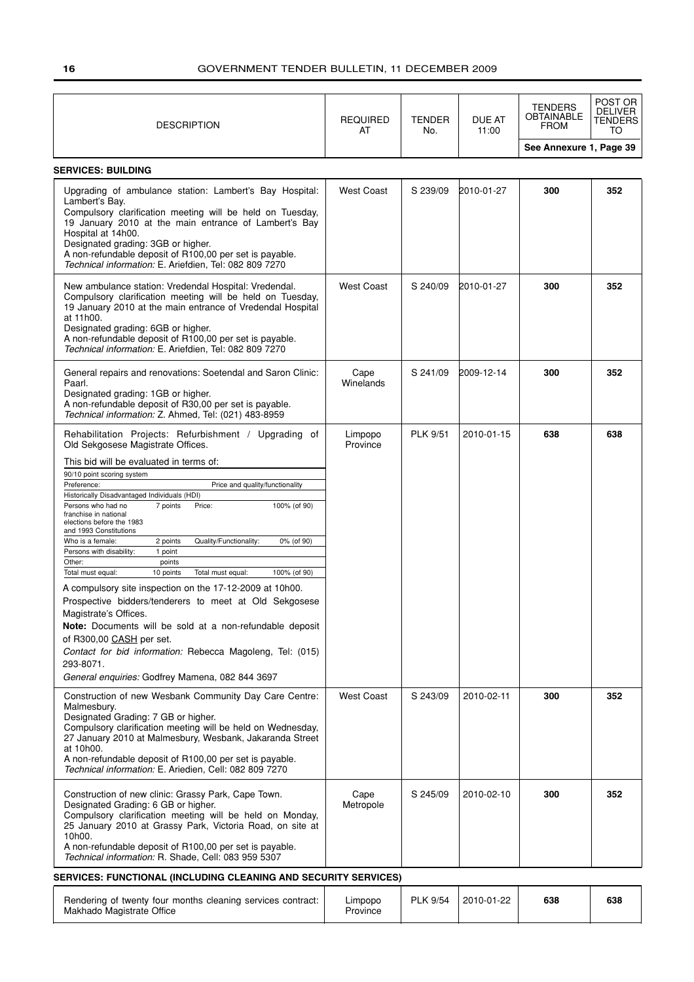| <b>DESCRIPTION</b>                                                                                                                                                                                                                                                                                                                                                                                                                                                                                                                                                                                                                                                                                                                                                                                                                                                                                                                                                                              | <b>REQUIRED</b>     | <b>TENDER</b>   | DUE AT            | TENDERS<br><b>OBTAINABLE</b><br><b>FROM</b> | POST OR<br><b>DELIVER</b><br>TENDERS |
|-------------------------------------------------------------------------------------------------------------------------------------------------------------------------------------------------------------------------------------------------------------------------------------------------------------------------------------------------------------------------------------------------------------------------------------------------------------------------------------------------------------------------------------------------------------------------------------------------------------------------------------------------------------------------------------------------------------------------------------------------------------------------------------------------------------------------------------------------------------------------------------------------------------------------------------------------------------------------------------------------|---------------------|-----------------|-------------------|---------------------------------------------|--------------------------------------|
|                                                                                                                                                                                                                                                                                                                                                                                                                                                                                                                                                                                                                                                                                                                                                                                                                                                                                                                                                                                                 | AT                  | No.             | 11:00             | See Annexure 1, Page 39                     | TO                                   |
| <b>SERVICES: BUILDING</b>                                                                                                                                                                                                                                                                                                                                                                                                                                                                                                                                                                                                                                                                                                                                                                                                                                                                                                                                                                       |                     |                 |                   |                                             |                                      |
| Upgrading of ambulance station: Lambert's Bay Hospital:<br>Lambert's Bay.<br>Compulsory clarification meeting will be held on Tuesday,<br>19 January 2010 at the main entrance of Lambert's Bay<br>Hospital at 14h00.<br>Designated grading: 3GB or higher.<br>A non-refundable deposit of R100,00 per set is payable.<br>Technical information: E. Ariefdien, Tel: 082 809 7270                                                                                                                                                                                                                                                                                                                                                                                                                                                                                                                                                                                                                | <b>West Coast</b>   | S 239/09        | <b>2010-01-27</b> | 300                                         | 352                                  |
| New ambulance station: Vredendal Hospital: Vredendal.<br>Compulsory clarification meeting will be held on Tuesday,<br>19 January 2010 at the main entrance of Vredendal Hospital<br>at 11h00.<br>Designated grading: 6GB or higher.<br>A non-refundable deposit of R100,00 per set is payable.<br>Technical information: E. Ariefdien, Tel: 082 809 7270                                                                                                                                                                                                                                                                                                                                                                                                                                                                                                                                                                                                                                        | <b>West Coast</b>   | S 240/09        | 2010-01-27        | 300                                         | 352                                  |
| General repairs and renovations: Soetendal and Saron Clinic:<br>Paarl.<br>Designated grading: 1GB or higher.<br>A non-refundable deposit of R30,00 per set is payable.<br>Technical information: Z. Ahmed, Tel: (021) 483-8959                                                                                                                                                                                                                                                                                                                                                                                                                                                                                                                                                                                                                                                                                                                                                                  | Cape<br>Winelands   | S 241/09        | <b>2009-12-14</b> | 300                                         | 352                                  |
| Rehabilitation Projects: Refurbishment / Upgrading of<br>Old Sekgosese Magistrate Offices.<br>This bid will be evaluated in terms of:<br>90/10 point scoring system<br>Preference:<br>Price and quality/functionality<br>Historically Disadvantaged Individuals (HDI)<br>7 points<br>Price:<br>100% (of 90)<br>Persons who had no<br>franchise in national<br>elections before the 1983<br>and 1993 Constitutions<br>Quality/Functionality:<br>0% (of 90)<br>Who is a female:<br>2 points<br>Persons with disability:<br>1 point<br>Other:<br>points<br>Total must equal:<br>100% (of 90)<br>10 points<br>Total must equal:<br>A compulsory site inspection on the 17-12-2009 at 10h00.<br>Prospective bidders/tenderers to meet at Old Sekgosese<br>Magistrate's Offices.<br>Note: Documents will be sold at a non-refundable deposit<br>of R300,00 CASH per set.<br>Contact for bid information: Rebecca Magoleng, Tel: (015)<br>293-8071.<br>General enquiries: Godfrey Mamena, 082 844 3697 | Limpopo<br>Province | <b>PLK 9/51</b> | 2010-01-15        | 638                                         | 638                                  |
| Construction of new Wesbank Community Day Care Centre:<br>Malmesbury.<br>Designated Grading: 7 GB or higher.<br>Compulsory clarification meeting will be held on Wednesday,<br>27 January 2010 at Malmesbury, Wesbank, Jakaranda Street<br>at 10h00.<br>A non-refundable deposit of R100,00 per set is payable.<br>Technical information: E. Ariedien, Cell: 082 809 7270                                                                                                                                                                                                                                                                                                                                                                                                                                                                                                                                                                                                                       | <b>West Coast</b>   | S 243/09        | 2010-02-11        | 300                                         | 352                                  |
| Construction of new clinic: Grassy Park, Cape Town.<br>Designated Grading: 6 GB or higher.<br>Compulsory clarification meeting will be held on Monday,<br>25 January 2010 at Grassy Park, Victoria Road, on site at<br>10h00.<br>A non-refundable deposit of R100,00 per set is payable.<br>Technical information: R. Shade, Cell: 083 959 5307                                                                                                                                                                                                                                                                                                                                                                                                                                                                                                                                                                                                                                                 | Cape<br>Metropole   | S 245/09        | 2010-02-10        | 300                                         | 352                                  |
| <b>SERVICES: FUNCTIONAL (INCLUDING CLEANING AND SECURITY SERVICES)</b>                                                                                                                                                                                                                                                                                                                                                                                                                                                                                                                                                                                                                                                                                                                                                                                                                                                                                                                          |                     |                 |                   |                                             |                                      |

| Rendering of twenty four months cleaning services contract:<br>Makhado Magistrate Office | Limpopo<br>Province |  | PLK 9/54 2010-01-22 | 638 | 638 |
|------------------------------------------------------------------------------------------|---------------------|--|---------------------|-----|-----|
|------------------------------------------------------------------------------------------|---------------------|--|---------------------|-----|-----|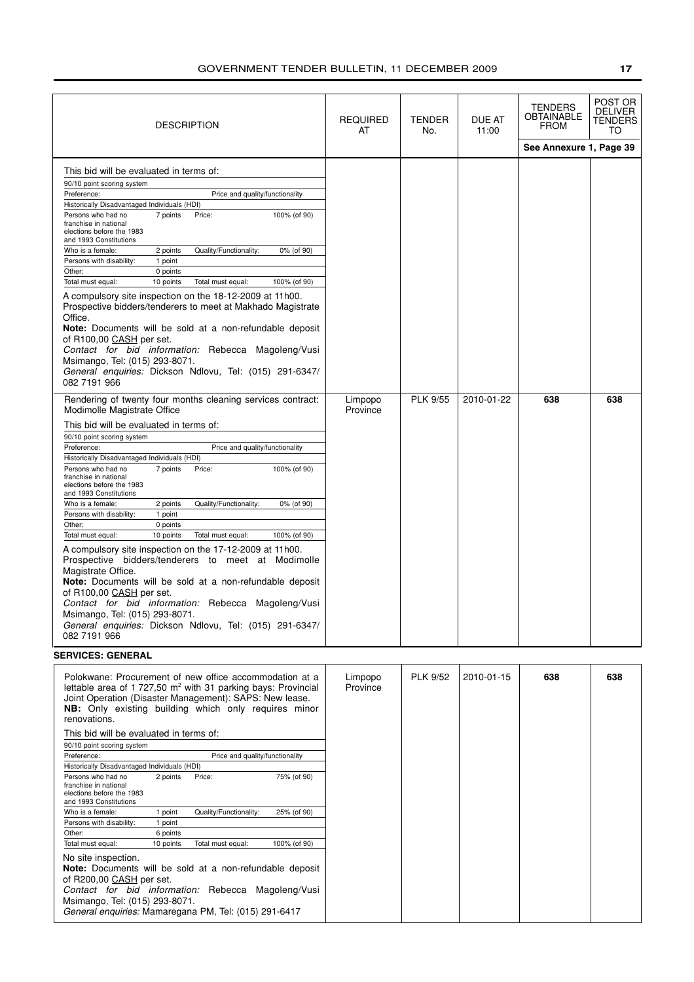| <b>DESCRIPTION</b>                                                                                                                                                                                                                                                                                                                                                                                                                                                                                                                                                                                                                                                                                                                                                                                                                                                                                                                                                                              | <b>REQUIRED</b><br>AT | <b>TENDER</b><br>No. | DUE AT<br>11:00 | <b>TENDERS</b><br><b>OBTAINABLE</b><br><b>FROM</b><br>See Annexure 1, Page 39 | POST OR<br><b>DELIVER</b><br>TENDERS<br>TO |
|-------------------------------------------------------------------------------------------------------------------------------------------------------------------------------------------------------------------------------------------------------------------------------------------------------------------------------------------------------------------------------------------------------------------------------------------------------------------------------------------------------------------------------------------------------------------------------------------------------------------------------------------------------------------------------------------------------------------------------------------------------------------------------------------------------------------------------------------------------------------------------------------------------------------------------------------------------------------------------------------------|-----------------------|----------------------|-----------------|-------------------------------------------------------------------------------|--------------------------------------------|
| This bid will be evaluated in terms of:<br>90/10 point scoring system<br>Preference:<br>Price and quality/functionality<br>Historically Disadvantaged Individuals (HDI)<br>7 points<br>Price:<br>Persons who had no<br>100% (of 90)<br>franchise in national<br>elections before the 1983<br>and 1993 Constitutions<br>Who is a female:<br>Quality/Functionality:<br>0% (of 90)<br>2 points<br>Persons with disability:<br>1 point<br>0 points<br>Other:<br>100% (of 90)<br>Total must equal:<br>10 points<br>Total must equal:<br>A compulsory site inspection on the 18-12-2009 at 11h00.<br>Prospective bidders/tenderers to meet at Makhado Magistrate<br>Office.<br>Note: Documents will be sold at a non-refundable deposit<br>of R100,00 CASH per set.<br>Contact for bid information: Rebecca Magoleng/Vusi<br>Msimango, Tel: (015) 293-8071.<br>General enguiries: Dickson Ndlovu, Tel: (015) 291-6347/<br>082 7191 966<br>Rendering of twenty four months cleaning services contract: | Limpopo               | <b>PLK 9/55</b>      | 2010-01-22      | 638                                                                           | 638                                        |
| Modimolle Magistrate Office<br>This bid will be evaluated in terms of:<br>90/10 point scoring system<br>Preference:<br>Price and quality/functionality<br>Historically Disadvantaged Individuals (HDI)<br>Persons who had no<br>7 points<br>Price:<br>100% (of 90)<br>franchise in national<br>elections before the 1983<br>and 1993 Constitutions<br>Quality/Functionality:<br>Who is a female:<br>2 points<br>0% (of 90)<br>Persons with disability:<br>1 point<br>Other:<br>0 points<br>10 points<br>100% (of 90)<br>Total must equal:<br>Total must equal:<br>A compulsory site inspection on the 17-12-2009 at 11h00.<br>Prospective bidders/tenderers to meet at Modimolle<br>Magistrate Office.<br>Note: Documents will be sold at a non-refundable deposit<br>of R100,00 CASH per set.<br>Contact for bid information: Rebecca Magoleng/Vusi<br>Msimango, Tel: (015) 293-8071.<br>General enguiries: Dickson Ndlovu, Tel: (015) 291-6347/<br>082 7191 966                               | Province              |                      |                 |                                                                               |                                            |

#### **SERVICES: GENERAL**

| Polokwane: Procurement of new office accommodation at a<br>lettable area of 1 727,50 $m2$ with 31 parking bays: Provincial<br>Joint Operation (Disaster Management): SAPS: New lease.<br><b>NB:</b> Only existing building which only requires minor<br>renovations.      |                                 |                        | Limpopo<br>Province | <b>PLK 9/52</b> | 2010-01-15 | 638 | 638 |  |
|---------------------------------------------------------------------------------------------------------------------------------------------------------------------------------------------------------------------------------------------------------------------------|---------------------------------|------------------------|---------------------|-----------------|------------|-----|-----|--|
| This bid will be evaluated in terms of:                                                                                                                                                                                                                                   |                                 |                        |                     |                 |            |     |     |  |
| 90/10 point scoring system                                                                                                                                                                                                                                                |                                 |                        |                     |                 |            |     |     |  |
| Preference:                                                                                                                                                                                                                                                               | Price and quality/functionality |                        |                     |                 |            |     |     |  |
| Historically Disadvantaged Individuals (HDI)                                                                                                                                                                                                                              |                                 |                        |                     |                 |            |     |     |  |
| Persons who had no<br>franchise in national<br>elections before the 1983<br>and 1993 Constitutions                                                                                                                                                                        | 2 points                        | Price:                 | 75% (of 90)         |                 |            |     |     |  |
| Who is a female:                                                                                                                                                                                                                                                          | point                           | Quality/Functionality: | 25% (of 90)         |                 |            |     |     |  |
| Persons with disability:                                                                                                                                                                                                                                                  | point                           |                        |                     |                 |            |     |     |  |
| Other:                                                                                                                                                                                                                                                                    | 6 points                        |                        |                     |                 |            |     |     |  |
| Total must equal:                                                                                                                                                                                                                                                         | 10 points                       | Total must equal:      | 100% (of 90)        |                 |            |     |     |  |
| No site inspection.<br><b>Note:</b> Documents will be sold at a non-refundable deposit<br>of R200,00 CASH per set.<br>Contact for bid information:<br>Magoleng/Vusi<br>Rebecca<br>Msimango, Tel: (015) 293-8071.<br>General enquiries: Mamaregana PM, Tel: (015) 291-6417 |                                 |                        |                     |                 |            |     |     |  |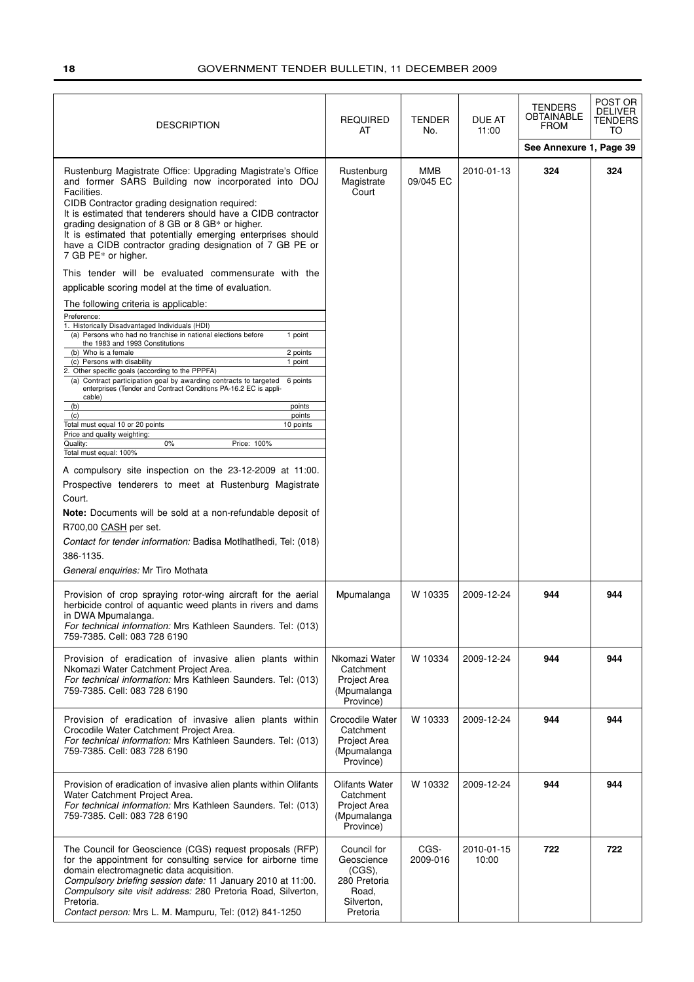| <b>DESCRIPTION</b>                                                                                                                                                                                                                                                                                                                                                                                                                                                                                                                                                                                                                                                                                                                                                                                                                                                                                                                                                                                                                                                                                                                                                                                                                                                                                                                                                                                     | <b>REQUIRED</b><br>AT                                                                  | TENDER<br>No.    | DUE AT<br>11:00     | TENDERS<br><b>OBTAINABLE</b><br><b>FROM</b> | POST OR<br><b>DELIVER</b><br>TENDERS<br>TO |
|--------------------------------------------------------------------------------------------------------------------------------------------------------------------------------------------------------------------------------------------------------------------------------------------------------------------------------------------------------------------------------------------------------------------------------------------------------------------------------------------------------------------------------------------------------------------------------------------------------------------------------------------------------------------------------------------------------------------------------------------------------------------------------------------------------------------------------------------------------------------------------------------------------------------------------------------------------------------------------------------------------------------------------------------------------------------------------------------------------------------------------------------------------------------------------------------------------------------------------------------------------------------------------------------------------------------------------------------------------------------------------------------------------|----------------------------------------------------------------------------------------|------------------|---------------------|---------------------------------------------|--------------------------------------------|
|                                                                                                                                                                                                                                                                                                                                                                                                                                                                                                                                                                                                                                                                                                                                                                                                                                                                                                                                                                                                                                                                                                                                                                                                                                                                                                                                                                                                        |                                                                                        |                  |                     | See Annexure 1, Page 39                     |                                            |
| Rustenburg Magistrate Office: Upgrading Magistrate's Office<br>and former SARS Building now incorporated into DOJ<br>Facilities.<br>CIDB Contractor grading designation required:<br>It is estimated that tenderers should have a CIDB contractor<br>grading designation of 8 GB or 8 GB* or higher.<br>It is estimated that potentially emerging enterprises should<br>have a CIDB contractor grading designation of 7 GB PE or<br>7 GB PE* or higher.<br>This tender will be evaluated commensurate with the<br>applicable scoring model at the time of evaluation.<br>The following criteria is applicable:<br>Preference:<br>1. Historically Disadvantaged Individuals (HDI)<br>(a) Persons who had no franchise in national elections before<br>1 point<br>the 1983 and 1993 Constitutions<br>(b) Who is a female<br>2 points<br>(c) Persons with disability<br>1 point<br>2. Other specific goals (according to the PPPFA)<br>(a) Contract participation goal by awarding contracts to targeted<br>6 points<br>enterprises (Tender and Contract Conditions PA-16.2 EC is appli-<br>cable)<br>(b)<br>points<br>(c)<br>points<br>Total must equal 10 or 20 points<br>10 points<br>Price and quality weighting:<br>Quality:<br>$0\%$<br>Price: 100%<br>Total must equal: 100%<br>A compulsory site inspection on the 23-12-2009 at 11:00.<br>Prospective tenderers to meet at Rustenburg Magistrate | Rustenburg<br>Magistrate<br>Court                                                      | ММВ<br>09/045 EC | 2010-01-13          | 324                                         | 324                                        |
| Court.<br>Note: Documents will be sold at a non-refundable deposit of<br>R700,00 CASH per set.<br>Contact for tender information: Badisa Motlhatlhedi, Tel: (018)<br>386-1135.<br>General enquiries: Mr Tiro Mothata                                                                                                                                                                                                                                                                                                                                                                                                                                                                                                                                                                                                                                                                                                                                                                                                                                                                                                                                                                                                                                                                                                                                                                                   |                                                                                        |                  |                     |                                             |                                            |
| Provision of crop spraying rotor-wing aircraft for the aerial<br>herbicide control of aquantic weed plants in rivers and dams<br>in DWA Mpumalanga.<br>For technical information: Mrs Kathleen Saunders. Tel: (013)<br>759-7385. Cell: 083 728 6190                                                                                                                                                                                                                                                                                                                                                                                                                                                                                                                                                                                                                                                                                                                                                                                                                                                                                                                                                                                                                                                                                                                                                    | Mpumalanga                                                                             | W 10335          | 2009-12-24          | 944                                         | 944                                        |
| Provision of eradication of invasive alien plants within<br>Nkomazi Water Catchment Project Area.<br>For technical information: Mrs Kathleen Saunders. Tel: (013)<br>759-7385. Cell: 083 728 6190                                                                                                                                                                                                                                                                                                                                                                                                                                                                                                                                                                                                                                                                                                                                                                                                                                                                                                                                                                                                                                                                                                                                                                                                      | Nkomazi Water<br>Catchment<br>Project Area<br>(Mpumalanga<br>Province)                 | W 10334          | 2009-12-24          | 944                                         | 944                                        |
| Provision of eradication of invasive alien plants within<br>Crocodile Water Catchment Project Area.<br>For technical information: Mrs Kathleen Saunders. Tel: (013)<br>759-7385, Cell: 083 728 6190                                                                                                                                                                                                                                                                                                                                                                                                                                                                                                                                                                                                                                                                                                                                                                                                                                                                                                                                                                                                                                                                                                                                                                                                    | Crocodile Water<br>Catchment<br>Project Area<br>(Mpumalanga<br>Province)               | W 10333          | 2009-12-24          | 944                                         | 944                                        |
| Provision of eradication of invasive alien plants within Olifants<br>Water Catchment Project Area.<br>For technical information: Mrs Kathleen Saunders. Tel: (013)<br>759-7385. Cell: 083 728 6190                                                                                                                                                                                                                                                                                                                                                                                                                                                                                                                                                                                                                                                                                                                                                                                                                                                                                                                                                                                                                                                                                                                                                                                                     | <b>Olifants Water</b><br>Catchment<br>Project Area<br>(Mpumalanga<br>Province)         | W 10332          | 2009-12-24          | 944                                         | 944                                        |
| The Council for Geoscience (CGS) request proposals (RFP)<br>for the appointment for consulting service for airborne time<br>domain electromagnetic data acquisition.<br>Compulsory briefing session date: 11 January 2010 at 11:00.<br>Compulsory site visit address: 280 Pretoria Road, Silverton,<br>Pretoria.<br>Contact person: Mrs L. M. Mampuru, Tel: (012) 841-1250                                                                                                                                                                                                                                                                                                                                                                                                                                                                                                                                                                                                                                                                                                                                                                                                                                                                                                                                                                                                                             | Council for<br>Geoscience<br>(CGS),<br>280 Pretoria<br>Road,<br>Silverton,<br>Pretoria | CGS-<br>2009-016 | 2010-01-15<br>10:00 | 722                                         | 722                                        |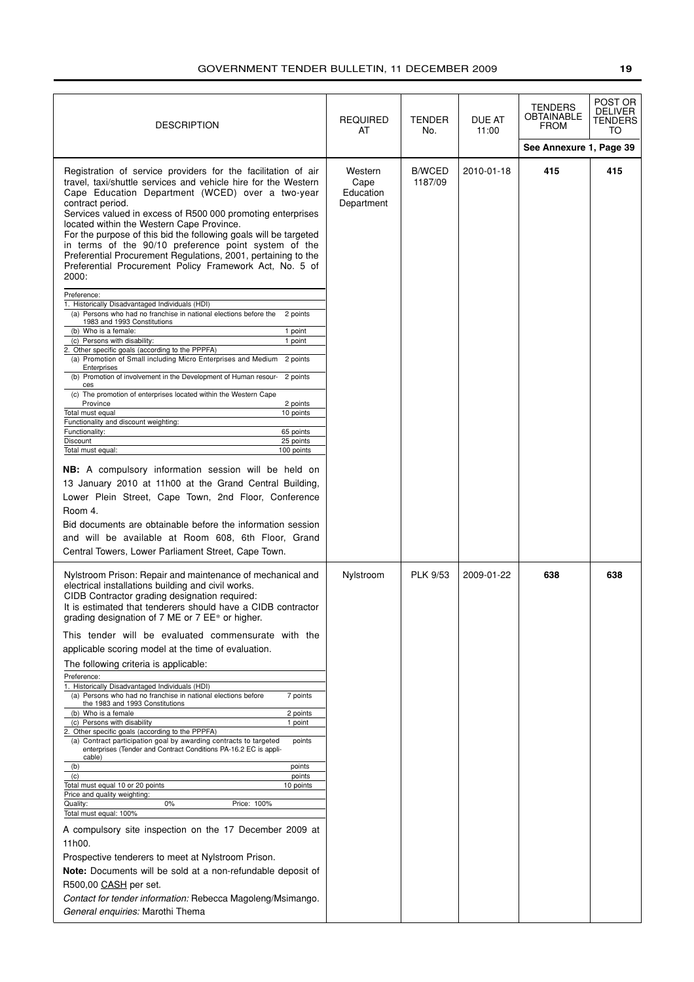| <b>DESCRIPTION</b>                                                                                                                                                                                                                                                                                                                                                                                                                                                                                                                                                                                                                                                                                                                                                                                                                                                                                                                                                                                                                                                                                                                                                                                                                                                                                                                                                                                                                                                                                                                                                                                                                                                                                                              | <b>REQUIRED</b><br>AT                      | <b>TENDER</b><br>No.     | DUE AT<br>11:00 | TENDERS<br>OBTAINABLE<br><b>FROM</b> | POST OR<br><b>DELIVER</b><br>TENDERS<br>TO |
|---------------------------------------------------------------------------------------------------------------------------------------------------------------------------------------------------------------------------------------------------------------------------------------------------------------------------------------------------------------------------------------------------------------------------------------------------------------------------------------------------------------------------------------------------------------------------------------------------------------------------------------------------------------------------------------------------------------------------------------------------------------------------------------------------------------------------------------------------------------------------------------------------------------------------------------------------------------------------------------------------------------------------------------------------------------------------------------------------------------------------------------------------------------------------------------------------------------------------------------------------------------------------------------------------------------------------------------------------------------------------------------------------------------------------------------------------------------------------------------------------------------------------------------------------------------------------------------------------------------------------------------------------------------------------------------------------------------------------------|--------------------------------------------|--------------------------|-----------------|--------------------------------------|--------------------------------------------|
|                                                                                                                                                                                                                                                                                                                                                                                                                                                                                                                                                                                                                                                                                                                                                                                                                                                                                                                                                                                                                                                                                                                                                                                                                                                                                                                                                                                                                                                                                                                                                                                                                                                                                                                                 |                                            |                          |                 | See Annexure 1, Page 39              |                                            |
| Registration of service providers for the facilitation of air<br>travel, taxi/shuttle services and vehicle hire for the Western<br>Cape Education Department (WCED) over a two-year<br>contract period.<br>Services valued in excess of R500 000 promoting enterprises<br>located within the Western Cape Province.<br>For the purpose of this bid the following goals will be targeted<br>in terms of the 90/10 preference point system of the<br>Preferential Procurement Regulations, 2001, pertaining to the<br>Preferential Procurement Policy Framework Act, No. 5 of<br>2000:<br>Preference:<br>1. Historically Disadvantaged Individuals (HDI)<br>(a) Persons who had no franchise in national elections before the<br>2 points<br>1983 and 1993 Constitutions<br>(b) Who is a female:<br>1 point<br>(c) Persons with disability:<br>1 point<br>2. Other specific goals (according to the PPPFA)<br>(a) Promotion of Small including Micro Enterprises and Medium<br>2 points<br>Enterprises<br>(b) Promotion of involvement in the Development of Human resour-<br>2 points<br>ces<br>(c) The promotion of enterprises located within the Western Cape<br>Province<br>2 points<br>Total must equal<br>10 points<br>Functionality and discount weighting:<br>Functionality:<br>65 points<br>Discount<br>25 points<br>Total must equal:<br>100 points<br>NB: A compulsory information session will be held on<br>13 January 2010 at 11h00 at the Grand Central Building,<br>Lower Plein Street, Cape Town, 2nd Floor, Conference<br>Room 4.<br>Bid documents are obtainable before the information session<br>and will be available at Room 608, 6th Floor, Grand<br>Central Towers, Lower Parliament Street, Cape Town. | Western<br>Cape<br>Education<br>Department | <b>B/WCED</b><br>1187/09 | 2010-01-18      | 415                                  | 415                                        |
| Nylstroom Prison: Repair and maintenance of mechanical and<br>electrical installations building and civil works.<br>CIDB Contractor grading designation required:<br>It is estimated that tenderers should have a CIDB contractor<br>grading designation of 7 ME or 7 EE* or higher.<br>This tender will be evaluated commensurate with the<br>applicable scoring model at the time of evaluation.<br>The following criteria is applicable:<br>Preference:<br>1. Historically Disadvantaged Individuals (HDI)<br>(a) Persons who had no franchise in national elections before<br>7 points<br>the 1983 and 1993 Constitutions<br>(b) Who is a female<br>2 points<br>(c) Persons with disability<br>1 point<br>2. Other specific goals (according to the PPPFA)<br>(a) Contract participation goal by awarding contracts to targeted<br>points<br>enterprises (Tender and Contract Conditions PA-16.2 EC is appli-<br>cable)<br>(b)<br>points<br>(c)<br>points<br>Total must equal 10 or 20 points<br>10 points<br>Price and quality weighting:<br>Quality:<br>$0\%$<br>Price: 100%<br>Total must equal: 100%<br>A compulsory site inspection on the 17 December 2009 at<br>11h00.<br>Prospective tenderers to meet at Nylstroom Prison.<br>Note: Documents will be sold at a non-refundable deposit of<br>R500,00 CASH per set.<br>Contact for tender information: Rebecca Magoleng/Msimango.<br>General enquiries: Marothi Thema                                                                                                                                                                                                                                                                                               | Nylstroom                                  | PLK 9/53                 | 2009-01-22      | 638                                  | 638                                        |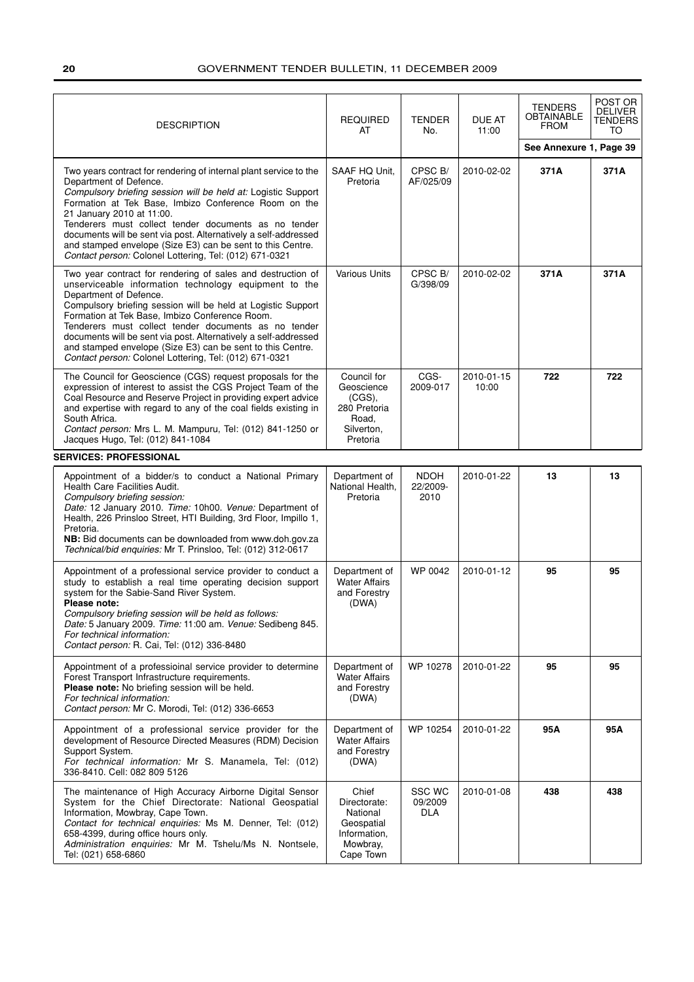|                                                                                                                                                                                                                                                                                                                                                                                                                                                                                                                     |                                                                                           |                                 |                     | <b>TENDERS</b>          | POST OR<br><b>DELIVER</b> |
|---------------------------------------------------------------------------------------------------------------------------------------------------------------------------------------------------------------------------------------------------------------------------------------------------------------------------------------------------------------------------------------------------------------------------------------------------------------------------------------------------------------------|-------------------------------------------------------------------------------------------|---------------------------------|---------------------|-------------------------|---------------------------|
| <b>DESCRIPTION</b>                                                                                                                                                                                                                                                                                                                                                                                                                                                                                                  | <b>REQUIRED</b><br>AT                                                                     | <b>TENDER</b><br>No.            | DUE AT<br>11:00     | OBTAINABLE<br>FROM      | TENDERS<br>TO             |
|                                                                                                                                                                                                                                                                                                                                                                                                                                                                                                                     |                                                                                           |                                 |                     | See Annexure 1, Page 39 |                           |
| Two years contract for rendering of internal plant service to the<br>Department of Defence.<br>Compulsory briefing session will be held at: Logistic Support<br>Formation at Tek Base, Imbizo Conference Room on the<br>21 January 2010 at 11:00.<br>Tenderers must collect tender documents as no tender<br>documents will be sent via post. Alternatively a self-addressed<br>and stamped envelope (Size E3) can be sent to this Centre.<br>Contact person: Colonel Lottering, Tel: (012) 671-0321                | SAAF HQ Unit.<br>Pretoria                                                                 | CPSC B/<br>AF/025/09            | 2010-02-02          | 371A                    | 371A                      |
| Two year contract for rendering of sales and destruction of<br>unserviceable information technology equipment to the<br>Department of Defence.<br>Compulsory briefing session will be held at Logistic Support<br>Formation at Tek Base, Imbizo Conference Room.<br>Tenderers must collect tender documents as no tender<br>documents will be sent via post. Alternatively a self-addressed<br>and stamped envelope (Size E3) can be sent to this Centre.<br>Contact person: Colonel Lottering, Tel: (012) 671-0321 | <b>Various Units</b>                                                                      | CPSC B/<br>G/398/09             | 2010-02-02          | 371A                    | 371A                      |
| The Council for Geoscience (CGS) request proposals for the<br>expression of interest to assist the CGS Project Team of the<br>Coal Resource and Reserve Project in providing expert advice<br>and expertise with regard to any of the coal fields existing in<br>South Africa.<br>Contact person: Mrs L. M. Mampuru, Tel: (012) 841-1250 or<br>Jacques Hugo, Tel: (012) 841-1084                                                                                                                                    | Council for<br>Geoscience<br>$(CGS)$ ,<br>280 Pretoria<br>Road.<br>Silverton,<br>Pretoria | CGS-<br>2009-017                | 2010-01-15<br>10:00 | 722                     | 722                       |
| <b>SERVICES: PROFESSIONAL</b>                                                                                                                                                                                                                                                                                                                                                                                                                                                                                       |                                                                                           |                                 |                     |                         |                           |
| Appointment of a bidder/s to conduct a National Primary<br>Health Care Facilities Audit.<br>Compulsory briefing session:<br>Date: 12 January 2010. Time: 10h00. Venue: Department of<br>Health, 226 Prinsloo Street, HTI Building, 3rd Floor, Impillo 1,<br>Pretoria.<br>NB: Bid documents can be downloaded from www.doh.gov.za<br>Technical/bid enquiries: Mr T. Prinsloo, Tel: (012) 312-0617                                                                                                                    | Department of<br>National Health,<br>Pretoria                                             | <b>NDOH</b><br>22/2009-<br>2010 | 2010-01-22          | 13                      | 13                        |
| Appointment of a professional service provider to conduct a<br>study to establish a real time operating decision support<br>system for the Sabie-Sand River System.<br>Please note:<br>Compulsory briefing session will be held as follows:<br>Date: 5 January 2009. Time: 11:00 am. Venue: Sedibeng 845.<br>For technical information:<br>Contact person: R. Cai, Tel: (012) 336-8480                                                                                                                              | Department of<br><b>Water Affairs</b><br>and Forestry<br>(DWA)                            | WP 0042                         | 2010-01-12          | 95                      | 95                        |
| Appointment of a professioinal service provider to determine<br>Forest Transport Infrastructure requirements.<br>Please note: No briefing session will be held.<br>For technical information:<br>Contact person: Mr C. Morodi, Tel: (012) 336-6653                                                                                                                                                                                                                                                                  | Department of<br><b>Water Affairs</b><br>and Forestry<br>(DWA)                            | WP 10278                        | 2010-01-22          | 95                      | 95                        |
| Appointment of a professional service provider for the<br>development of Resource Directed Measures (RDM) Decision<br>Support System.<br>For technical information: Mr S. Manamela, Tel: (012)<br>336-8410, Cell: 082 809 5126                                                                                                                                                                                                                                                                                      | Department of<br><b>Water Affairs</b><br>and Forestry<br>(DWA)                            | WP 10254                        | 2010-01-22          | 95A                     | 95A                       |
| The maintenance of High Accuracy Airborne Digital Sensor<br>System for the Chief Directorate: National Geospatial<br>Information, Mowbray, Cape Town.<br>Contact for technical enquiries: Ms M. Denner, Tel: (012)<br>658-4399, during office hours only.<br>Administration enquiries: Mr M. Tshelu/Ms N. Nontsele,<br>Tel: (021) 658-6860                                                                                                                                                                          | Chief<br>Directorate:<br>National<br>Geospatial<br>Information,<br>Mowbray,<br>Cape Town  | SSC WC<br>09/2009<br><b>DLA</b> | 2010-01-08          | 438                     | 438                       |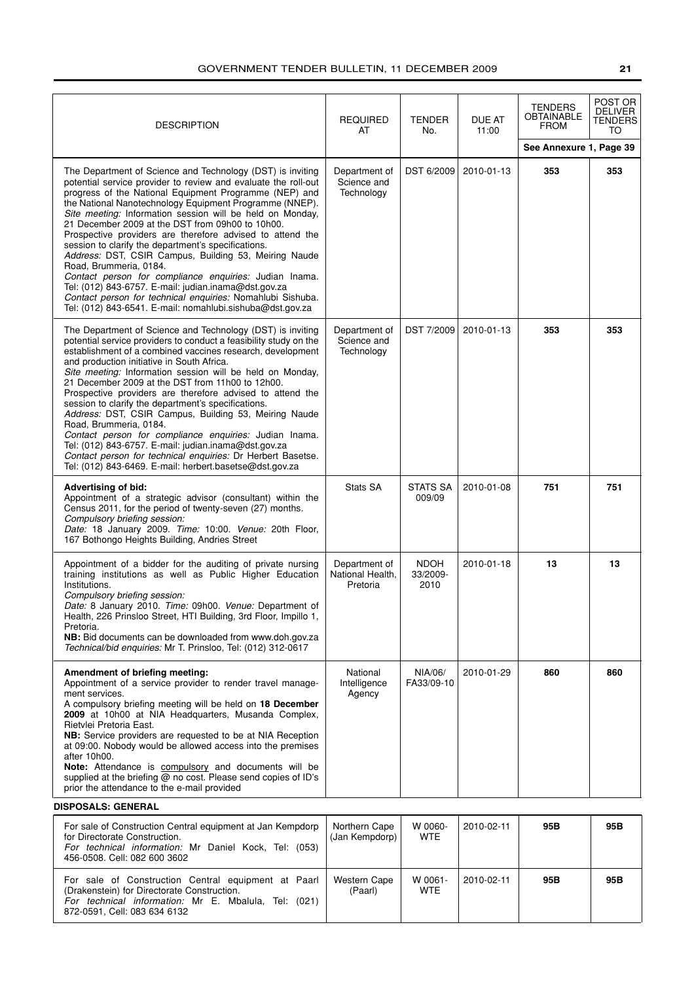| <b>DESCRIPTION</b>                                                                                                                                                                                                                                                                                                                                                                                                                                                                                                                                                                                                                                                                                                                                                                                                     | <b>REQUIRED</b><br>AT                         | <b>TENDER</b><br>No.            | <b>DUE AT</b><br>11:00 | <b>TENDERS</b><br>OBTAINABLE<br><b>FROM</b> | POST OR<br><b>DELIVER</b><br>TENDERS<br>TO |
|------------------------------------------------------------------------------------------------------------------------------------------------------------------------------------------------------------------------------------------------------------------------------------------------------------------------------------------------------------------------------------------------------------------------------------------------------------------------------------------------------------------------------------------------------------------------------------------------------------------------------------------------------------------------------------------------------------------------------------------------------------------------------------------------------------------------|-----------------------------------------------|---------------------------------|------------------------|---------------------------------------------|--------------------------------------------|
|                                                                                                                                                                                                                                                                                                                                                                                                                                                                                                                                                                                                                                                                                                                                                                                                                        |                                               |                                 |                        | See Annexure 1, Page 39                     |                                            |
| The Department of Science and Technology (DST) is inviting<br>potential service provider to review and evaluate the roll-out<br>progress of the National Equipment Programme (NEP) and<br>the National Nanotechnology Equipment Programme (NNEP).<br>Site meeting: Information session will be held on Monday,<br>21 December 2009 at the DST from 09h00 to 10h00.<br>Prospective providers are therefore advised to attend the<br>session to clarify the department's specifications.<br>Address: DST, CSIR Campus, Building 53, Meiring Naude<br>Road, Brummeria, 0184.<br>Contact person for compliance enquiries: Judian Inama.<br>Tel: (012) 843-6757. E-mail: judian.inama@dst.gov.za<br>Contact person for technical enquiries: Nomahlubi Sishuba.<br>Tel: (012) 843-6541. E-mail: nomahlubi.sishuba@dst.gov.za | Department of<br>Science and<br>Technology    | DST 6/2009                      | 2010-01-13             | 353                                         | 353                                        |
| The Department of Science and Technology (DST) is inviting<br>potential service providers to conduct a feasibility study on the<br>establishment of a combined vaccines research, development<br>and production initiative in South Africa.<br>Site meeting: Information session will be held on Monday,<br>21 December 2009 at the DST from 11h00 to 12h00.<br>Prospective providers are therefore advised to attend the<br>session to clarify the department's specifications.<br>Address: DST, CSIR Campus, Building 53, Meiring Naude<br>Road, Brummeria, 0184.<br>Contact person for compliance enquiries: Judian Inama.<br>Tel: (012) 843-6757. E-mail: judian.inama@dst.gov.za<br>Contact person for technical enquiries: Dr Herbert Basetse.<br>Tel: (012) 843-6469. E-mail: herbert.basetse@dst.gov.za        | Department of<br>Science and<br>Technology    | DST 7/2009                      | 2010-01-13             | 353                                         | 353                                        |
| <b>Advertising of bid:</b><br>Appointment of a strategic advisor (consultant) within the<br>Census 2011, for the period of twenty-seven (27) months.<br>Compulsory briefing session:<br>Date: 18 January 2009. Time: 10:00. Venue: 20th Floor,<br>167 Bothongo Heights Building, Andries Street                                                                                                                                                                                                                                                                                                                                                                                                                                                                                                                        | Stats SA                                      | <b>STATS SA</b><br>009/09       | 2010-01-08             | 751                                         | 751                                        |
| Appointment of a bidder for the auditing of private nursing<br>training institutions as well as Public Higher Education<br>Institutions.<br>Compulsory briefing session:<br>Date: 8 January 2010. Time: 09h00. Venue: Department of<br>Health, 226 Prinsloo Street, HTI Building, 3rd Floor, Impillo 1,<br>Pretoria.<br>NB: Bid documents can be downloaded from www.doh.gov.za<br>Technical/bid enquiries: Mr T. Prinsloo, Tel: (012) 312-0617                                                                                                                                                                                                                                                                                                                                                                        | Department of<br>National Health,<br>Pretoria | <b>NDOH</b><br>33/2009-<br>2010 | 2010-01-18             | 13                                          | 13                                         |
| Amendment of briefing meeting:<br>Appointment of a service provider to render travel manage-<br>ment services.<br>A compulsory briefing meeting will be held on 18 December<br>2009 at 10h00 at NIA Headquarters, Musanda Complex,<br>Rietvlei Pretoria East.<br>NB: Service providers are requested to be at NIA Reception<br>at 09:00. Nobody would be allowed access into the premises<br>after 10h00.<br>Note: Attendance is compulsory and documents will be<br>supplied at the briefing @ no cost. Please send copies of ID's<br>prior the attendance to the e-mail provided                                                                                                                                                                                                                                     | National<br>Intelligence<br>Agency            | NIA/06/<br>FA33/09-10           | 2010-01-29             | 860                                         | 860                                        |
| <b>DISPOSALS: GENERAL</b>                                                                                                                                                                                                                                                                                                                                                                                                                                                                                                                                                                                                                                                                                                                                                                                              |                                               |                                 |                        |                                             |                                            |
| For sale of Construction Central equipment at Jan Kempdorp                                                                                                                                                                                                                                                                                                                                                                                                                                                                                                                                                                                                                                                                                                                                                             | Northern Cape                                 | W 0060-                         | 2010-02-11             | 95B                                         | 95B                                        |

| For sale of Construction Central equipment at Jan Kempdorp<br>for Directorate Construction.<br>For technical information: Mr Daniel Kock, Tel: (053)<br>456-0508, Cell: 082 600 3602       | Northern Cape<br>(Jan Kempdorp) | W 0060-<br><b>WTE</b> | 2010-02-11 | 95B | 95B |
|--------------------------------------------------------------------------------------------------------------------------------------------------------------------------------------------|---------------------------------|-----------------------|------------|-----|-----|
| For sale of Construction Central equipment at Paarl<br>(Drakenstein) for Directorate Construction.<br>For technical information: Mr E. Mbalula, Tel: (021)<br>872-0591, Cell: 083 634 6132 | Western Cape<br>(Paarl)         | W 0061-<br><b>WTE</b> | 2010-02-11 | 95B | 95B |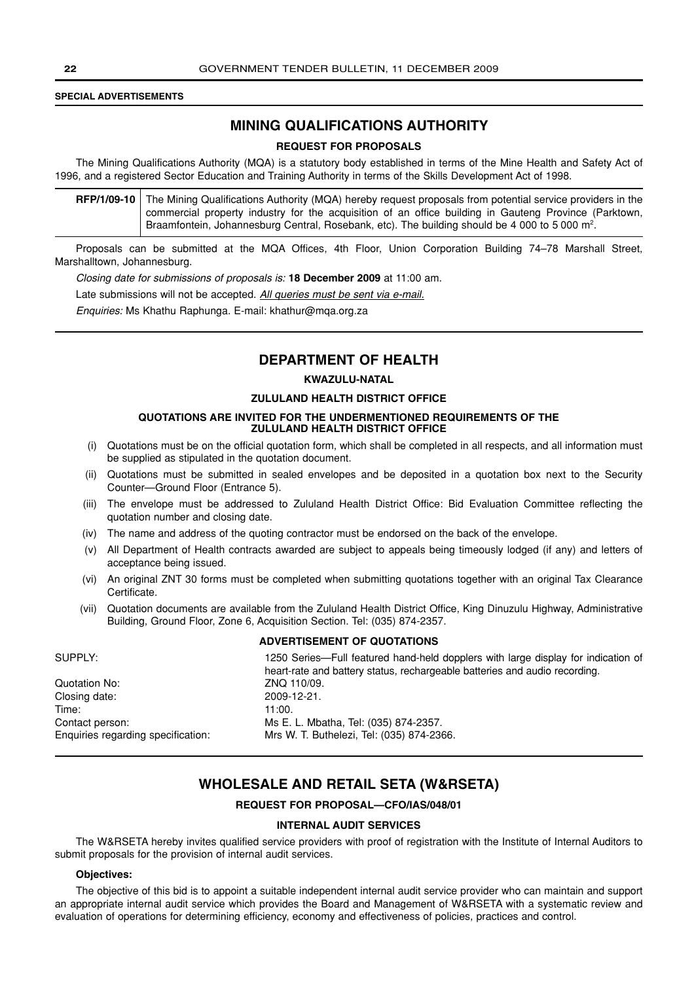#### **SPECIAL ADVERTISEMENTS**

### **MINING QUALIFICATIONS AUTHORITY**

#### **REQUEST FOR PROPOSALS**

The Mining Qualifications Authority (MQA) is a statutory body established in terms of the Mine Health and Safety Act of 1996, and a registered Sector Education and Training Authority in terms of the Skills Development Act of 1998.

**RFP/1/09-10** The Mining Qualifications Authority (MQA) hereby request proposals from potential service providers in the commercial property industry for the acquisition of an office building in Gauteng Province (Parktown, Braamfontein, Johannesburg Central, Rosebank, etc). The building should be 4 000 to 5 000  $m^2$ .

Proposals can be submitted at the MQA Offices, 4th Floor, Union Corporation Building 74–78 Marshall Street, Marshalltown, Johannesburg.

*Closing date for submissions of proposals is:* **18 December 2009** at 11:00 am.

Late submissions will not be accepted. *All queries must be sent via e-mail.*

*Enquiries:* Ms Khathu Raphunga. E-mail: khathur@mqa.org.za

#### **DEPARTMENT OF HEALTH**

#### **KWAZULU-NATAL**

#### **ZULULAND HEALTH DISTRICT OFFICE**

#### **QUOTATIONS ARE INVITED FOR THE UNDERMENTIONED REQUIREMENTS OF THE ZULULAND HEALTH DISTRICT OFFICE**

- (i) Quotations must be on the official quotation form, which shall be completed in all respects, and all information must be supplied as stipulated in the quotation document.
- (ii) Quotations must be submitted in sealed envelopes and be deposited in a quotation box next to the Security Counter—Ground Floor (Entrance 5).
- (iii) The envelope must be addressed to Zululand Health District Office: Bid Evaluation Committee reflecting the quotation number and closing date.
- (iv) The name and address of the quoting contractor must be endorsed on the back of the envelope.
- (v) All Department of Health contracts awarded are subject to appeals being timeously lodged (if any) and letters of acceptance being issued.
- (vi) An original ZNT 30 forms must be completed when submitting quotations together with an original Tax Clearance Certificate.
- (vii) Quotation documents are available from the Zululand Health District Office, King Dinuzulu Highway, Administrative Building, Ground Floor, Zone 6, Acquisition Section. Tel: (035) 874-2357.

|                                    | ADVERTISEMENT OF QUOTATIONS                                                                                                                                     |
|------------------------------------|-----------------------------------------------------------------------------------------------------------------------------------------------------------------|
| SUPPLY:                            | 1250 Series—Full featured hand-held dopplers with large display for indication of<br>heart-rate and battery status, rechargeable batteries and audio recording. |
| Quotation No:                      | ZNQ 110/09.                                                                                                                                                     |
| Closing date:                      | 2009-12-21.                                                                                                                                                     |
| Time:                              | 11:00.                                                                                                                                                          |
| Contact person:                    | Ms E. L. Mbatha, Tel: (035) 874-2357.                                                                                                                           |
| Enquiries regarding specification: | Mrs W. T. Buthelezi, Tel: (035) 874-2366.                                                                                                                       |

**ADVERTISEMENT OF QUOTATIONS**

### **WHOLESALE AND RETAIL SETA (W&RSETA)**

#### **REQUEST FOR PROPOSAL—CFO/IAS/048/01**

#### **INTERNAL AUDIT SERVICES**

The W&RSETA hereby invites qualified service providers with proof of registration with the Institute of Internal Auditors to submit proposals for the provision of internal audit services.

#### **Objectives:**

The objective of this bid is to appoint a suitable independent internal audit service provider who can maintain and support an appropriate internal audit service which provides the Board and Management of W&RSETA with a systematic review and evaluation of operations for determining efficiency, economy and effectiveness of policies, practices and control.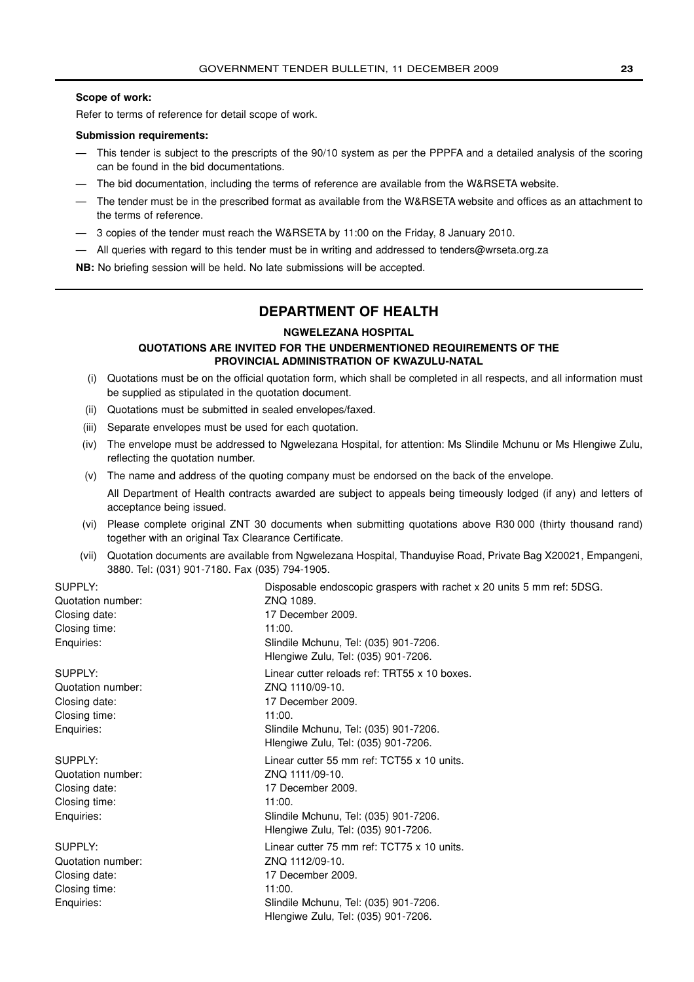#### **Scope of work:**

Refer to terms of reference for detail scope of work.

#### **Submission requirements:**

- This tender is subject to the prescripts of the 90/10 system as per the PPPFA and a detailed analysis of the scoring can be found in the bid documentations.
- The bid documentation, including the terms of reference are available from the W&RSETA website.
- The tender must be in the prescribed format as available from the W&RSETA website and offices as an attachment to the terms of reference.
- 3 copies of the tender must reach the W&RSETA by 11:00 on the Friday, 8 January 2010.
- All queries with regard to this tender must be in writing and addressed to tenders@wrseta.org.za

**NB:** No briefing session will be held. No late submissions will be accepted.

### **DEPARTMENT OF HEALTH**

#### **NGWELEZANA HOSPITAL**

#### **QUOTATIONS ARE INVITED FOR THE UNDERMENTIONED REQUIREMENTS OF THE PROVINCIAL ADMINISTRATION OF KWAZULU-NATAL**

- (i) Quotations must be on the official quotation form, which shall be completed in all respects, and all information must be supplied as stipulated in the quotation document.
- (ii) Quotations must be submitted in sealed envelopes/faxed.
- (iii) Separate envelopes must be used for each quotation.
- (iv) The envelope must be addressed to Ngwelezana Hospital, for attention: Ms Slindile Mchunu or Ms Hlengiwe Zulu, reflecting the quotation number.
- (v) The name and address of the quoting company must be endorsed on the back of the envelope.

All Department of Health contracts awarded are subject to appeals being timeously lodged (if any) and letters of acceptance being issued.

- (vi) Please complete original ZNT 30 documents when submitting quotations above R30 000 (thirty thousand rand) together with an original Tax Clearance Certificate.
- (vii) Quotation documents are available from Ngwelezana Hospital, Thanduyise Road, Private Bag X20021, Empangeni, 3880. Tel: (031) 901-7180. Fax (035) 794-1905.

SUPPLY: Disposable endoscopic graspers with rachet x 20 units 5 mm ref: 5DSG.

Quotation number: <br>
ZNQ 1089. Closing date: 17 December 2009. Closing time: 11:00. Enquiries: Slindile Mchunu, Tel: (035) 901-7206. Hlengiwe Zulu, Tel: (035) 901-7206. SUPPLY: Linear cutter reloads ref: TRT55 x 10 boxes. Quotation number: ZNQ 1110/09-10. Closing date: 17 December 2009. Closing time: 11:00. Enquiries: Slindile Mchunu, Tel: (035) 901-7206. Hlengiwe Zulu, Tel: (035) 901-7206. SUPPLY: SUPPLY: Linear cutter 55 mm ref: TCT55 x 10 units. Quotation number: ZNQ 1111/09-10. Closing date: 17 December 2009. Closing time: 11:00. Enquiries: Slindile Mchunu, Tel: (035) 901-7206. Hlengiwe Zulu, Tel: (035) 901-7206. SUPPLY: 
Linear cutter 75 mm ref: TCT75 x 10 units. Quotation number: ZNQ 1112/09-10. Closing date: 17 December 2009. Closing time: 11:00. Enquiries: Slindile Mchunu, Tel: (035) 901-7206. Hlengiwe Zulu, Tel: (035) 901-7206.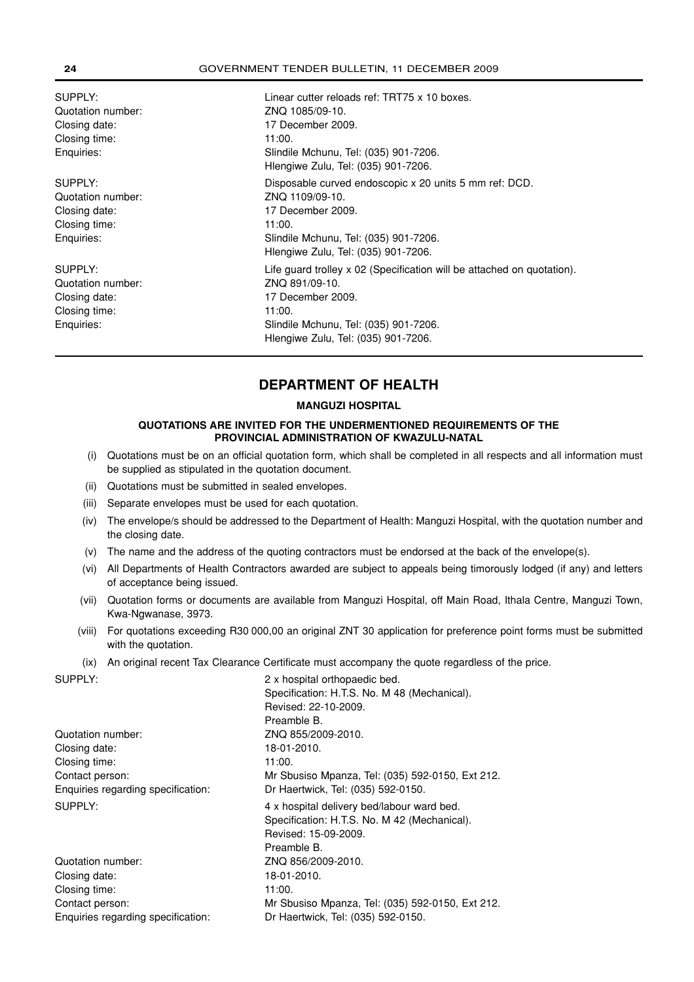### SUPPLY: Linear cutter reloads ref: TRT75 x 10 boxes. Quotation number: ZNQ 1085/09-10. Closing date: 17 December 2009. Closing time: 11:00. Enquiries: Slindile Mchunu, Tel: (035) 901-7206. Hlengiwe Zulu, Tel: (035) 901-7206. SUPPLY: Disposable curved endoscopic x 20 units 5 mm ref: DCD. Quotation number: ZNQ 1109/09-10.

Closing date: 17 December 2009. Closing time: 11:00. Enquiries: Slindile Mchunu, Tel: (035) 901-7206.

SUPPLY: SUPPLY: Quotation number: ZNQ 891/09-10. Closing date: 17 December 2009. Closing time: 11:00. Enquiries: Slindile Mchunu, Tel: (035) 901-7206.

### **DEPARTMENT OF HEALTH**

Hlengiwe Zulu, Tel: (035) 901-7206.

Hlengiwe Zulu, Tel: (035) 901-7206.

#### **MANGUZI HOSPITAL**

#### **QUOTATIONS ARE INVITED FOR THE UNDERMENTIONED REQUIREMENTS OF THE PROVINCIAL ADMINISTRATION OF KWAZULU-NATAL**

- (i) Quotations must be on an official quotation form, which shall be completed in all respects and all information must be supplied as stipulated in the quotation document.
- (ii) Quotations must be submitted in sealed envelopes.
- (iii) Separate envelopes must be used for each quotation.
- (iv) The envelope/s should be addressed to the Department of Health: Manguzi Hospital, with the quotation number and the closing date.
- (v) The name and the address of the quoting contractors must be endorsed at the back of the envelope(s).
- (vi) All Departments of Health Contractors awarded are subject to appeals being timorously lodged (if any) and letters of acceptance being issued.
- (vii) Quotation forms or documents are available from Manguzi Hospital, off Main Road, Ithala Centre, Manguzi Town, Kwa-Ngwanase, 3973.
- (viii) For quotations exceeding R30 000,00 an original ZNT 30 application for preference point forms must be submitted with the quotation.
- (ix) An original recent Tax Clearance Certificate must accompany the quote regardless of the price.

SUPPLY: 2 x hospital orthopaedic bed.

|                                    | Specification: H.T.S. No. M 48 (Mechanical).     |
|------------------------------------|--------------------------------------------------|
|                                    | Revised: 22-10-2009.                             |
|                                    | Preamble B.                                      |
| Quotation number:                  | ZNQ 855/2009-2010.                               |
| Closing date:                      | 18-01-2010.                                      |
| Closing time:                      | 11:00.                                           |
| Contact person:                    | Mr Sbusiso Mpanza, Tel: (035) 592-0150, Ext 212. |
| Enquiries regarding specification: | Dr Haertwick, Tel: (035) 592-0150.               |
| SUPPLY:                            | 4 x hospital delivery bed/labour ward bed.       |
|                                    | Specification: H.T.S. No. M 42 (Mechanical).     |
|                                    | Revised: 15-09-2009.                             |
|                                    | Preamble B.                                      |
| Quotation number:                  | ZNQ 856/2009-2010.                               |
| Closing date:                      | 18-01-2010.                                      |
| Closing time:                      | 11:00.                                           |
| Contact person:                    | Mr Sbusiso Mpanza, Tel: (035) 592-0150, Ext 212. |
| Enquiries regarding specification: | Dr Haertwick, Tel: (035) 592-0150.               |
|                                    |                                                  |

#### **24** GOVERNMENT TENDER BULLETIN, 11 DECEMBER 2009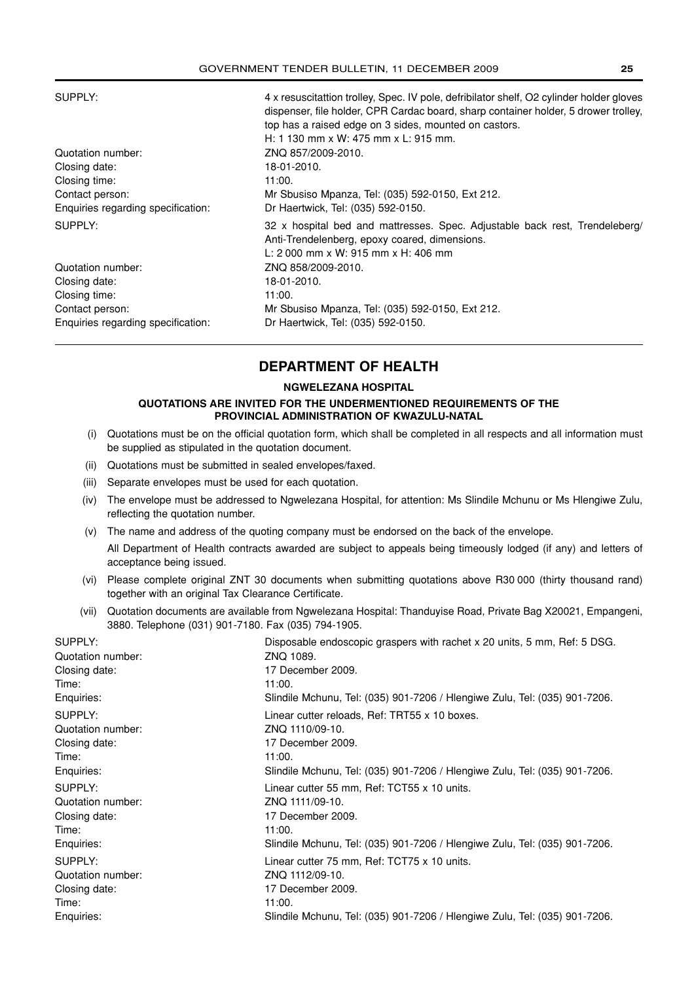| H: 1 130 mm x W: 475 mm x L: 915 mm.<br>Quotation number:<br>ZNQ 857/2009-2010.<br>18-01-2010.<br>Closing date:<br>Closing time:<br>11:00.<br>Mr Sbusiso Mpanza, Tel: (035) 592-0150, Ext 212.<br>Contact person:<br>Enquiries regarding specification:<br>Dr Haertwick, Tel: (035) 592-0150.<br>SUPPLY:<br>Anti-Trendelenberg, epoxy coared, dimensions.<br>L: 2 000 mm x W: 915 mm x H: 406 mm<br>Quotation number:<br>ZNQ 858/2009-2010.<br>Closing date:<br>18-01-2010.<br>Closing time:<br>11:00.<br>Mr Sbusiso Mpanza, Tel: (035) 592-0150, Ext 212.<br>Contact person: | SUPPLY:                            | 4 x resuscitattion trolley, Spec. IV pole, defribilator shelf, O2 cylinder holder gloves<br>dispenser, file holder, CPR Cardac board, sharp container holder, 5 drower trolley,<br>top has a raised edge on 3 sides, mounted on castors. |  |
|-------------------------------------------------------------------------------------------------------------------------------------------------------------------------------------------------------------------------------------------------------------------------------------------------------------------------------------------------------------------------------------------------------------------------------------------------------------------------------------------------------------------------------------------------------------------------------|------------------------------------|------------------------------------------------------------------------------------------------------------------------------------------------------------------------------------------------------------------------------------------|--|
|                                                                                                                                                                                                                                                                                                                                                                                                                                                                                                                                                                               |                                    |                                                                                                                                                                                                                                          |  |
|                                                                                                                                                                                                                                                                                                                                                                                                                                                                                                                                                                               |                                    |                                                                                                                                                                                                                                          |  |
|                                                                                                                                                                                                                                                                                                                                                                                                                                                                                                                                                                               |                                    |                                                                                                                                                                                                                                          |  |
|                                                                                                                                                                                                                                                                                                                                                                                                                                                                                                                                                                               |                                    |                                                                                                                                                                                                                                          |  |
|                                                                                                                                                                                                                                                                                                                                                                                                                                                                                                                                                                               |                                    |                                                                                                                                                                                                                                          |  |
|                                                                                                                                                                                                                                                                                                                                                                                                                                                                                                                                                                               |                                    |                                                                                                                                                                                                                                          |  |
|                                                                                                                                                                                                                                                                                                                                                                                                                                                                                                                                                                               |                                    | 32 x hospital bed and mattresses. Spec. Adjustable back rest, Trendeleberg/                                                                                                                                                              |  |
|                                                                                                                                                                                                                                                                                                                                                                                                                                                                                                                                                                               |                                    |                                                                                                                                                                                                                                          |  |
|                                                                                                                                                                                                                                                                                                                                                                                                                                                                                                                                                                               |                                    |                                                                                                                                                                                                                                          |  |
|                                                                                                                                                                                                                                                                                                                                                                                                                                                                                                                                                                               |                                    |                                                                                                                                                                                                                                          |  |
|                                                                                                                                                                                                                                                                                                                                                                                                                                                                                                                                                                               |                                    |                                                                                                                                                                                                                                          |  |
|                                                                                                                                                                                                                                                                                                                                                                                                                                                                                                                                                                               | Enquiries regarding specification: | Dr Haertwick, Tel: (035) 592-0150.                                                                                                                                                                                                       |  |

### **DEPARTMENT OF HEALTH**

#### **NGWELEZANA HOSPITAL**

#### **QUOTATIONS ARE INVITED FOR THE UNDERMENTIONED REQUIREMENTS OF THE PROVINCIAL ADMINISTRATION OF KWAZULU-NATAL**

- (i) Quotations must be on the official quotation form, which shall be completed in all respects and all information must be supplied as stipulated in the quotation document.
- (ii) Quotations must be submitted in sealed envelopes/faxed.
- (iii) Separate envelopes must be used for each quotation.
- (iv) The envelope must be addressed to Ngwelezana Hospital, for attention: Ms Slindile Mchunu or Ms Hlengiwe Zulu, reflecting the quotation number.
- (v) The name and address of the quoting company must be endorsed on the back of the envelope.

All Department of Health contracts awarded are subject to appeals being timeously lodged (if any) and letters of acceptance being issued.

- (vi) Please complete original ZNT 30 documents when submitting quotations above R30 000 (thirty thousand rand) together with an original Tax Clearance Certificate.
- (vii) Quotation documents are available from Ngwelezana Hospital: Thanduyise Road, Private Bag X20021, Empangeni, 3880. Telephone (031) 901-7180. Fax (035) 794-1905.

| SUPPLY:           | Disposable endoscopic graspers with rachet x 20 units, 5 mm, Ref: 5 DSG.   |
|-------------------|----------------------------------------------------------------------------|
| Quotation number: | ZNO 1089.                                                                  |
| Closing date:     | 17 December 2009.                                                          |
| Time:             | 11:00.                                                                     |
| Enquiries:        | Slindile Mchunu, Tel: (035) 901-7206 / Hlengiwe Zulu, Tel: (035) 901-7206. |
| SUPPLY:           | Linear cutter reloads, Ref: TRT55 x 10 boxes.                              |
| Quotation number: | ZNQ 1110/09-10.                                                            |
| Closing date:     | 17 December 2009.                                                          |
| Time:             | 11:00.                                                                     |
| Enquiries:        | Slindile Mchunu, Tel: (035) 901-7206 / Hlengiwe Zulu, Tel: (035) 901-7206. |
| SUPPLY:           | Linear cutter 55 mm, Ref: TCT55 x 10 units.                                |
| Quotation number: | ZNQ 1111/09-10.                                                            |
| Closing date:     | 17 December 2009.                                                          |
| Time:             | 11:00.                                                                     |
| Enquiries:        | Slindile Mchunu, Tel: (035) 901-7206 / Hlengiwe Zulu, Tel: (035) 901-7206. |
| SUPPLY:           | Linear cutter 75 mm, Ref: TCT75 x 10 units.                                |
| Quotation number: | ZNQ 1112/09-10.                                                            |
| Closing date:     | 17 December 2009.                                                          |
| Time:             | 11:00.                                                                     |
| Enquiries:        | Slindile Mchunu, Tel: (035) 901-7206 / Hlengiwe Zulu, Tel: (035) 901-7206. |
|                   |                                                                            |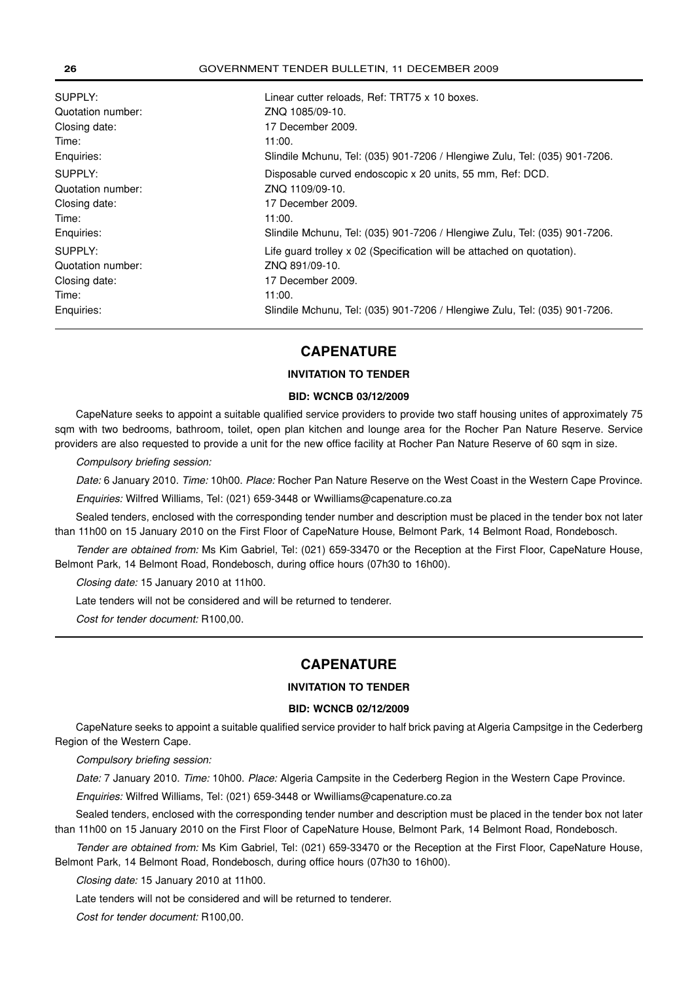| SUPPLY:           | Linear cutter reloads, Ref: TRT75 x 10 boxes.                              |
|-------------------|----------------------------------------------------------------------------|
| Quotation number: | ZNQ 1085/09-10.                                                            |
| Closing date:     | 17 December 2009.                                                          |
| Time:             | 11:00.                                                                     |
| Enquiries:        | Slindile Mchunu, Tel: (035) 901-7206 / Hlengiwe Zulu, Tel: (035) 901-7206. |
| SUPPLY:           | Disposable curved endoscopic x 20 units, 55 mm, Ref: DCD.                  |
| Quotation number: | ZNO 1109/09-10.                                                            |
| Closing date:     | 17 December 2009.                                                          |
| Time:             | 11:00.                                                                     |
| Enquiries:        | Slindile Mchunu, Tel: (035) 901-7206 / Hlengiwe Zulu, Tel: (035) 901-7206. |
| SUPPLY:           | Life guard trolley x 02 (Specification will be attached on quotation).     |
| Quotation number: | ZNO 891/09-10.                                                             |
| Closing date:     | 17 December 2009.                                                          |
| Time:             | 11:00.                                                                     |
| Enquiries:        | Slindile Mchunu, Tel: (035) 901-7206 / Hlengiwe Zulu, Tel: (035) 901-7206. |

### **CAPENATURE**

#### **INVITATION TO TENDER**

#### **BID: WCNCB 03/12/2009**

CapeNature seeks to appoint a suitable qualified service providers to provide two staff housing unites of approximately 75 sqm with two bedrooms, bathroom, toilet, open plan kitchen and lounge area for the Rocher Pan Nature Reserve. Service providers are also requested to provide a unit for the new office facility at Rocher Pan Nature Reserve of 60 sqm in size.

#### *Compulsory briefing session:*

*Date:* 6 January 2010. *Time:* 10h00. *Place:* Rocher Pan Nature Reserve on the West Coast in the Western Cape Province. *Enquiries:* Wilfred Williams, Tel: (021) 659-3448 or Wwilliams@capenature.co.za

Sealed tenders, enclosed with the corresponding tender number and description must be placed in the tender box not later than 11h00 on 15 January 2010 on the First Floor of CapeNature House, Belmont Park, 14 Belmont Road, Rondebosch.

*Tender are obtained from:* Ms Kim Gabriel, Tel: (021) 659-33470 or the Reception at the First Floor, CapeNature House, Belmont Park, 14 Belmont Road, Rondebosch, during office hours (07h30 to 16h00).

*Closing date:* 15 January 2010 at 11h00.

Late tenders will not be considered and will be returned to tenderer.

*Cost for tender document:* R100,00.

#### **CAPENATURE**

#### **INVITATION TO TENDER**

#### **BID: WCNCB 02/12/2009**

CapeNature seeks to appoint a suitable qualified service provider to half brick paving at Algeria Campsitge in the Cederberg Region of the Western Cape.

*Compulsory briefing session:*

*Date:* 7 January 2010. *Time:* 10h00. *Place:* Algeria Campsite in the Cederberg Region in the Western Cape Province.

*Enquiries:* Wilfred Williams, Tel: (021) 659-3448 or Wwilliams@capenature.co.za

Sealed tenders, enclosed with the corresponding tender number and description must be placed in the tender box not later than 11h00 on 15 January 2010 on the First Floor of CapeNature House, Belmont Park, 14 Belmont Road, Rondebosch.

*Tender are obtained from:* Ms Kim Gabriel, Tel: (021) 659-33470 or the Reception at the First Floor, CapeNature House, Belmont Park, 14 Belmont Road, Rondebosch, during office hours (07h30 to 16h00).

*Closing date:* 15 January 2010 at 11h00.

Late tenders will not be considered and will be returned to tenderer.

*Cost for tender document:* R100,00.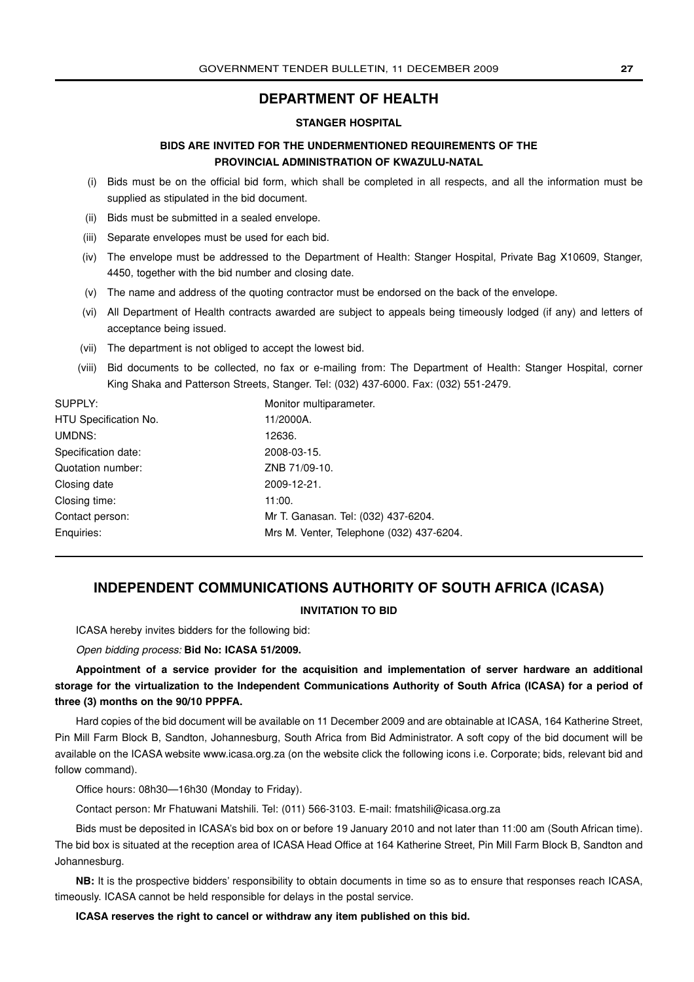### **DEPARTMENT OF HEALTH**

#### **STANGER HOSPITAL**

#### **BIDS ARE INVITED FOR THE UNDERMENTIONED REQUIREMENTS OF THE PROVINCIAL ADMINISTRATION OF KWAZULU-NATAL**

- (i) Bids must be on the official bid form, which shall be completed in all respects, and all the information must be supplied as stipulated in the bid document.
- (ii) Bids must be submitted in a sealed envelope.
- (iii) Separate envelopes must be used for each bid.
- (iv) The envelope must be addressed to the Department of Health: Stanger Hospital, Private Bag X10609, Stanger, 4450, together with the bid number and closing date.
- (v) The name and address of the quoting contractor must be endorsed on the back of the envelope.
- (vi) All Department of Health contracts awarded are subject to appeals being timeously lodged (if any) and letters of acceptance being issued.
- (vii) The department is not obliged to accept the lowest bid.
- (viii) Bid documents to be collected, no fax or e-mailing from: The Department of Health: Stanger Hospital, corner King Shaka and Patterson Streets, Stanger. Tel: (032) 437-6000. Fax: (032) 551-2479.

| SUPPLY:               | Monitor multiparameter.                  |
|-----------------------|------------------------------------------|
| HTU Specification No. | 11/2000A.                                |
| UMDNS:                | 12636.                                   |
| Specification date:   | 2008-03-15.                              |
| Quotation number:     | ZNB 71/09-10.                            |
| Closing date          | 2009-12-21.                              |
| Closing time:         | 11:00.                                   |
| Contact person:       | Mr T. Ganasan. Tel: (032) 437-6204.      |
| Enquiries:            | Mrs M. Venter, Telephone (032) 437-6204. |
|                       |                                          |

### **INDEPENDENT COMMUNICATIONS AUTHORITY OF SOUTH AFRICA (ICASA)**

#### **INVITATION TO BID**

ICASA hereby invites bidders for the following bid:

#### *Open bidding process:* **Bid No: ICASA 51/2009.**

**Appointment of a service provider for the acquisition and implementation of server hardware an additional storage for the virtualization to the Independent Communications Authority of South Africa (ICASA) for a period of three (3) months on the 90/10 PPPFA.**

Hard copies of the bid document will be available on 11 December 2009 and are obtainable at ICASA, 164 Katherine Street, Pin Mill Farm Block B, Sandton, Johannesburg, South Africa from Bid Administrator. A soft copy of the bid document will be available on the ICASA website www.icasa.org.za (on the website click the following icons i.e. Corporate; bids, relevant bid and follow command).

Office hours: 08h30—16h30 (Monday to Friday).

Contact person: Mr Fhatuwani Matshili. Tel: (011) 566-3103. E-mail: fmatshili@icasa.org.za

Bids must be deposited in ICASA's bid box on or before 19 January 2010 and not later than 11:00 am (South African time). The bid box is situated at the reception area of ICASA Head Office at 164 Katherine Street, Pin Mill Farm Block B, Sandton and Johannesburg.

**NB:** It is the prospective bidders' responsibility to obtain documents in time so as to ensure that responses reach ICASA, timeously. ICASA cannot be held responsible for delays in the postal service.

#### **ICASA reserves the right to cancel or withdraw any item published on this bid.**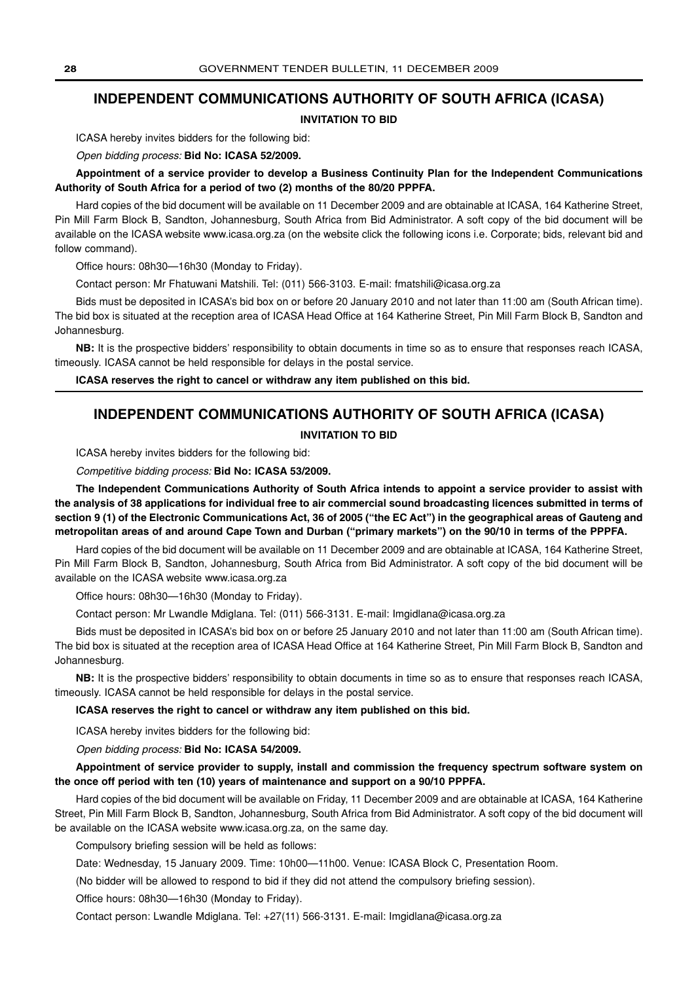#### **INDEPENDENT COMMUNICATIONS AUTHORITY OF SOUTH AFRICA (ICASA)**

#### **INVITATION TO BID**

ICASA hereby invites bidders for the following bid:

*Open bidding process:* **Bid No: ICASA 52/2009.**

**Appointment of a service provider to develop a Business Continuity Plan for the Independent Communications Authority of South Africa for a period of two (2) months of the 80/20 PPPFA.**

Hard copies of the bid document will be available on 11 December 2009 and are obtainable at ICASA, 164 Katherine Street, Pin Mill Farm Block B, Sandton, Johannesburg, South Africa from Bid Administrator. A soft copy of the bid document will be available on the ICASA website www.icasa.org.za (on the website click the following icons i.e. Corporate; bids, relevant bid and follow command).

Office hours: 08h30—16h30 (Monday to Friday).

Contact person: Mr Fhatuwani Matshili. Tel: (011) 566-3103. E-mail: fmatshili@icasa.org.za

Bids must be deposited in ICASA's bid box on or before 20 January 2010 and not later than 11:00 am (South African time). The bid box is situated at the reception area of ICASA Head Office at 164 Katherine Street, Pin Mill Farm Block B, Sandton and Johannesburg.

**NB:** It is the prospective bidders' responsibility to obtain documents in time so as to ensure that responses reach ICASA, timeously. ICASA cannot be held responsible for delays in the postal service.

**ICASA reserves the right to cancel or withdraw any item published on this bid.**

### **INDEPENDENT COMMUNICATIONS AUTHORITY OF SOUTH AFRICA (ICASA)**

#### **INVITATION TO BID**

ICASA hereby invites bidders for the following bid:

*Competitive bidding process:* **Bid No: ICASA 53/2009.**

**The Independent Communications Authority of South Africa intends to appoint a service provider to assist with the analysis of 38 applications for individual free to air commercial sound broadcasting licences submitted in terms of section 9 (1) of the Electronic Communications Act, 36 of 2005 ("the EC Act") in the geographical areas of Gauteng and metropolitan areas of and around Cape Town and Durban ("primary markets") on the 90/10 in terms of the PPPFA.**

Hard copies of the bid document will be available on 11 December 2009 and are obtainable at ICASA, 164 Katherine Street, Pin Mill Farm Block B, Sandton, Johannesburg, South Africa from Bid Administrator. A soft copy of the bid document will be available on the ICASA website www.icasa.org.za

Office hours: 08h30—16h30 (Monday to Friday).

Contact person: Mr Lwandle Mdiglana. Tel: (011) 566-3131. E-mail: Imgidlana@icasa.org.za

Bids must be deposited in ICASA's bid box on or before 25 January 2010 and not later than 11:00 am (South African time). The bid box is situated at the reception area of ICASA Head Office at 164 Katherine Street, Pin Mill Farm Block B, Sandton and Johannesburg.

**NB:** It is the prospective bidders' responsibility to obtain documents in time so as to ensure that responses reach ICASA, timeously. ICASA cannot be held responsible for delays in the postal service.

**ICASA reserves the right to cancel or withdraw any item published on this bid.**

ICASA hereby invites bidders for the following bid:

*Open bidding process:* **Bid No: ICASA 54/2009.**

**Appointment of service provider to supply, install and commission the frequency spectrum software system on the once off period with ten (10) years of maintenance and support on a 90/10 PPPFA.**

Hard copies of the bid document will be available on Friday, 11 December 2009 and are obtainable at ICASA, 164 Katherine Street, Pin Mill Farm Block B, Sandton, Johannesburg, South Africa from Bid Administrator. A soft copy of the bid document will be available on the ICASA website www.icasa.org.za, on the same day.

Compulsory briefing session will be held as follows:

Date: Wednesday, 15 January 2009. Time: 10h00—11h00. Venue: ICASA Block C, Presentation Room.

(No bidder will be allowed to respond to bid if they did not attend the compulsory briefing session).

Office hours: 08h30—16h30 (Monday to Friday).

Contact person: Lwandle Mdiglana. Tel: +27(11) 566-3131. E-mail: Imgidlana@icasa.org.za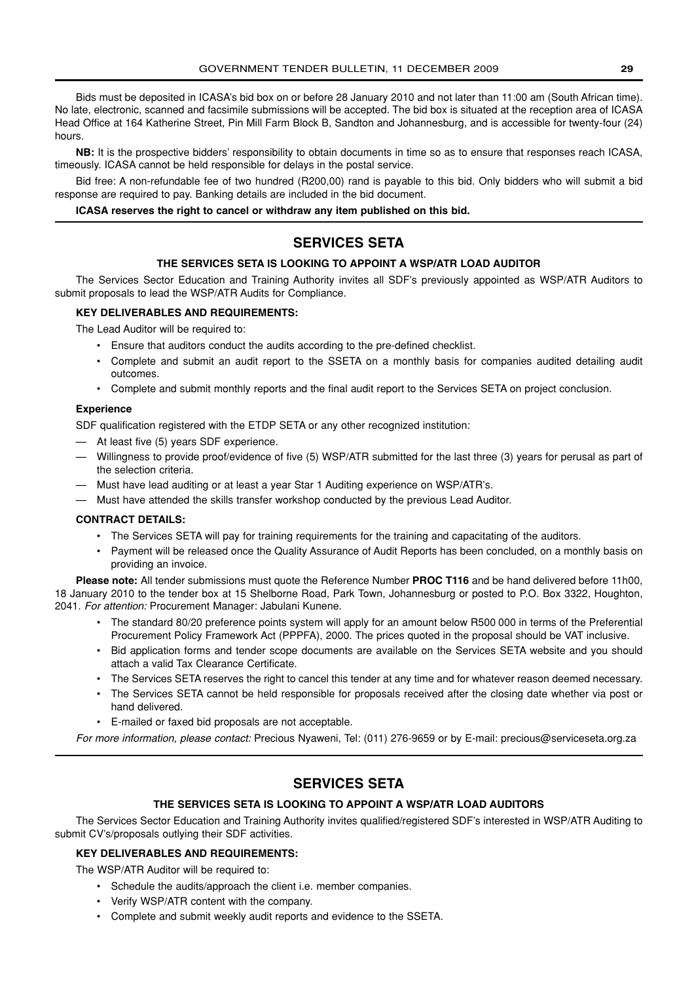Bids must be deposited in ICASA's bid box on or before 28 January 2010 and not later than 11:00 am (South African time). No late, electronic, scanned and facsimile submissions will be accepted. The bid box is situated at the reception area of ICASA Head Office at 164 Katherine Street, Pin Mill Farm Block B, Sandton and Johannesburg, and is accessible for twenty-four (24) hours.

**NB:** It is the prospective bidders' responsibility to obtain documents in time so as to ensure that responses reach ICASA, timeously. ICASA cannot be held responsible for delays in the postal service.

Bid free: A non-refundable fee of two hundred (R200,00) rand is payable to this bid. Only bidders who will submit a bid response are required to pay. Banking details are included in the bid document.

**ICASA reserves the right to cancel or withdraw any item published on this bid.**

### **SERVICES SETA**

#### **THE SERVICES SETA IS LOOKING TO APPOINT A WSP/ATR LOAD AUDITOR**

The Services Sector Education and Training Authority invites all SDF's previously appointed as WSP/ATR Auditors to submit proposals to lead the WSP/ATR Audits for Compliance.

#### **KEY DELIVERABLES AND REQUIREMENTS:**

The Lead Auditor will be required to:

- Ensure that auditors conduct the audits according to the pre-defined checklist.
- Complete and submit an audit report to the SSETA on a monthly basis for companies audited detailing audit outcomes.
- Complete and submit monthly reports and the final audit report to the Services SETA on project conclusion.

#### **Experience**

SDF qualification registered with the ETDP SETA or any other recognized institution:

- At least five (5) years SDF experience.
- Willingness to provide proof/evidence of five (5) WSP/ATR submitted for the last three (3) years for perusal as part of the selection criteria.
- Must have lead auditing or at least a year Star 1 Auditing experience on WSP/ATR's.
- Must have attended the skills transfer workshop conducted by the previous Lead Auditor.

#### **CONTRACT DETAILS:**

- The Services SETA will pay for training requirements for the training and capacitating of the auditors.
- Payment will be released once the Quality Assurance of Audit Reports has been concluded, on a monthly basis on providing an invoice.

**Please note:** All tender submissions must quote the Reference Number **PROC T116** and be hand delivered before 11h00, 18 January 2010 to the tender box at 15 Shelborne Road, Park Town, Johannesburg or posted to P.O. Box 3322, Houghton, 2041. *For attention:* Procurement Manager: Jabulani Kunene.

- The standard 80/20 preference points system will apply for an amount below R500 000 in terms of the Preferential Procurement Policy Framework Act (PPPFA), 2000. The prices quoted in the proposal should be VAT inclusive.
- Bid application forms and tender scope documents are available on the Services SETA website and you should attach a valid Tax Clearance Certificate.
- The Services SETA reserves the right to cancel this tender at any time and for whatever reason deemed necessary.
- The Services SETA cannot be held responsible for proposals received after the closing date whether via post or hand delivered.
- E-mailed or faxed bid proposals are not acceptable.

*For more information, please contact:* Precious Nyaweni, Tel: (011) 276-9659 or by E-mail: precious@serviceseta.org.za

### **SERVICES SETA**

#### **THE SERVICES SETA IS LOOKING TO APPOINT A WSP/ATR LOAD AUDITORS**

The Services Sector Education and Training Authority invites qualified/registered SDF's interested in WSP/ATR Auditing to submit CV's/proposals outlying their SDF activities.

#### **KEY DELIVERABLES AND REQUIREMENTS:**

The WSP/ATR Auditor will be required to:

- Schedule the audits/approach the client i.e. member companies.
- Verify WSP/ATR content with the company.
- Complete and submit weekly audit reports and evidence to the SSETA.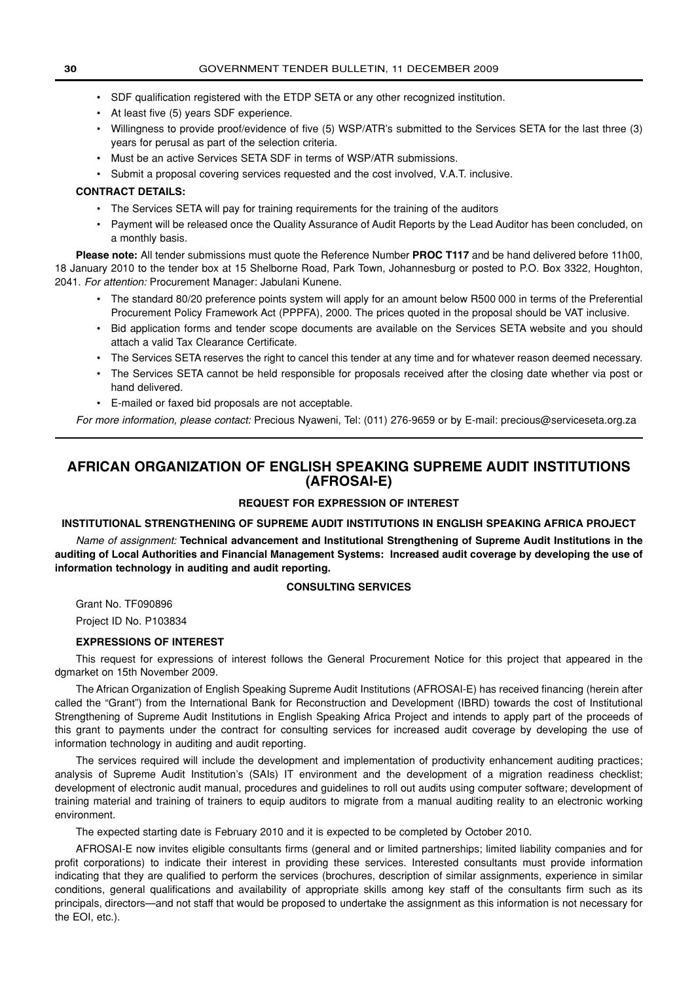- SDF qualification registered with the ETDP SETA or any other recognized institution.
- At least five (5) years SDF experience.
- Willingness to provide proof/evidence of five (5) WSP/ATR's submitted to the Services SETA for the last three (3) years for perusal as part of the selection criteria.
- Must be an active Services SETA SDF in terms of WSP/ATR submissions.
- Submit a proposal covering services requested and the cost involved, V.A.T. inclusive.

#### **CONTRACT DETAILS:**

- The Services SETA will pay for training requirements for the training of the auditors
- Payment will be released once the Quality Assurance of Audit Reports by the Lead Auditor has been concluded, on a monthly basis.

**Please note:** All tender submissions must quote the Reference Number **PROC T117** and be hand delivered before 11h00, 18 January 2010 to the tender box at 15 Shelborne Road, Park Town, Johannesburg or posted to P.O. Box 3322, Houghton, 2041. *For attention:* Procurement Manager: Jabulani Kunene.

- The standard 80/20 preference points system will apply for an amount below R500 000 in terms of the Preferential Procurement Policy Framework Act (PPPFA), 2000. The prices quoted in the proposal should be VAT inclusive.
- Bid application forms and tender scope documents are available on the Services SETA website and you should attach a valid Tax Clearance Certificate.
- The Services SETA reserves the right to cancel this tender at any time and for whatever reason deemed necessary.
- The Services SETA cannot be held responsible for proposals received after the closing date whether via post or hand delivered.
- E-mailed or faxed bid proposals are not acceptable.

*For more information, please contact:* Precious Nyaweni, Tel: (011) 276-9659 or by E-mail: precious@serviceseta.org.za

### **AFRICAN ORGANIZATION OF ENGLISH SPEAKING SUPREME AUDIT INSTITUTIONS (AFROSAI-E)**

#### **REQUEST FOR EXPRESSION OF INTEREST**

#### **INSTITUTIONAL STRENGTHENING OF SUPREME AUDIT INSTITUTIONS IN ENGLISH SPEAKING AFRICA PROJECT**

*Name of assignment:* **Technical advancement and Institutional Strengthening of Supreme Audit Institutions in the auditing of Local Authorities and Financial Management Systems: Increased audit coverage by developing the use of information technology in auditing and audit reporting.**

#### **CONSULTING SERVICES**

Grant No. TF090896

Project ID No. P103834

#### **EXPRESSIONS OF INTEREST**

This request for expressions of interest follows the General Procurement Notice for this project that appeared in the dgmarket on 15th November 2009.

The African Organization of English Speaking Supreme Audit Institutions (AFROSAI-E) has received financing (herein after called the "Grant") from the International Bank for Reconstruction and Development (IBRD) towards the cost of Institutional Strengthening of Supreme Audit Institutions in English Speaking Africa Project and intends to apply part of the proceeds of this grant to payments under the contract for consulting services for increased audit coverage by developing the use of information technology in auditing and audit reporting.

The services required will include the development and implementation of productivity enhancement auditing practices; analysis of Supreme Audit Institution's (SAIs) IT environment and the development of a migration readiness checklist; development of electronic audit manual, procedures and guidelines to roll out audits using computer software; development of training material and training of trainers to equip auditors to migrate from a manual auditing reality to an electronic working environment.

The expected starting date is February 2010 and it is expected to be completed by October 2010.

AFROSAI-E now invites eligible consultants firms (general and or limited partnerships; limited liability companies and for profit corporations) to indicate their interest in providing these services. Interested consultants must provide information indicating that they are qualified to perform the services (brochures, description of similar assignments, experience in similar conditions, general qualifications and availability of appropriate skills among key staff of the consultants firm such as its principals, directors—and not staff that would be proposed to undertake the assignment as this information is not necessary for the EOI, etc.).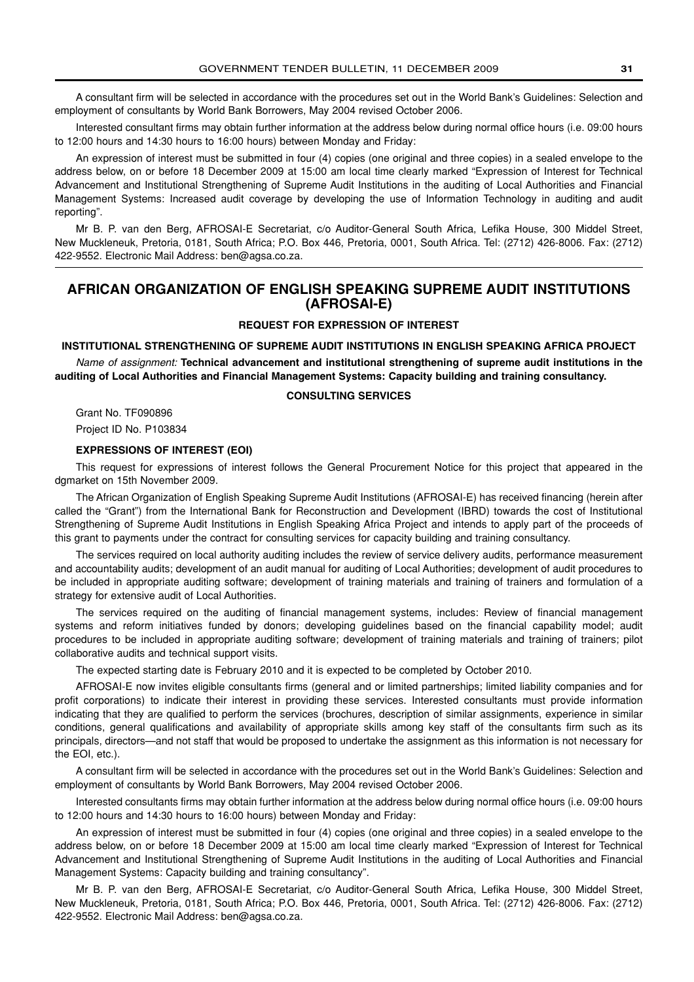A consultant firm will be selected in accordance with the procedures set out in the World Bank's Guidelines: Selection and employment of consultants by World Bank Borrowers, May 2004 revised October 2006.

Interested consultant firms may obtain further information at the address below during normal office hours (i.e. 09:00 hours to 12:00 hours and 14:30 hours to 16:00 hours) between Monday and Friday:

An expression of interest must be submitted in four (4) copies (one original and three copies) in a sealed envelope to the address below, on or before 18 December 2009 at 15:00 am local time clearly marked "Expression of Interest for Technical Advancement and Institutional Strengthening of Supreme Audit Institutions in the auditing of Local Authorities and Financial Management Systems: Increased audit coverage by developing the use of Information Technology in auditing and audit reporting".

Mr B. P. van den Berg, AFROSAI-E Secretariat, c/o Auditor-General South Africa, Lefika House, 300 Middel Street, New Muckleneuk, Pretoria, 0181, South Africa; P.O. Box 446, Pretoria, 0001, South Africa. Tel: (2712) 426-8006. Fax: (2712) 422-9552. Electronic Mail Address: ben@agsa.co.za.

### **AFRICAN ORGANIZATION OF ENGLISH SPEAKING SUPREME AUDIT INSTITUTIONS (AFROSAI-E)**

#### **REQUEST FOR EXPRESSION OF INTEREST**

**INSTITUTIONAL STRENGTHENING OF SUPREME AUDIT INSTITUTIONS IN ENGLISH SPEAKING AFRICA PROJECT**  *Name of assignment:* **Technical advancement and institutional strengthening of supreme audit institutions in the auditing of Local Authorities and Financial Management Systems: Capacity building and training consultancy.**

#### **CONSULTING SERVICES**

Grant No. TF090896

Project ID No. P103834

#### **EXPRESSIONS OF INTEREST (EOI)**

This request for expressions of interest follows the General Procurement Notice for this project that appeared in the dgmarket on 15th November 2009.

The African Organization of English Speaking Supreme Audit Institutions (AFROSAI-E) has received financing (herein after called the "Grant") from the International Bank for Reconstruction and Development (IBRD) towards the cost of Institutional Strengthening of Supreme Audit Institutions in English Speaking Africa Project and intends to apply part of the proceeds of this grant to payments under the contract for consulting services for capacity building and training consultancy.

The services required on local authority auditing includes the review of service delivery audits, performance measurement and accountability audits; development of an audit manual for auditing of Local Authorities; development of audit procedures to be included in appropriate auditing software; development of training materials and training of trainers and formulation of a strategy for extensive audit of Local Authorities.

The services required on the auditing of financial management systems, includes: Review of financial management systems and reform initiatives funded by donors; developing guidelines based on the financial capability model; audit procedures to be included in appropriate auditing software; development of training materials and training of trainers; pilot collaborative audits and technical support visits.

The expected starting date is February 2010 and it is expected to be completed by October 2010.

AFROSAI-E now invites eligible consultants firms (general and or limited partnerships; limited liability companies and for profit corporations) to indicate their interest in providing these services. Interested consultants must provide information indicating that they are qualified to perform the services (brochures, description of similar assignments, experience in similar conditions, general qualifications and availability of appropriate skills among key staff of the consultants firm such as its principals, directors—and not staff that would be proposed to undertake the assignment as this information is not necessary for the EOI, etc.).

A consultant firm will be selected in accordance with the procedures set out in the World Bank's Guidelines: Selection and employment of consultants by World Bank Borrowers, May 2004 revised October 2006.

Interested consultants firms may obtain further information at the address below during normal office hours (i.e. 09:00 hours to 12:00 hours and 14:30 hours to 16:00 hours) between Monday and Friday:

An expression of interest must be submitted in four (4) copies (one original and three copies) in a sealed envelope to the address below, on or before 18 December 2009 at 15:00 am local time clearly marked "Expression of Interest for Technical Advancement and Institutional Strengthening of Supreme Audit Institutions in the auditing of Local Authorities and Financial Management Systems: Capacity building and training consultancy".

Mr B. P. van den Berg, AFROSAI-E Secretariat, c/o Auditor-General South Africa, Lefika House, 300 Middel Street, New Muckleneuk, Pretoria, 0181, South Africa; P.O. Box 446, Pretoria, 0001, South Africa. Tel: (2712) 426-8006. Fax: (2712) 422-9552. Electronic Mail Address: ben@agsa.co.za.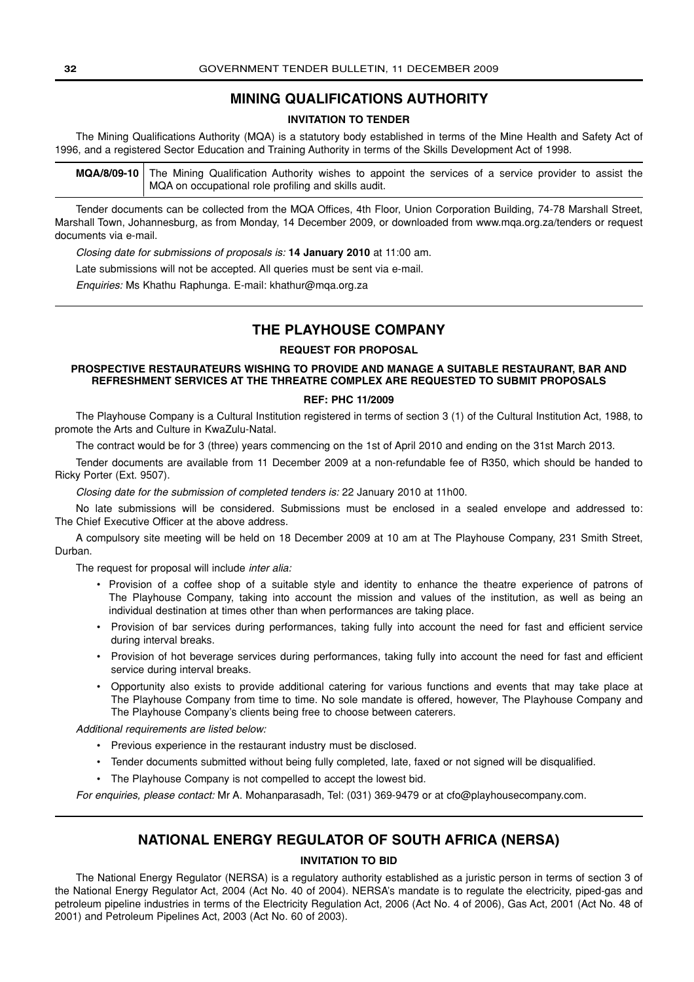### **MINING QUALIFICATIONS AUTHORITY**

#### **INVITATION TO TENDER**

The Mining Qualifications Authority (MQA) is a statutory body established in terms of the Mine Health and Safety Act of 1996, and a registered Sector Education and Training Authority in terms of the Skills Development Act of 1998.

**MQA/8/09-10** The Mining Qualification Authority wishes to appoint the services of a service provider to assist the MQA on occupational role profiling and skills audit.

Tender documents can be collected from the MQA Offices, 4th Floor, Union Corporation Building, 74-78 Marshall Street, Marshall Town, Johannesburg, as from Monday, 14 December 2009, or downloaded from www.mqa.org.za/tenders or request documents via e-mail.

*Closing date for submissions of proposals is:* **14 January 2010** at 11:00 am.

Late submissions will not be accepted. All queries must be sent via e-mail.

*Enquiries:* Ms Khathu Raphunga. E-mail: khathur@mqa.org.za

### **THE PLAYHOUSE COMPANY**

#### **REQUEST FOR PROPOSAL**

#### **PROSPECTIVE RESTAURATEURS WISHING TO PROVIDE AND MANAGE A SUITABLE RESTAURANT, BAR AND REFRESHMENT SERVICES AT THE THREATRE COMPLEX ARE REQUESTED TO SUBMIT PROPOSALS**

#### **REF: PHC 11/2009**

The Playhouse Company is a Cultural Institution registered in terms of section 3 (1) of the Cultural Institution Act, 1988, to promote the Arts and Culture in KwaZulu-Natal.

The contract would be for 3 (three) years commencing on the 1st of April 2010 and ending on the 31st March 2013.

Tender documents are available from 11 December 2009 at a non-refundable fee of R350, which should be handed to Ricky Porter (Ext. 9507).

*Closing date for the submission of completed tenders is:* 22 January 2010 at 11h00.

No late submissions will be considered. Submissions must be enclosed in a sealed envelope and addressed to: The Chief Executive Officer at the above address.

A compulsory site meeting will be held on 18 December 2009 at 10 am at The Playhouse Company, 231 Smith Street, Durban.

The request for proposal will include *inter alia:* 

- Provision of a coffee shop of a suitable style and identity to enhance the theatre experience of patrons of The Playhouse Company, taking into account the mission and values of the institution, as well as being an individual destination at times other than when performances are taking place.
- Provision of bar services during performances, taking fully into account the need for fast and efficient service during interval breaks.
- Provision of hot beverage services during performances, taking fully into account the need for fast and efficient service during interval breaks.
- Opportunity also exists to provide additional catering for various functions and events that may take place at The Playhouse Company from time to time. No sole mandate is offered, however, The Playhouse Company and The Playhouse Company's clients being free to choose between caterers.

*Additional requirements are listed below:*

- Previous experience in the restaurant industry must be disclosed.
- Tender documents submitted without being fully completed, late, faxed or not signed will be disqualified.
- The Playhouse Company is not compelled to accept the lowest bid.

*For enquiries, please contact:* Mr A. Mohanparasadh, Tel: (031) 369-9479 or at cfo@playhousecompany.com.

#### **NATIONAL ENERGY REGULATOR OF SOUTH AFRICA (NERSA)**

#### **INVITATION TO BID**

The National Energy Regulator (NERSA) is a regulatory authority established as a juristic person in terms of section 3 of the National Energy Regulator Act, 2004 (Act No. 40 of 2004). NERSA's mandate is to regulate the electricity, piped-gas and petroleum pipeline industries in terms of the Electricity Regulation Act, 2006 (Act No. 4 of 2006), Gas Act, 2001 (Act No. 48 of 2001) and Petroleum Pipelines Act, 2003 (Act No. 60 of 2003).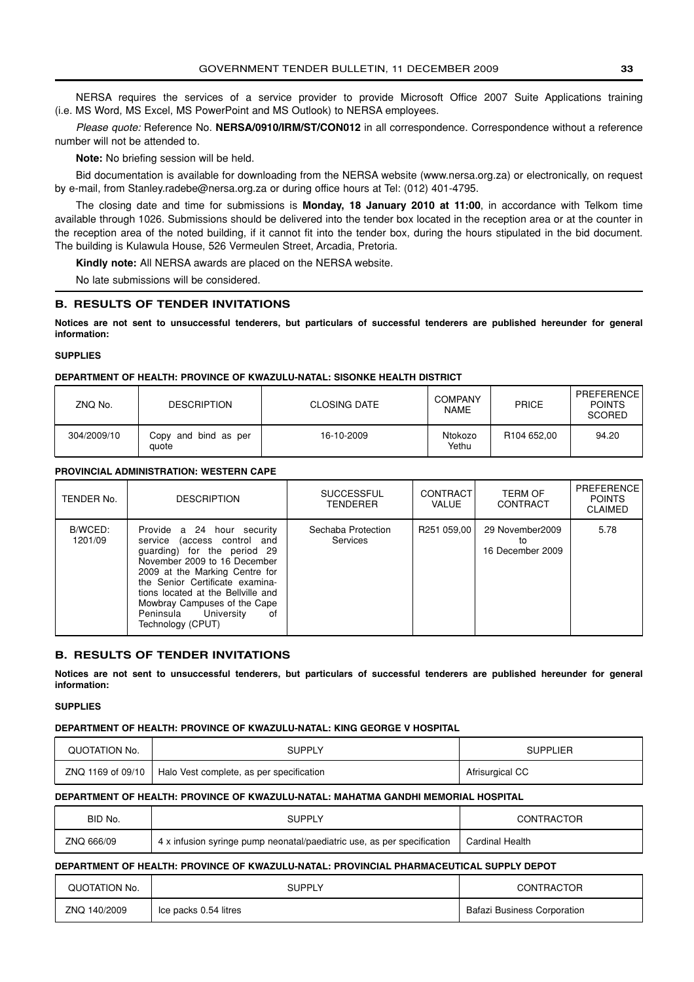<span id="page-32-0"></span>NERSA requires the services of a service provider to provide Microsoft Office 2007 Suite Applications training (i.e. MS Word, MS Excel, MS PowerPoint and MS Outlook) to NERSA employees.

*Please quote:* Reference No. **NERSA/0910/IRM/ST/CON012** in all correspondence. Correspondence without a reference number will not be attended to.

**Note:** No briefing session will be held.

Bid documentation is available for downloading from the NERSA website (www.nersa.org.za) or electronically, on request by e-mail, from Stanley.radebe@nersa.org.za or during office hours at Tel: (012) 401-4795.

The closing date and time for submissions is **Monday, 18 January 2010 at 11:00**, in accordance with Telkom time available through 1026. Submissions should be delivered into the tender box located in the reception area or at the counter in the reception area of the noted building, if it cannot fit into the tender box, during the hours stipulated in the bid document. The building is Kulawula House, 526 Vermeulen Street, Arcadia, Pretoria.

**Kindly note:** All NERSA awards are placed on the NERSA website.

No late submissions will be considered.

#### **B. RESULTS OF TENDER INVITATIONS**

**Notices are not sent to unsuccessful tenderers, but particulars of successful tenderers are published hereunder for general information:**

#### **SUPPLIES**

#### **DEPARTMENT OF HEALTH: PROVINCE OF KWAZULU-NATAL: SISONKE HEALTH DISTRICT**

| ZNQ No.     | <b>DESCRIPTION</b>            | <b>CLOSING DATE</b> | <b>COMPANY</b><br><b>NAME</b> | <b>PRICE</b>            | <b>PREFERENCE</b><br><b>POINTS</b><br><b>SCORED</b> |
|-------------|-------------------------------|---------------------|-------------------------------|-------------------------|-----------------------------------------------------|
| 304/2009/10 | Copy and bind as per<br>auote | 16-10-2009          | Ntokozo<br>Yethu              | R <sub>104</sub> 652.00 | 94.20                                               |

#### **PROVINCIAL ADMINISTRATION: WESTERN CAPE**

| TENDER No.         | <b>DESCRIPTION</b>                                                                                                                                                                                                                                                                                                     | <b>SUCCESSFUL</b><br><b>TENDERER</b> | <b>CONTRACT</b><br><b>VALUE</b> | <b>TERM OF</b><br>CONTRACT                | <b>PREFERENCE</b><br><b>POINTS</b><br><b>CLAIMED</b> |
|--------------------|------------------------------------------------------------------------------------------------------------------------------------------------------------------------------------------------------------------------------------------------------------------------------------------------------------------------|--------------------------------------|---------------------------------|-------------------------------------------|------------------------------------------------------|
| B/WCED:<br>1201/09 | Provide a 24 hour security<br>service (access control and<br>guarding) for the period 29<br>November 2009 to 16 December<br>2009 at the Marking Centre for<br>the Senior Certificate examina-<br>tions located at the Bellville and<br>Mowbray Campuses of the Cape<br>Peninsula University<br>οf<br>Technology (CPUT) | Sechaba Protection<br>Services       | R251 059.00                     | 29 November2009<br>to<br>16 December 2009 | 5.78                                                 |

#### **B. RESULTS OF TENDER INVITATIONS**

**Notices are not sent to unsuccessful tenderers, but particulars of successful tenderers are published hereunder for general information:**

#### **SUPPLIES**

#### **DEPARTMENT OF HEALTH: PROVINCE OF KWAZULU-NATAL: KING GEORGE V HOSPITAL**

| QUOTATION No.     | SUPPLY                                   | <b>SUPPLIER</b> |
|-------------------|------------------------------------------|-----------------|
| ZNQ 1169 of 09/10 | Halo Vest complete, as per specification | Afrisurgical CC |

#### **DEPARTMENT OF HEALTH: PROVINCE OF KWAZULU-NATAL: MAHATMA GANDHI MEMORIAL HOSPITAL**

| BID No.    | SUPPLY                                                                  | <b>CONTRACTOR</b> |
|------------|-------------------------------------------------------------------------|-------------------|
| ZNQ 666/09 | 4 x infusion syringe pump neonatal/paediatric use, as per specification | Cardinal Health   |

#### **DEPARTMENT OF HEALTH: PROVINCE OF KWAZULU-NATAL: PROVINCIAL PHARMACEUTICAL SUPPLY DEPOT**

| QUOTATION No. | SUPPLY                | <b>CONTRACTOR</b>           |
|---------------|-----------------------|-----------------------------|
| ZNQ 140/2009  | Ice packs 0.54 litres | Bafazi Business Corporation |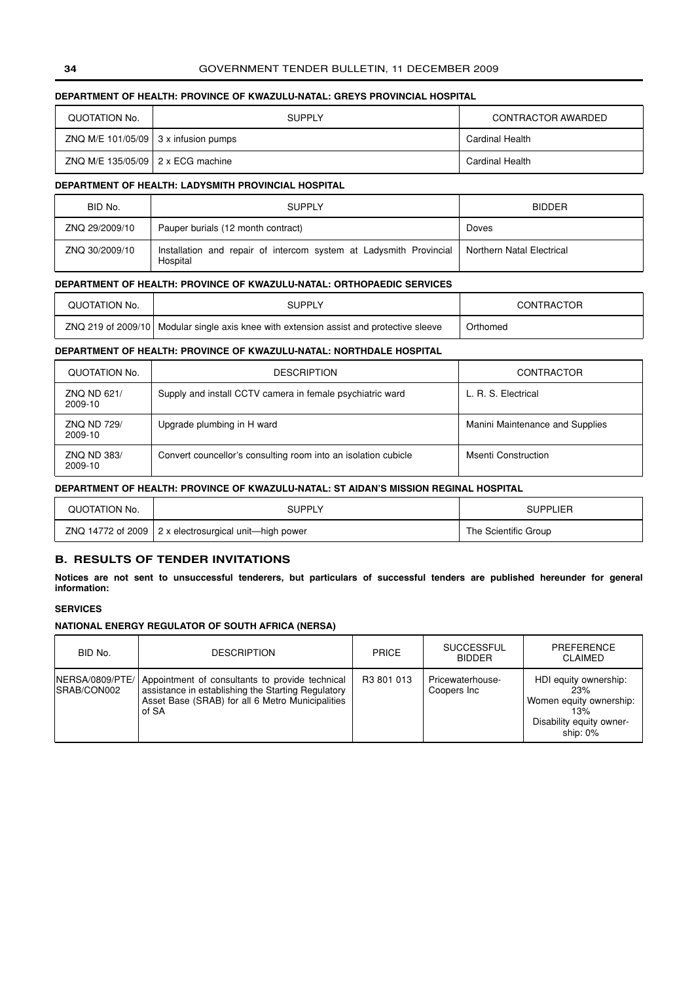#### **DEPARTMENT OF HEALTH: PROVINCE OF KWAZULU-NATAL: GREYS PROVINCIAL HOSPITAL**

| QUOTATION No.                             | <b>SUPPLY</b> | CONTRACTOR AWARDED |
|-------------------------------------------|---------------|--------------------|
| ZNQ M/E $101/05/09$ 3 x infusion pumps    |               | Cardinal Health    |
| ZNQ M/E 135/05/09 $\vert$ 2 x ECG machine |               | Cardinal Health    |

#### **DEPARTMENT OF HEALTH: LADYSMITH PROVINCIAL HOSPITAL**

| BID No.        | <b>SUPPLY</b>                                                                  | <b>BIDDER</b>             |
|----------------|--------------------------------------------------------------------------------|---------------------------|
| ZNQ 29/2009/10 | Pauper burials (12 month contract)                                             | Doves                     |
| ZNQ 30/2009/10 | Installation and repair of intercom system at Ladysmith Provincial<br>Hospital | Northern Natal Electrical |

#### **DEPARTMENT OF HEALTH: PROVINCE OF KWAZULU-NATAL: ORTHOPAEDIC SERVICES**

| QUOTATION No. | <b>SUPPLY</b>                                                                           | <b>CONTRACTOR</b> |
|---------------|-----------------------------------------------------------------------------------------|-------------------|
|               | ZNQ 219 of 2009/10 Modular single axis knee with extension assist and protective sleeve | Orthomed          |

#### **DEPARTMENT OF HEALTH: PROVINCE OF KWAZULU-NATAL: NORTHDALE HOSPITAL**

| QUOTATION No.          | <b>DESCRIPTION</b>                                             | <b>CONTRACTOR</b>               |
|------------------------|----------------------------------------------------------------|---------------------------------|
| ZNQ ND 621/<br>2009-10 | Supply and install CCTV camera in female psychiatric ward      | L. R. S. Electrical             |
| ZNQ ND 729/<br>2009-10 | Upgrade plumbing in H ward                                     | Manini Maintenance and Supplies |
| ZNQ ND 383/<br>2009-10 | Convert councellor's consulting room into an isolation cubicle | Msenti Construction             |

#### **DEPARTMENT OF HEALTH: PROVINCE OF KWAZULU-NATAL: ST AIDAN'S MISSION REGINAL HOSPITAL**

| QUOTATION No. | SUPPLY                                                  | <b>SUPPLIER</b>      |
|---------------|---------------------------------------------------------|----------------------|
|               | ZNQ 14772 of 2009   2 x electrosurgical unit—high power | The Scientific Group |

#### **B. RESULTS OF TENDER INVITATIONS**

**Notices are not sent to unsuccessful tenderers, but particulars of successful tenders are published hereunder for general information:**

#### **SERVICES**

#### **NATIONAL ENERGY REGULATOR OF SOUTH AFRICA (NERSA)**

| BID No.                          | <b>DESCRIPTION</b>                                                                                                                                                 | <b>PRICE</b> | <b>SUCCESSFUL</b><br><b>BIDDER</b> | PREFERENCE<br><b>CLAIMED</b>                                                                              |
|----------------------------------|--------------------------------------------------------------------------------------------------------------------------------------------------------------------|--------------|------------------------------------|-----------------------------------------------------------------------------------------------------------|
| INERSA/0809/PTE/<br>ISRAB/CON002 | Appointment of consultants to provide technical<br>assistance in establishing the Starting Regulatory<br>Asset Base (SRAB) for all 6 Metro Municipalities<br>of SA | R3 801 013   | Pricewaterhouse-<br>Coopers Inc.   | HDI equity ownership:<br>23%<br>Women equity ownership:<br>13%<br>Disability equity owner-<br>ship: $0\%$ |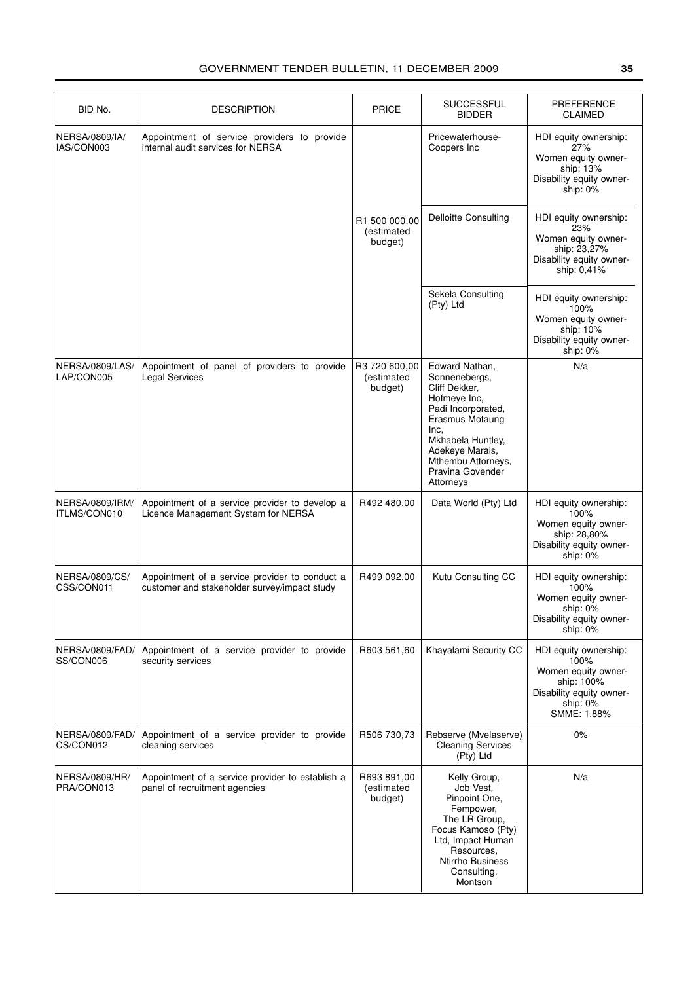| BID No.                              | <b>DESCRIPTION</b>                                                                             | <b>PRICE</b>                           | <b>SUCCESSFUL</b><br><b>BIDDER</b>                                                                                                                                                                               | PREFERENCE<br><b>CLAIMED</b>                                                                                              |
|--------------------------------------|------------------------------------------------------------------------------------------------|----------------------------------------|------------------------------------------------------------------------------------------------------------------------------------------------------------------------------------------------------------------|---------------------------------------------------------------------------------------------------------------------------|
| NERSA/0809/IA/<br>IAS/CON003         | Appointment of service providers to provide<br>internal audit services for NERSA               |                                        | Pricewaterhouse-<br>Coopers Inc                                                                                                                                                                                  | HDI equity ownership:<br>27%<br>Women equity owner-<br>ship: 13%<br>Disability equity owner-<br>ship: 0%                  |
|                                      |                                                                                                | R1 500 000,00<br>(estimated<br>budget) | <b>Delloitte Consulting</b>                                                                                                                                                                                      | HDI equity ownership:<br>23%<br>Women equity owner-<br>ship: 23,27%<br>Disability equity owner-<br>ship: 0,41%            |
|                                      |                                                                                                |                                        | Sekela Consulting<br>(Pty) Ltd                                                                                                                                                                                   | HDI equity ownership:<br>100%<br>Women equity owner-<br>ship: 10%<br>Disability equity owner-<br>ship: 0%                 |
| <b>NERSA/0809/LAS/</b><br>LAP/CON005 | Appointment of panel of providers to provide<br><b>Legal Services</b>                          | R3 720 600.00<br>(estimated<br>budget) | Edward Nathan,<br>Sonnenebergs,<br>Cliff Dekker,<br>Hofmeye Inc,<br>Padi Incorporated,<br>Erasmus Motaung<br>Inc.<br>Mkhabela Huntley,<br>Adekeye Marais,<br>Mthembu Attorneys,<br>Pravina Govender<br>Attorneys | N/a                                                                                                                       |
| NERSA/0809/IRM/<br>ITLMS/CON010      | Appointment of a service provider to develop a<br>Licence Management System for NERSA          | R492 480,00                            | Data World (Pty) Ltd                                                                                                                                                                                             | HDI equity ownership:<br>100%<br>Women equity owner-<br>ship: 28,80%<br>Disability equity owner-<br>ship: 0%              |
| NERSA/0809/CS/<br>CSS/CON011         | Appointment of a service provider to conduct a<br>customer and stakeholder survey/impact study | R499 092,00                            | Kutu Consulting CC                                                                                                                                                                                               | HDI equity ownership:<br>100%<br>Women equity owner-<br>ship: 0%<br>Disability equity owner-<br>ship: $0\%$               |
| NERSA/0809/FAD/<br>SS/CON006         | Appointment of a service provider to provide<br>security services                              | R603 561,60                            | Khayalami Security CC                                                                                                                                                                                            | HDI equity ownership:<br>100%<br>Women equity owner-<br>ship: 100%<br>Disability equity owner-<br>ship: 0%<br>SMME: 1.88% |
| NERSA/0809/FAD/<br>CS/CON012         | Appointment of a service provider to provide<br>cleaning services                              | R506 730,73                            | Rebserve (Mvelaserve)<br><b>Cleaning Services</b><br>(Pty) Ltd                                                                                                                                                   | 0%                                                                                                                        |
| NERSA/0809/HR/<br>PRA/CON013         | Appointment of a service provider to establish a<br>panel of recruitment agencies              | R693 891,00<br>(estimated<br>budget)   | Kelly Group,<br>Job Vest.<br>Pinpoint One,<br>Fempower,<br>The LR Group,<br>Focus Kamoso (Pty)<br>Ltd, Impact Human<br>Resources.<br>Ntirrho Business<br>Consulting,<br>Montson                                  | N/a                                                                                                                       |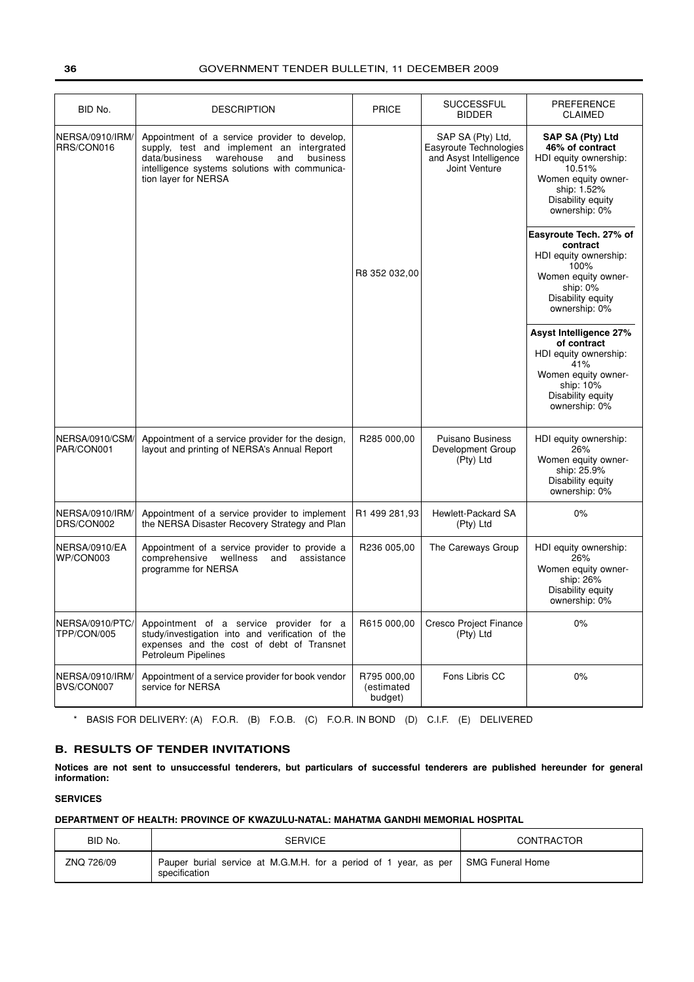| BID No.                        | <b>DESCRIPTION</b>                                                                                                                                                                                                    | <b>PRICE</b>                         | <b>SUCCESSFUL</b><br><b>BIDDER</b>                                                     | <b>PREFERENCE</b><br><b>CLAIMED</b>                                                                                                                                                                                                                                                                                                                                                                                                                   |
|--------------------------------|-----------------------------------------------------------------------------------------------------------------------------------------------------------------------------------------------------------------------|--------------------------------------|----------------------------------------------------------------------------------------|-------------------------------------------------------------------------------------------------------------------------------------------------------------------------------------------------------------------------------------------------------------------------------------------------------------------------------------------------------------------------------------------------------------------------------------------------------|
| NERSA/0910/IRM/<br>RRS/CON016  | Appointment of a service provider to develop,<br>supply, test and implement an intergrated<br>business<br>data/business<br>warehouse<br>and<br>intelligence systems solutions with communica-<br>tion layer for NERSA | R8 352 032,00                        | SAP SA (Pty) Ltd,<br>Easyroute Technologies<br>and Asyst Intelligence<br>Joint Venture | SAP SA (Pty) Ltd<br>46% of contract<br>HDI equity ownership:<br>10.51%<br>Women equity owner-<br>ship: 1.52%<br>Disability equity<br>ownership: 0%<br>Easyroute Tech. 27% of<br>contract<br>HDI equity ownership:<br>100%<br>Women equity owner-<br>ship: 0%<br>Disability equity<br>ownership: 0%<br>Asyst Intelligence 27%<br>of contract<br>HDI equity ownership:<br>41%<br>Women equity owner-<br>ship: 10%<br>Disability equity<br>ownership: 0% |
| NERSA/0910/CSM/<br>PAR/CON001  | Appointment of a service provider for the design,<br>layout and printing of NERSA's Annual Report                                                                                                                     | R285 000,00                          | <b>Puisano Business</b><br>Development Group<br>(Pty) Ltd                              | HDI equity ownership:<br>26%<br>Women equity owner-<br>ship: 25.9%<br>Disability equity<br>ownership: 0%                                                                                                                                                                                                                                                                                                                                              |
| NERSA/0910/IRM/<br>DRS/CON002  | Appointment of a service provider to implement<br>the NERSA Disaster Recovery Strategy and Plan                                                                                                                       | R1 499 281,93                        | Hewlett-Packard SA<br>(Pty) Ltd                                                        | 0%                                                                                                                                                                                                                                                                                                                                                                                                                                                    |
| NERSA/0910/EA<br>WP/CON003     | Appointment of a service provider to provide a<br>comprehensive wellness<br>and<br>assistance<br>programme for NERSA                                                                                                  | R236 005,00                          | The Careways Group                                                                     | HDI equity ownership:<br>26%<br>Women equity owner-<br>ship: 26%<br>Disability equity<br>ownership: 0%                                                                                                                                                                                                                                                                                                                                                |
| NERSA/0910/PTC/<br>TPP/CON/005 | Appointment of a service provider for a<br>study/investigation into and verification of the<br>expenses and the cost of debt of Transnet<br>Petroleum Pipelines                                                       | R615 000,00                          | Cresco Project Finance<br>(Pty) Ltd                                                    | 0%                                                                                                                                                                                                                                                                                                                                                                                                                                                    |
| NERSA/0910/IRM/<br>BVS/CON007  | Appointment of a service provider for book vendor<br>service for NERSA                                                                                                                                                | R795 000,00<br>(estimated<br>budget) | Fons Libris CC                                                                         | 0%                                                                                                                                                                                                                                                                                                                                                                                                                                                    |

\* BASIS FOR DELIVERY: (A) F.O.R. (B) F.O.B. (C) F.O.R. IN BOND (D) C.I.F. (E) DELIVERED

#### **B. RESULTS OF TENDER INVITATIONS**

**Notices are not sent to unsuccessful tenderers, but particulars of successful tenderers are published hereunder for general information:**

#### **SERVICES**

#### **DEPARTMENT OF HEALTH: PROVINCE OF KWAZULU-NATAL: MAHATMA GANDHI MEMORIAL HOSPITAL**

| BID No.    | <b>SERVICE</b>                                                                                     | <b>CONTRACTOR</b> |
|------------|----------------------------------------------------------------------------------------------------|-------------------|
| ZNQ 726/09 | Pauper burial service at M.G.M.H. for a period of 1 year, as per SMG Funeral Home<br>specification |                   |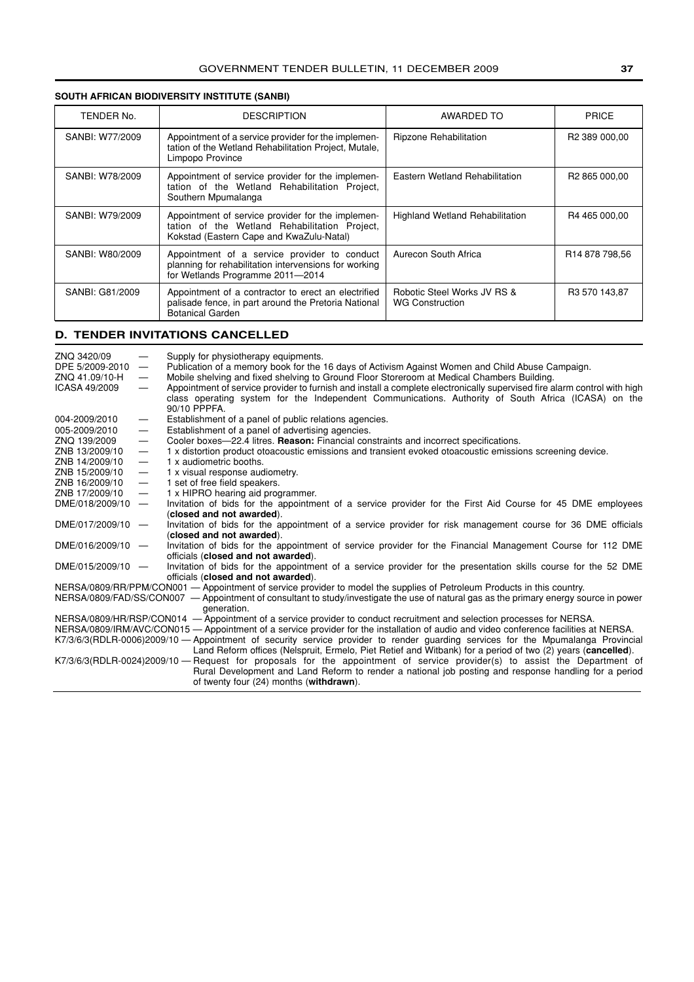### <span id="page-36-0"></span>**SOUTH AFRICAN BIODIVERSITY INSTITUTE (SANBI)**

| TENDER No.      | <b>DESCRIPTION</b>                                                                                                                             | AWARDED TO                                            | <b>PRICE</b>               |
|-----------------|------------------------------------------------------------------------------------------------------------------------------------------------|-------------------------------------------------------|----------------------------|
| SANBI: W77/2009 | Appointment of a service provider for the implemen-<br>tation of the Wetland Rehabilitation Project, Mutale,<br>Limpopo Province               | Ripzone Rehabilitation                                | R <sub>2</sub> 389 000.00  |
| SANBI: W78/2009 | Appointment of service provider for the implemen-<br>tation of the Wetland Rehabilitation Project,<br>Southern Mpumalanga                      | Eastern Wetland Rehabilitation                        | R <sub>2</sub> 865 000,00  |
| SANBI: W79/2009 | Appointment of service provider for the implemen-<br>tation of the Wetland Rehabilitation Project,<br>Kokstad (Eastern Cape and KwaZulu-Natal) | <b>Highland Wetland Rehabilitation</b>                | R4 465 000.00              |
| SANBI: W80/2009 | Appointment of a service provider to conduct<br>planning for rehabilitation intervensions for working<br>for Wetlands Programme 2011-2014      | Aurecon South Africa                                  | R <sub>14</sub> 878 798.56 |
| SANBI: G81/2009 | Appointment of a contractor to erect an electrified<br>palisade fence, in part around the Pretoria National<br>Botanical Garden                | Robotic Steel Works JV RS &<br><b>WG Construction</b> | R3 570 143.87              |

#### **D. TENDER INVITATIONS CANCELLED**

| ZNQ 3420/09<br>DPE 5/2009-2010 | $\hspace{0.05cm}$<br>$\overline{\phantom{m}}$ | Supply for physiotherapy equipments.<br>Publication of a memory book for the 16 days of Activism Against Women and Child Abuse Campaign. |
|--------------------------------|-----------------------------------------------|------------------------------------------------------------------------------------------------------------------------------------------|
| ZNQ 41.09/10-H                 | $\hspace{0.05cm}$                             | Mobile shelving and fixed shelving to Ground Floor Storeroom at Medical Chambers Building.                                               |
| ICASA 49/2009                  | $\overline{\phantom{0}}$                      | Appointment of service provider to furnish and install a complete electronically supervised fire alarm control with high                 |
|                                |                                               | class operating system for the Independent Communications. Authority of South Africa (ICASA) on the                                      |
|                                |                                               | 90/10 PPPFA.                                                                                                                             |
| 004-2009/2010                  | $\qquad \qquad \longleftarrow$                | Establishment of a panel of public relations agencies.                                                                                   |
| 005-2009/2010                  |                                               | Establishment of a panel of advertising agencies.                                                                                        |
| ZNQ 139/2009                   | $\overline{\phantom{m}}$                      | Cooler boxes-22.4 litres. Reason: Financial constraints and incorrect specifications.                                                    |
| ZNB 13/2009/10                 |                                               | 1 x distortion product otoacoustic emissions and transient evoked otoacoustic emissions screening device.                                |
| ZNB 14/2009/10                 | $\overbrace{\phantom{13333}}$                 | 1 x audiometric booths.                                                                                                                  |
| ZNB 15/2009/10                 | $\overline{\phantom{0}}$                      | 1 x visual response audiometry.                                                                                                          |
| ZNB 16/2009/10                 | $\overline{\phantom{0}}$                      | 1 set of free field speakers.                                                                                                            |
| ZNB 17/2009/10                 | $\overline{\phantom{m}}$                      | 1 x HIPRO hearing aid programmer.                                                                                                        |
| DME/018/2009/10                | $\overline{\phantom{m}}$                      | Invitation of bids for the appointment of a service provider for the First Aid Course for 45 DME employees                               |
|                                |                                               | (closed and not awarded).                                                                                                                |
| DME/017/2009/10                | $\hspace{0.1mm}$                              | Invitation of bids for the appointment of a service provider for risk management course for 36 DME officials                             |
|                                |                                               | (closed and not awarded).                                                                                                                |
| DME/016/2009/10                | $\overline{\phantom{a}}$                      | Invitation of bids for the appointment of service provider for the Financial Management Course for 112 DME                               |
|                                |                                               | officials (closed and not awarded).                                                                                                      |
| $DME/015/2009/10$ -            |                                               | Invitation of bids for the appointment of a service provider for the presentation skills course for the 52 DME                           |
|                                |                                               | officials (closed and not awarded).                                                                                                      |
|                                |                                               | NERSA/0809/RR/PPM/CON001 - Appointment of service provider to model the supplies of Petroleum Products in this country.                  |
|                                |                                               | NERSA/0809/FAD/SS/CON007 — Appointment of consultant to study/investigate the use of natural gas as the primary energy source in power   |
|                                |                                               | generation.                                                                                                                              |
|                                |                                               | NERSA/0809/HR/RSP/CON014 - Appointment of a service provider to conduct recruitment and selection processes for NERSA.                   |
|                                |                                               | NERSA/0809/IRM/AVC/CON015 - Appointment of a service provider for the installation of audio and video conference facilities at NERSA.    |
|                                |                                               | K7/3/6/3(RDLR-0006)2009/10 - Appointment of security service provider to render guarding services for the Mpumalanga Provincial          |
|                                |                                               | Land Reform offices (Nelspruit, Ermelo, Piet Retief and Witbank) for a period of two (2) years (cancelled).                              |
|                                |                                               | K7/3/6/3(RDLR-0024)2009/10 — Request for proposals for the appointment of service provider(s) to assist the Department of                |
|                                |                                               | Rural Development and Land Reform to render a national job posting and response handling for a period                                    |
|                                |                                               | of twenty four (24) months (withdrawn).                                                                                                  |
|                                |                                               |                                                                                                                                          |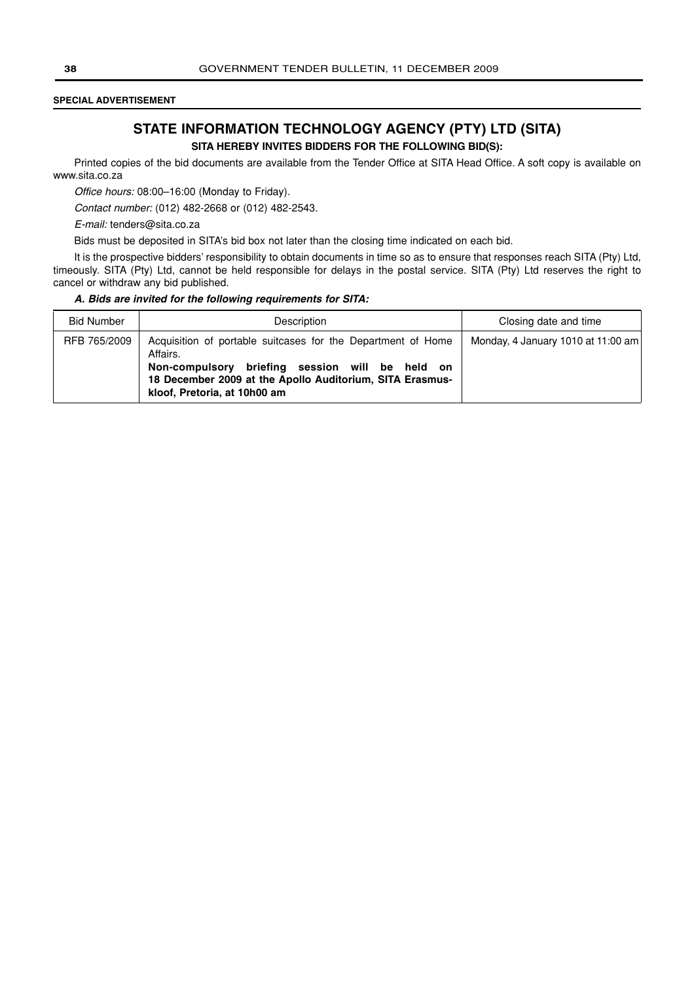#### **SPECIAL ADVERTISEMENT**

### **STATE INFORMATION TECHNOLOGY AGENCY (PTY) LTD (SITA)**

**SITA HEREBY INVITES BIDDERS FOR THE FOLLOWING BID(S):**

Printed copies of the bid documents are available from the Tender Office at SITA Head Office. A soft copy is available on www.sita.co.za

*Office hours:* 08:00–16:00 (Monday to Friday).

*Contact number:* (012) 482-2668 or (012) 482-2543.

*E-mail:* tenders@sita.co.za

Bids must be deposited in SITA's bid box not later than the closing time indicated on each bid.

It is the prospective bidders' responsibility to obtain documents in time so as to ensure that responses reach SITA (Pty) Ltd, timeously. SITA (Pty) Ltd, cannot be held responsible for delays in the postal service. SITA (Pty) Ltd reserves the right to cancel or withdraw any bid published.

#### **A. Bids are invited for the following requirements for SITA:**

| <b>Bid Number</b> | Description                                                                                                                                                                                                             | Closing date and time              |
|-------------------|-------------------------------------------------------------------------------------------------------------------------------------------------------------------------------------------------------------------------|------------------------------------|
| RFB 765/2009      | Acquisition of portable suitcases for the Department of Home<br>Affairs.<br>Non-compulsory briefing session will be held on<br>18 December 2009 at the Apollo Auditorium, SITA Erasmus-<br>kloof, Pretoria, at 10h00 am | Monday, 4 January 1010 at 11:00 am |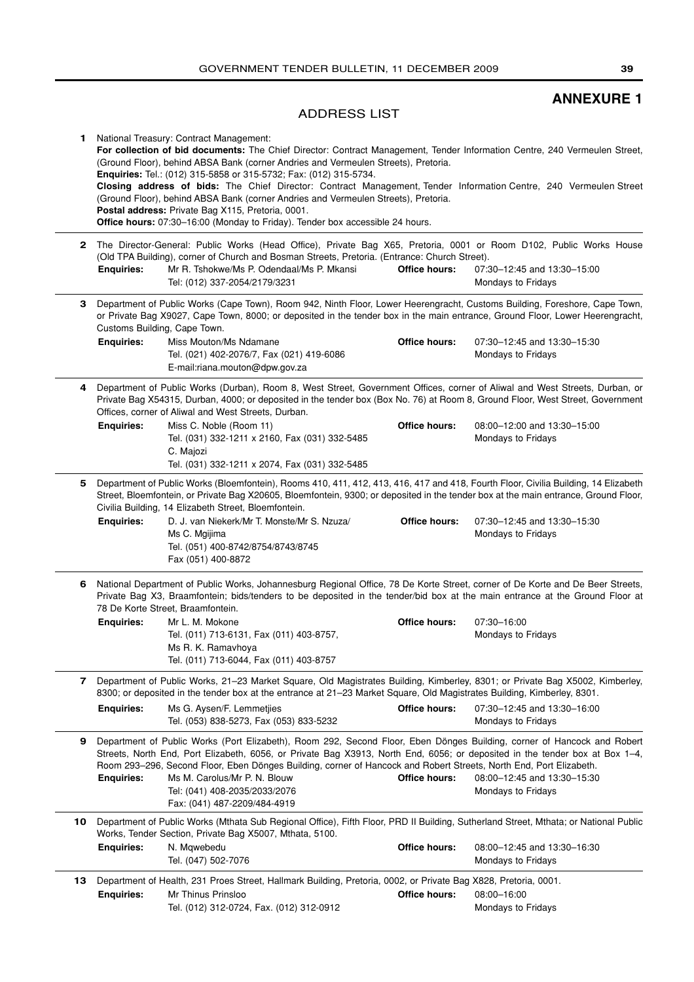### **ANNEXURE 1**

### ADDRESS LIST

<span id="page-38-0"></span>

| 1            | National Treasury: Contract Management:<br>For collection of bid documents: The Chief Director: Contract Management, Tender Information Centre, 240 Vermeulen Street,<br>(Ground Floor), behind ABSA Bank (corner Andries and Vermeulen Streets), Pretoria.<br><b>Enquiries:</b> Tel.: (012) 315-5858 or 315-5732; Fax: (012) 315-5734.<br>Closing address of bids: The Chief Director: Contract Management, Tender Information Centre, 240 Vermeulen Street<br>(Ground Floor), behind ABSA Bank (corner Andries and Vermeulen Streets), Pretoria.<br>Postal address: Private Bag X115, Pretoria, 0001.<br>Office hours: 07:30-16:00 (Monday to Friday). Tender box accessible 24 hours. |                                                                                                                                                                                                                                                                                                                                                                                                                                                                               |                      |                                                   |  |  |
|--------------|------------------------------------------------------------------------------------------------------------------------------------------------------------------------------------------------------------------------------------------------------------------------------------------------------------------------------------------------------------------------------------------------------------------------------------------------------------------------------------------------------------------------------------------------------------------------------------------------------------------------------------------------------------------------------------------|-------------------------------------------------------------------------------------------------------------------------------------------------------------------------------------------------------------------------------------------------------------------------------------------------------------------------------------------------------------------------------------------------------------------------------------------------------------------------------|----------------------|---------------------------------------------------|--|--|
| $\mathbf{2}$ | <b>Enquiries:</b>                                                                                                                                                                                                                                                                                                                                                                                                                                                                                                                                                                                                                                                                        | The Director-General: Public Works (Head Office), Private Bag X65, Pretoria, 0001 or Room D102, Public Works House<br>(Old TPA Building), corner of Church and Bosman Streets, Pretoria. (Entrance: Church Street).<br>Mr R. Tshokwe/Ms P. Odendaal/Ms P. Mkansi<br>Tel: (012) 337-2054/2179/3231                                                                                                                                                                             | <b>Office hours:</b> | 07:30-12:45 and 13:30-15:00<br>Mondays to Fridays |  |  |
| з            | Department of Public Works (Cape Town), Room 942, Ninth Floor, Lower Heerengracht, Customs Building, Foreshore, Cape Town,<br>or Private Bag X9027, Cape Town, 8000; or deposited in the tender box in the main entrance, Ground Floor, Lower Heerengracht,<br>Customs Building, Cape Town.                                                                                                                                                                                                                                                                                                                                                                                              |                                                                                                                                                                                                                                                                                                                                                                                                                                                                               |                      |                                                   |  |  |
|              | <b>Enquiries:</b>                                                                                                                                                                                                                                                                                                                                                                                                                                                                                                                                                                                                                                                                        | Miss Mouton/Ms Ndamane<br>Tel. (021) 402-2076/7, Fax (021) 419-6086<br>E-mail:riana.mouton@dpw.gov.za                                                                                                                                                                                                                                                                                                                                                                         | <b>Office hours:</b> | 07:30-12:45 and 13:30-15:30<br>Mondays to Fridays |  |  |
| 4            |                                                                                                                                                                                                                                                                                                                                                                                                                                                                                                                                                                                                                                                                                          | Department of Public Works (Durban), Room 8, West Street, Government Offices, corner of Aliwal and West Streets, Durban, or<br>Private Bag X54315, Durban, 4000; or deposited in the tender box (Box No. 76) at Room 8, Ground Floor, West Street, Government<br>Offices, corner of Aliwal and West Streets, Durban.                                                                                                                                                          |                      |                                                   |  |  |
|              | <b>Enquiries:</b>                                                                                                                                                                                                                                                                                                                                                                                                                                                                                                                                                                                                                                                                        | Miss C. Noble (Room 11)<br>Tel. (031) 332-1211 x 2160, Fax (031) 332-5485<br>C. Majozi<br>Tel. (031) 332-1211 x 2074, Fax (031) 332-5485                                                                                                                                                                                                                                                                                                                                      | Office hours:        | 08:00-12:00 and 13:30-15:00<br>Mondays to Fridays |  |  |
| 5            | Department of Public Works (Bloemfontein), Rooms 410, 411, 412, 413, 416, 417 and 418, Fourth Floor, Civilia Building, 14 Elizabeth<br>Street, Bloemfontein, or Private Bag X20605, Bloemfontein, 9300; or deposited in the tender box at the main entrance, Ground Floor,<br>Civilia Building, 14 Elizabeth Street, Bloemfontein.                                                                                                                                                                                                                                                                                                                                                       |                                                                                                                                                                                                                                                                                                                                                                                                                                                                               |                      |                                                   |  |  |
|              | <b>Enquiries:</b>                                                                                                                                                                                                                                                                                                                                                                                                                                                                                                                                                                                                                                                                        | D. J. van Niekerk/Mr T. Monste/Mr S. Nzuza/<br>Ms C. Mgijima<br>Tel. (051) 400-8742/8754/8743/8745<br>Fax (051) 400-8872                                                                                                                                                                                                                                                                                                                                                      | Office hours:        | 07:30-12:45 and 13:30-15:30<br>Mondays to Fridays |  |  |
| 6            |                                                                                                                                                                                                                                                                                                                                                                                                                                                                                                                                                                                                                                                                                          | National Department of Public Works, Johannesburg Regional Office, 78 De Korte Street, corner of De Korte and De Beer Streets,<br>Private Bag X3, Braamfontein; bids/tenders to be deposited in the tender/bid box at the main entrance at the Ground Floor at<br>78 De Korte Street, Braamfontein.                                                                                                                                                                           |                      |                                                   |  |  |
|              | <b>Enquiries:</b>                                                                                                                                                                                                                                                                                                                                                                                                                                                                                                                                                                                                                                                                        | Mr L. M. Mokone<br>Tel. (011) 713-6131, Fax (011) 403-8757,<br>Ms R. K. Ramavhoya<br>Tel. (011) 713-6044, Fax (011) 403-8757                                                                                                                                                                                                                                                                                                                                                  | <b>Office hours:</b> | 07:30-16:00<br>Mondays to Fridays                 |  |  |
| 7            |                                                                                                                                                                                                                                                                                                                                                                                                                                                                                                                                                                                                                                                                                          | Department of Public Works, 21-23 Market Square, Old Magistrates Building, Kimberley, 8301; or Private Bag X5002, Kimberley,<br>8300; or deposited in the tender box at the entrance at 21-23 Market Square, Old Magistrates Building, Kimberley, 8301.                                                                                                                                                                                                                       |                      |                                                   |  |  |
|              | <b>Enguiries:</b>                                                                                                                                                                                                                                                                                                                                                                                                                                                                                                                                                                                                                                                                        | Ms G. Aysen/F. Lemmetjies<br>Tel. (053) 838-5273, Fax (053) 833-5232                                                                                                                                                                                                                                                                                                                                                                                                          | Office hours:        | 07:30-12:45 and 13:30-16:00<br>Mondays to Fridays |  |  |
| 9            | <b>Enquiries:</b>                                                                                                                                                                                                                                                                                                                                                                                                                                                                                                                                                                                                                                                                        | Department of Public Works (Port Elizabeth), Room 292, Second Floor, Eben Dönges Building, corner of Hancock and Robert<br>Streets, North End, Port Elizabeth, 6056, or Private Bag X3913, North End, 6056; or deposited in the tender box at Box 1-4,<br>Room 293-296, Second Floor, Eben Dönges Building, corner of Hancock and Robert Streets, North End, Port Elizabeth.<br>Ms M. Carolus/Mr P. N. Blouw<br>Tel: (041) 408-2035/2033/2076<br>Fax: (041) 487-2209/484-4919 | Office hours:        | 08:00-12:45 and 13:30-15:30<br>Mondays to Fridays |  |  |
| 10           |                                                                                                                                                                                                                                                                                                                                                                                                                                                                                                                                                                                                                                                                                          | Department of Public Works (Mthata Sub Regional Office), Fifth Floor, PRD II Building, Sutherland Street, Mthata; or National Public<br>Works, Tender Section, Private Bag X5007, Mthata, 5100.                                                                                                                                                                                                                                                                               |                      |                                                   |  |  |
|              | <b>Enquiries:</b>                                                                                                                                                                                                                                                                                                                                                                                                                                                                                                                                                                                                                                                                        | N. Mqwebedu<br>Tel. (047) 502-7076                                                                                                                                                                                                                                                                                                                                                                                                                                            | Office hours:        | 08:00-12:45 and 13:30-16:30<br>Mondays to Fridays |  |  |
| 13           | <b>Enquiries:</b>                                                                                                                                                                                                                                                                                                                                                                                                                                                                                                                                                                                                                                                                        | Department of Health, 231 Proes Street, Hallmark Building, Pretoria, 0002, or Private Bag X828, Pretoria, 0001.<br>Mr Thinus Prinsloo<br>Tel. (012) 312-0724, Fax. (012) 312-0912                                                                                                                                                                                                                                                                                             | Office hours:        | 08:00-16:00<br>Mondays to Fridays                 |  |  |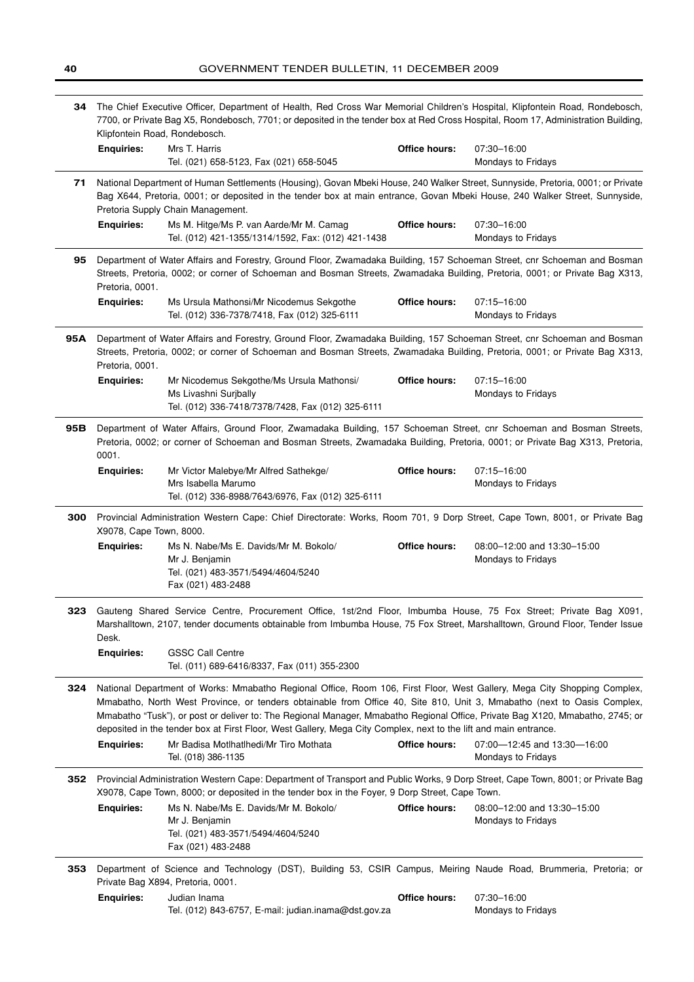|     | The Chief Executive Officer, Department of Health, Red Cross War Memorial Children's Hospital, Klipfontein Road, Rondebosch,<br>34<br>7700, or Private Bag X5, Rondebosch, 7701; or deposited in the tender box at Red Cross Hospital, Room 17, Administration Building,<br>Klipfontein Road, Rondebosch. |                                                                                                                                                                                                                                                                                                                                                                                                                                                                                                          |                      |                                                   |  |
|-----|-----------------------------------------------------------------------------------------------------------------------------------------------------------------------------------------------------------------------------------------------------------------------------------------------------------|----------------------------------------------------------------------------------------------------------------------------------------------------------------------------------------------------------------------------------------------------------------------------------------------------------------------------------------------------------------------------------------------------------------------------------------------------------------------------------------------------------|----------------------|---------------------------------------------------|--|
|     | <b>Enquiries:</b>                                                                                                                                                                                                                                                                                         | Mrs T. Harris<br>Tel. (021) 658-5123, Fax (021) 658-5045                                                                                                                                                                                                                                                                                                                                                                                                                                                 | <b>Office hours:</b> | 07:30-16:00<br>Mondays to Fridays                 |  |
| 71  | National Department of Human Settlements (Housing), Govan Mbeki House, 240 Walker Street, Sunnyside, Pretoria, 0001; or Private<br>Bag X644, Pretoria, 0001; or deposited in the tender box at main entrance, Govan Mbeki House, 240 Walker Street, Sunnyside,<br>Pretoria Supply Chain Management.       |                                                                                                                                                                                                                                                                                                                                                                                                                                                                                                          |                      |                                                   |  |
|     | <b>Enquiries:</b>                                                                                                                                                                                                                                                                                         | Ms M. Hitge/Ms P. van Aarde/Mr M. Camag<br>Tel. (012) 421-1355/1314/1592, Fax: (012) 421-1438                                                                                                                                                                                                                                                                                                                                                                                                            | Office hours:        | 07:30-16:00<br>Mondays to Fridays                 |  |
| 95  | Pretoria, 0001.                                                                                                                                                                                                                                                                                           | Department of Water Affairs and Forestry, Ground Floor, Zwamadaka Building, 157 Schoeman Street, cnr Schoeman and Bosman<br>Streets, Pretoria, 0002; or corner of Schoeman and Bosman Streets, Zwamadaka Building, Pretoria, 0001; or Private Bag X313,                                                                                                                                                                                                                                                  |                      |                                                   |  |
|     | <b>Enquiries:</b>                                                                                                                                                                                                                                                                                         | Ms Ursula Mathonsi/Mr Nicodemus Sekgothe<br>Tel. (012) 336-7378/7418, Fax (012) 325-6111                                                                                                                                                                                                                                                                                                                                                                                                                 | <b>Office hours:</b> | 07:15-16:00<br>Mondays to Fridays                 |  |
| 95A | Pretoria, 0001.                                                                                                                                                                                                                                                                                           | Department of Water Affairs and Forestry, Ground Floor, Zwamadaka Building, 157 Schoeman Street, cnr Schoeman and Bosman<br>Streets, Pretoria, 0002; or corner of Schoeman and Bosman Streets, Zwamadaka Building, Pretoria, 0001; or Private Bag X313,                                                                                                                                                                                                                                                  |                      |                                                   |  |
|     | <b>Enquiries:</b>                                                                                                                                                                                                                                                                                         | Mr Nicodemus Sekgothe/Ms Ursula Mathonsi/<br>Ms Livashni Surjbally<br>Tel. (012) 336-7418/7378/7428, Fax (012) 325-6111                                                                                                                                                                                                                                                                                                                                                                                  | Office hours:        | 07:15-16:00<br>Mondays to Fridays                 |  |
| 95B | 0001.                                                                                                                                                                                                                                                                                                     | Department of Water Affairs, Ground Floor, Zwamadaka Building, 157 Schoeman Street, cnr Schoeman and Bosman Streets,<br>Pretoria, 0002; or corner of Schoeman and Bosman Streets, Zwamadaka Building, Pretoria, 0001; or Private Bag X313, Pretoria,                                                                                                                                                                                                                                                     |                      |                                                   |  |
|     | <b>Enquiries:</b>                                                                                                                                                                                                                                                                                         | Mr Victor Malebye/Mr Alfred Sathekge/<br>Mrs Isabella Marumo<br>Tel. (012) 336-8988/7643/6976, Fax (012) 325-6111                                                                                                                                                                                                                                                                                                                                                                                        | <b>Office hours:</b> | 07:15-16:00<br>Mondays to Fridays                 |  |
| 300 | X9078, Cape Town, 8000.                                                                                                                                                                                                                                                                                   | Provincial Administration Western Cape: Chief Directorate: Works, Room 701, 9 Dorp Street, Cape Town, 8001, or Private Bag                                                                                                                                                                                                                                                                                                                                                                               |                      |                                                   |  |
|     | <b>Enquiries:</b>                                                                                                                                                                                                                                                                                         | Ms N. Nabe/Ms E. Davids/Mr M. Bokolo/<br>Mr J. Benjamin<br>Tel. (021) 483-3571/5494/4604/5240<br>Fax (021) 483-2488                                                                                                                                                                                                                                                                                                                                                                                      | <b>Office hours:</b> | 08:00-12:00 and 13:30-15:00<br>Mondays to Fridays |  |
|     |                                                                                                                                                                                                                                                                                                           |                                                                                                                                                                                                                                                                                                                                                                                                                                                                                                          |                      |                                                   |  |
| 323 | Desk.                                                                                                                                                                                                                                                                                                     | Gauteng Shared Service Centre, Procurement Office, 1st/2nd Floor, Imbumba House, 75 Fox Street; Private Bag X091,<br>Marshalltown, 2107, tender documents obtainable from Imbumba House, 75 Fox Street, Marshalltown, Ground Floor, Tender Issue                                                                                                                                                                                                                                                         |                      |                                                   |  |
|     | <b>Enquiries:</b>                                                                                                                                                                                                                                                                                         | <b>GSSC Call Centre</b><br>Tel. (011) 689-6416/8337, Fax (011) 355-2300                                                                                                                                                                                                                                                                                                                                                                                                                                  |                      |                                                   |  |
| 324 |                                                                                                                                                                                                                                                                                                           | National Department of Works: Mmabatho Regional Office, Room 106, First Floor, West Gallery, Mega City Shopping Complex,<br>Mmabatho, North West Province, or tenders obtainable from Office 40, Site 810, Unit 3, Mmabatho (next to Oasis Complex,<br>Mmabatho "Tusk"), or post or deliver to: The Regional Manager, Mmabatho Regional Office, Private Bag X120, Mmabatho, 2745; or<br>deposited in the tender box at First Floor, West Gallery, Mega City Complex, next to the lift and main entrance. |                      |                                                   |  |
|     | <b>Enquiries:</b>                                                                                                                                                                                                                                                                                         | Mr Badisa Motlhatlhedi/Mr Tiro Mothata<br>Tel. (018) 386-1135                                                                                                                                                                                                                                                                                                                                                                                                                                            | Office hours:        | 07:00-12:45 and 13:30-16:00<br>Mondays to Fridays |  |
| 352 |                                                                                                                                                                                                                                                                                                           | Provincial Administration Western Cape: Department of Transport and Public Works, 9 Dorp Street, Cape Town, 8001; or Private Bag<br>X9078, Cape Town, 8000; or deposited in the tender box in the Foyer, 9 Dorp Street, Cape Town.                                                                                                                                                                                                                                                                       |                      |                                                   |  |
|     | Enquiries:                                                                                                                                                                                                                                                                                                | Ms N. Nabe/Ms E. Davids/Mr M. Bokolo/<br>Mr J. Benjamin<br>Tel. (021) 483-3571/5494/4604/5240<br>Fax (021) 483-2488                                                                                                                                                                                                                                                                                                                                                                                      | <b>Office hours:</b> | 08:00-12:00 and 13:30-15:00<br>Mondays to Fridays |  |
| 353 |                                                                                                                                                                                                                                                                                                           | Department of Science and Technology (DST), Building 53, CSIR Campus, Meiring Naude Road, Brummeria, Pretoria; or<br>Private Bag X894, Pretoria, 0001.                                                                                                                                                                                                                                                                                                                                                   |                      |                                                   |  |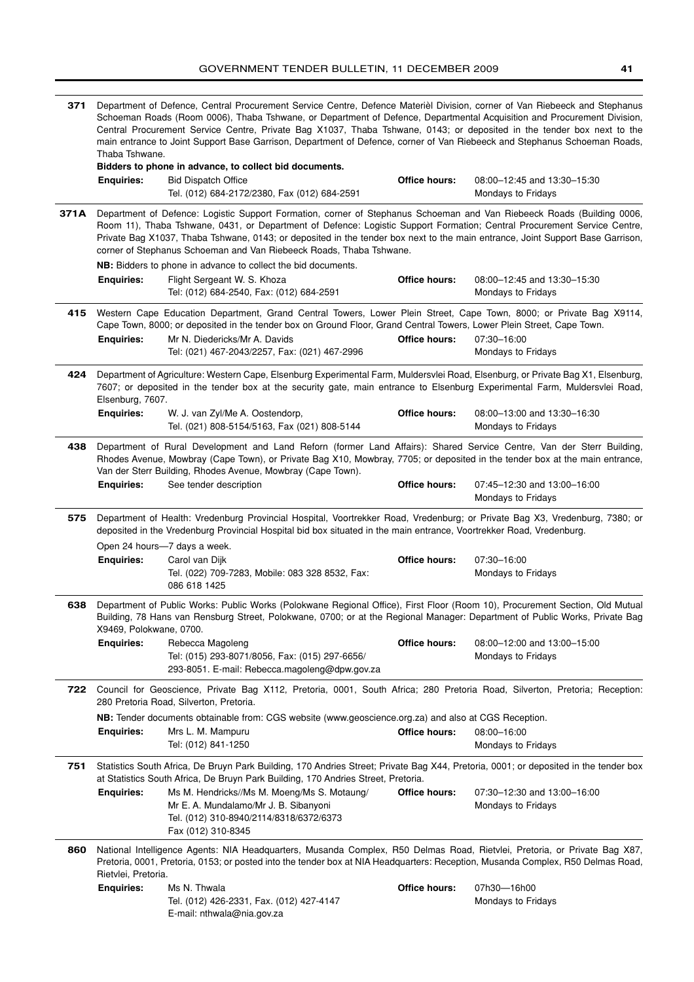| 371  | Department of Defence, Central Procurement Service Centre, Defence Materièl Division, corner of Van Riebeeck and Stephanus<br>Schoeman Roads (Room 0006), Thaba Tshwane, or Department of Defence, Departmental Acquisition and Procurement Division,<br>Central Procurement Service Centre, Private Bag X1037, Thaba Tshwane, 0143; or deposited in the tender box next to the<br>main entrance to Joint Support Base Garrison, Department of Defence, corner of Van Riebeeck and Stephanus Schoeman Roads,<br>Thaba Tshwane.<br>Bidders to phone in advance, to collect bid documents. |                                                                                                                                                                                                                                                                                                                                |               |                                                   |  |  |
|------|------------------------------------------------------------------------------------------------------------------------------------------------------------------------------------------------------------------------------------------------------------------------------------------------------------------------------------------------------------------------------------------------------------------------------------------------------------------------------------------------------------------------------------------------------------------------------------------|--------------------------------------------------------------------------------------------------------------------------------------------------------------------------------------------------------------------------------------------------------------------------------------------------------------------------------|---------------|---------------------------------------------------|--|--|
|      | <b>Enquiries:</b>                                                                                                                                                                                                                                                                                                                                                                                                                                                                                                                                                                        | <b>Bid Dispatch Office</b><br>Tel. (012) 684-2172/2380, Fax (012) 684-2591                                                                                                                                                                                                                                                     | Office hours: | 08:00-12:45 and 13:30-15:30<br>Mondays to Fridays |  |  |
| 371A | Department of Defence: Logistic Support Formation, corner of Stephanus Schoeman and Van Riebeeck Roads (Building 0006,<br>Room 11), Thaba Tshwane, 0431, or Department of Defence: Logistic Support Formation; Central Procurement Service Centre,<br>Private Bag X1037, Thaba Tshwane, 0143; or deposited in the tender box next to the main entrance, Joint Support Base Garrison,<br>corner of Stephanus Schoeman and Van Riebeeck Roads, Thaba Tshwane.                                                                                                                              |                                                                                                                                                                                                                                                                                                                                |               |                                                   |  |  |
|      | <b>Enquiries:</b>                                                                                                                                                                                                                                                                                                                                                                                                                                                                                                                                                                        | NB: Bidders to phone in advance to collect the bid documents.<br>Flight Sergeant W. S. Khoza<br>Tel: (012) 684-2540, Fax: (012) 684-2591                                                                                                                                                                                       | Office hours: | 08:00-12:45 and 13:30-15:30<br>Mondays to Fridays |  |  |
| 415  | <b>Enquiries:</b>                                                                                                                                                                                                                                                                                                                                                                                                                                                                                                                                                                        | Western Cape Education Department, Grand Central Towers, Lower Plein Street, Cape Town, 8000; or Private Bag X9114,<br>Cape Town, 8000; or deposited in the tender box on Ground Floor, Grand Central Towers, Lower Plein Street, Cape Town.<br>Mr N. Diedericks/Mr A. Davids<br>Tel: (021) 467-2043/2257, Fax: (021) 467-2996 | Office hours: | 07:30-16:00<br>Mondays to Fridays                 |  |  |
| 424  | Elsenburg, 7607.                                                                                                                                                                                                                                                                                                                                                                                                                                                                                                                                                                         | Department of Agriculture: Western Cape, Elsenburg Experimental Farm, Muldersvlei Road, Elsenburg, or Private Bag X1, Elsenburg,<br>7607; or deposited in the tender box at the security gate, main entrance to Elsenburg Experimental Farm, Muldersvlei Road,                                                                 |               |                                                   |  |  |
|      | <b>Enquiries:</b>                                                                                                                                                                                                                                                                                                                                                                                                                                                                                                                                                                        | W. J. van Zyl/Me A. Oostendorp,<br>Tel. (021) 808-5154/5163, Fax (021) 808-5144                                                                                                                                                                                                                                                | Office hours: | 08:00-13:00 and 13:30-16:30<br>Mondays to Fridays |  |  |
| 438  |                                                                                                                                                                                                                                                                                                                                                                                                                                                                                                                                                                                          | Department of Rural Development and Land Reforn (former Land Affairs): Shared Service Centre, Van der Sterr Building,<br>Rhodes Avenue, Mowbray (Cape Town), or Private Bag X10, Mowbray, 7705; or deposited in the tender box at the main entrance,<br>Van der Sterr Building, Rhodes Avenue, Mowbray (Cape Town).            |               |                                                   |  |  |
|      | <b>Enquiries:</b>                                                                                                                                                                                                                                                                                                                                                                                                                                                                                                                                                                        | See tender description                                                                                                                                                                                                                                                                                                         | Office hours: | 07:45-12:30 and 13:00-16:00<br>Mondays to Fridays |  |  |
| 575  |                                                                                                                                                                                                                                                                                                                                                                                                                                                                                                                                                                                          | Department of Health: Vredenburg Provincial Hospital, Voortrekker Road, Vredenburg; or Private Bag X3, Vredenburg, 7380; or<br>deposited in the Vredenburg Provincial Hospital bid box situated in the main entrance, Voortrekker Road, Vredenburg.                                                                            |               |                                                   |  |  |
|      | <b>Enquiries:</b>                                                                                                                                                                                                                                                                                                                                                                                                                                                                                                                                                                        | Open 24 hours-7 days a week.<br>Carol van Dijk<br>Tel. (022) 709-7283, Mobile: 083 328 8532, Fax:<br>086 618 1425                                                                                                                                                                                                              | Office hours: | 07:30-16:00<br>Mondays to Fridays                 |  |  |
| 638  | X9469, Polokwane, 0700.                                                                                                                                                                                                                                                                                                                                                                                                                                                                                                                                                                  | Department of Public Works: Public Works (Polokwane Regional Office), First Floor (Room 10), Procurement Section, Old Mutual<br>Building, 78 Hans van Rensburg Street, Polokwane, 0700; or at the Regional Manager: Department of Public Works, Private Bag                                                                    |               |                                                   |  |  |
|      | <b>Enquiries:</b>                                                                                                                                                                                                                                                                                                                                                                                                                                                                                                                                                                        | Rebecca Magoleng<br>Tel: (015) 293-8071/8056, Fax: (015) 297-6656/<br>293-8051. E-mail: Rebecca.magoleng@dpw.gov.za                                                                                                                                                                                                            | Office hours: | 08:00-12:00 and 13:00-15:00<br>Mondays to Fridays |  |  |
| 722  |                                                                                                                                                                                                                                                                                                                                                                                                                                                                                                                                                                                          | Council for Geoscience, Private Bag X112, Pretoria, 0001, South Africa; 280 Pretoria Road, Silverton, Pretoria; Reception:<br>280 Pretoria Road, Silverton, Pretoria.                                                                                                                                                          |               |                                                   |  |  |
|      | <b>Enguiries:</b>                                                                                                                                                                                                                                                                                                                                                                                                                                                                                                                                                                        | NB: Tender documents obtainable from: CGS website (www.geoscience.org.za) and also at CGS Reception.<br>Mrs L. M. Mampuru<br>Tel: (012) 841-1250                                                                                                                                                                               | Office hours: | 08:00-16:00<br>Mondays to Fridays                 |  |  |
| 751  |                                                                                                                                                                                                                                                                                                                                                                                                                                                                                                                                                                                          | Statistics South Africa, De Bruyn Park Building, 170 Andries Street; Private Bag X44, Pretoria, 0001; or deposited in the tender box<br>at Statistics South Africa, De Bruyn Park Building, 170 Andries Street, Pretoria.                                                                                                      |               |                                                   |  |  |
|      | <b>Enquiries:</b>                                                                                                                                                                                                                                                                                                                                                                                                                                                                                                                                                                        | Ms M. Hendricks//Ms M. Moeng/Ms S. Motaung/<br>Mr E. A. Mundalamo/Mr J. B. Sibanyoni<br>Tel. (012) 310-8940/2114/8318/6372/6373<br>Fax (012) 310-8345                                                                                                                                                                          | Office hours: | 07:30-12:30 and 13:00-16:00<br>Mondays to Fridays |  |  |
| 860  | Rietvlei, Pretoria.                                                                                                                                                                                                                                                                                                                                                                                                                                                                                                                                                                      | National Intelligence Agents: NIA Headquarters, Musanda Complex, R50 Delmas Road, Rietvlei, Pretoria, or Private Bag X87,<br>Pretoria, 0001, Pretoria, 0153; or posted into the tender box at NIA Headquarters: Reception, Musanda Complex, R50 Delmas Road,                                                                   |               |                                                   |  |  |
|      | <b>Enquiries:</b>                                                                                                                                                                                                                                                                                                                                                                                                                                                                                                                                                                        | Ms N. Thwala<br>Tel. (012) 426-2331, Fax. (012) 427-4147<br>E-mail: nthwala@nia.gov.za                                                                                                                                                                                                                                         | Office hours: | 07h30-16h00<br>Mondays to Fridays                 |  |  |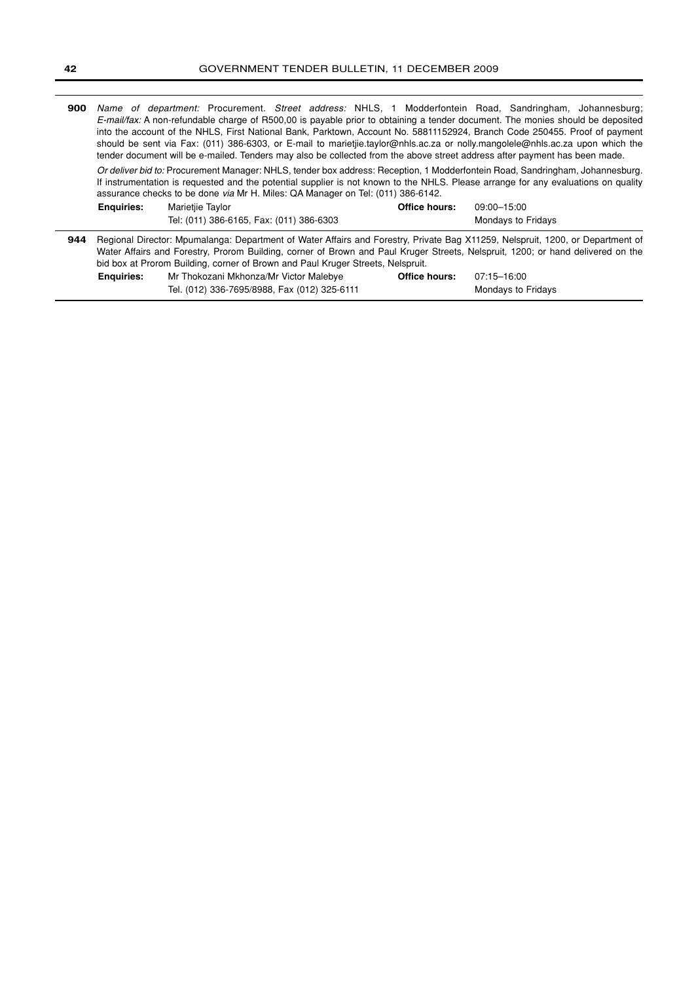**900** *Name of department:* Procurement. *Street address:* NHLS, 1 Modderfontein Road, Sandringham, Johannesburg; *E-mail/fax:* A non-refundable charge of R500,00 is payable prior to obtaining a tender document. The monies should be deposited into the account of the NHLS, First National Bank, Parktown, Account No. 58811152924, Branch Code 250455. Proof of payment should be sent via Fax: (011) 386-6303, or E-mail to marietjie.taylor@nhls.ac.za or nolly.mangolele@nhls.ac.za upon which the tender document will be e-mailed. Tenders may also be collected from the above street address after payment has been made.

*Or deliver bid to:* Procurement Manager: NHLS, tender box address: Reception, 1 Modderfontein Road, Sandringham, Johannesburg. If instrumentation is requested and the potential supplier is not known to the NHLS. Please arrange for any evaluations on quality assurance checks to be done *via* Mr H. Miles: QA Manager on Tel: (011) 386-6142.

|     | <b>Enguiries:</b>                                                                                                                                                                                                                                                 | Marietije Taylor                                                                | <b>Office hours:</b> | 09:00-15:00        |  |
|-----|-------------------------------------------------------------------------------------------------------------------------------------------------------------------------------------------------------------------------------------------------------------------|---------------------------------------------------------------------------------|----------------------|--------------------|--|
|     |                                                                                                                                                                                                                                                                   | Tel: (011) 386-6165, Fax: (011) 386-6303                                        |                      | Mondavs to Fridavs |  |
| 944 | Regional Director: Mpumalanga: Department of Water Affairs and Forestry, Private Bag X11259, Nelspruit, 1200, or Department of<br>Water Affairs and Forestry, Prorom Building, corner of Brown and Paul Kruger Streets, Nelspruit, 1200; or hand delivered on the |                                                                                 |                      |                    |  |
|     |                                                                                                                                                                                                                                                                   |                                                                                 |                      |                    |  |
|     |                                                                                                                                                                                                                                                                   | bid box at Prorom Building, corner of Brown and Paul Kruger Streets, Nelspruit. |                      |                    |  |

| <b>Enguiries:</b> | Mr Thokozani Mkhonza/Mr Victor Malebye       | Office hours: | 07:15-16:00        |  |
|-------------------|----------------------------------------------|---------------|--------------------|--|
|                   | Tel. (012) 336-7695/8988, Fax (012) 325-6111 |               | Mondays to Fridays |  |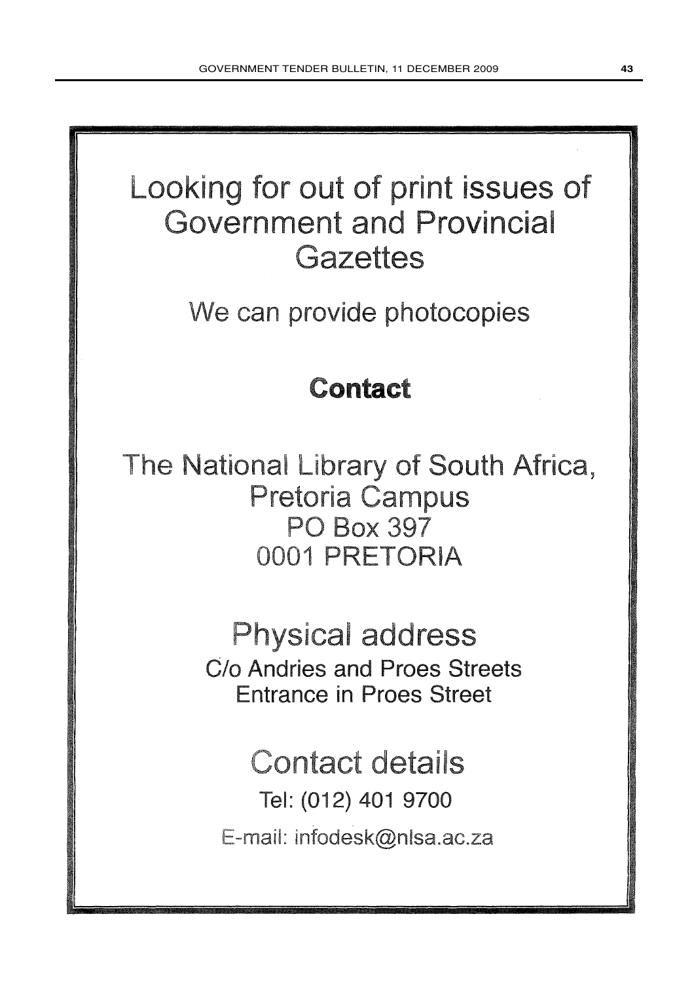

E-mail: infodesk@nlsa.ac.za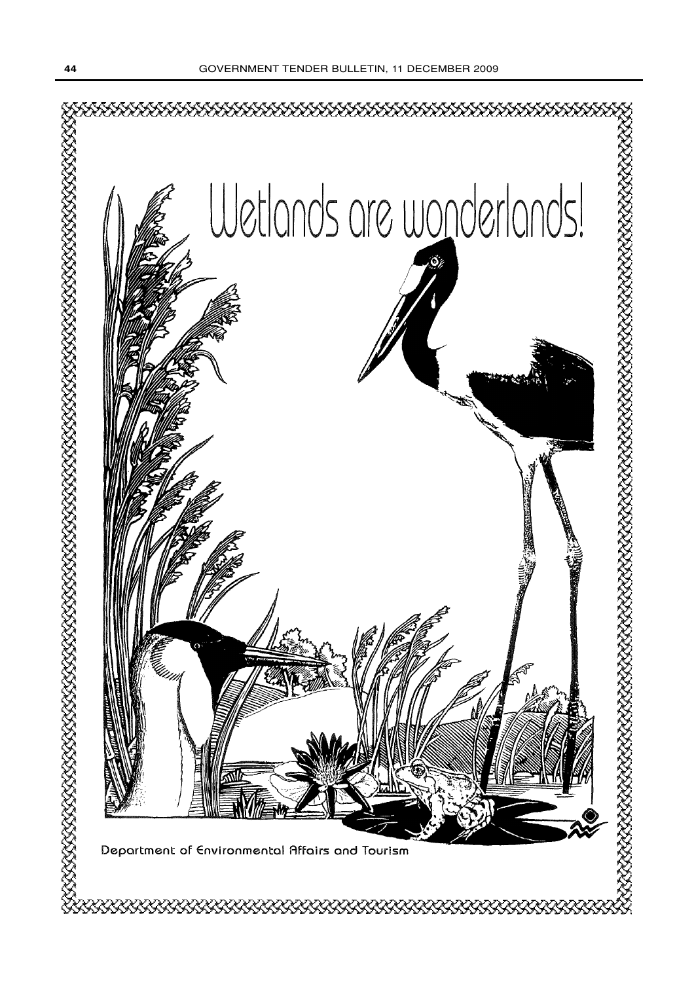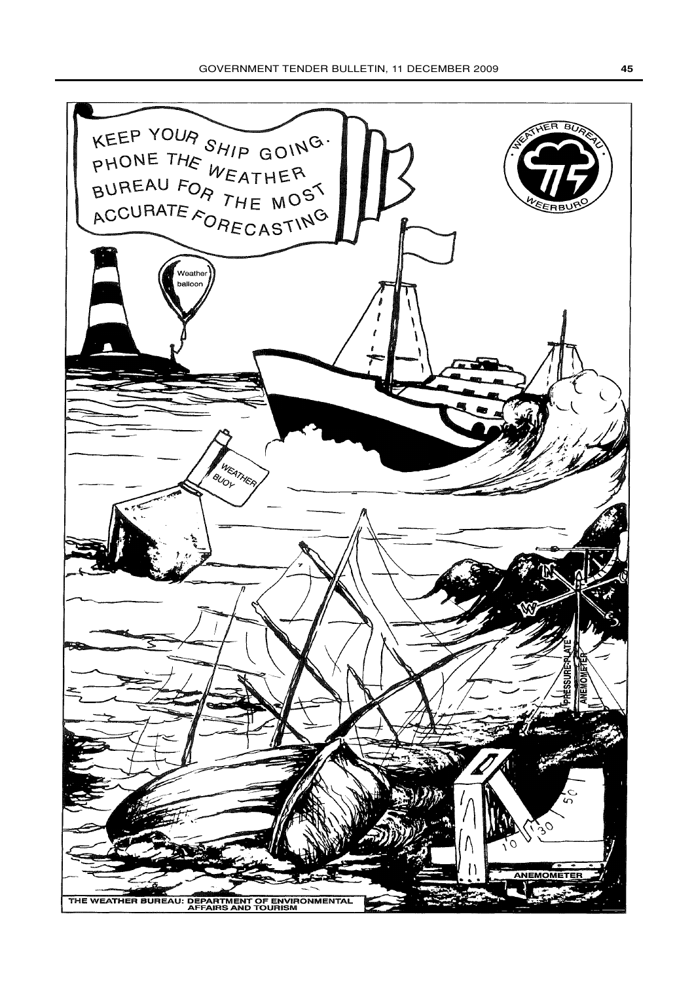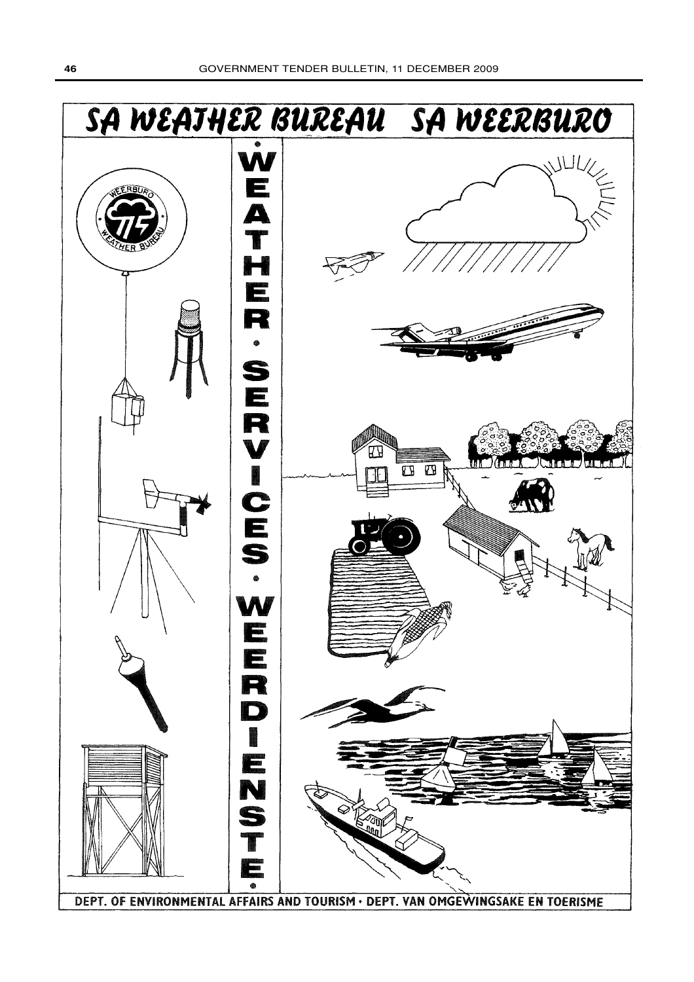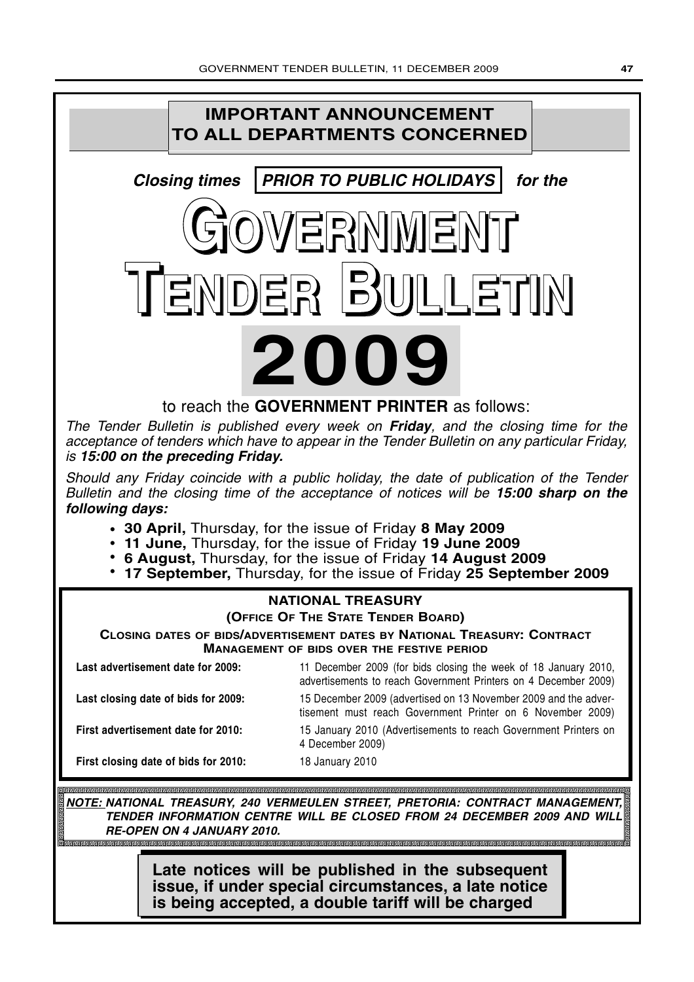### **IMPORTANT ANNOUNCEMENT TO ALL DEPARTMENTS CONCERNED**



*The Tender Bulletin is published every week on* **Friday***, and the closing time for the acceptance of tenders which have to appear in the Tender Bulletin on any particular Friday, is* **15:00 on the preceding Friday.**

*Should any Friday coincide with a public holiday, the date of publication of the Tender Bulletin and the closing time of the acceptance of notices will be* **15:00 sharp on the following days:**

- **30 April,** Thursday, for the issue of Friday **8 May 2009** •
- **11 June,** Thursday, for the issue of Friday **19 June 2009** •
- **6 August,** Thursday, for the issue of Friday **14 August 2009** •
- **17 September,** Thursday, for the issue of Friday **25 September 2009** •

### **NATIONAL TREASURY**

#### **(OFFICE OF THE STATE TENDER BOARD)**

**CLOSING DATES OF BIDS/ADVERTISEMENT DATES BY NATIONAL TREASURY: CONTRACT MANAGEMENT OF BIDS OVER THE FESTIVE PERIOD**

| Last advertisement date for 2009:    | 11 December 2009 (for bids closing the week of 18 January 2010,<br>advertisements to reach Government Printers on 4 December 2009) |
|--------------------------------------|------------------------------------------------------------------------------------------------------------------------------------|
| Last closing date of bids for 2009:  | 15 December 2009 (advertised on 13 November 2009 and the adver-<br>tisement must reach Government Printer on 6 November 2009)      |
| First advertisement date for 2010:   | 15 January 2010 (Advertisements to reach Government Printers on<br>4 December 2009)                                                |
| First closing date of bids for 2010: | 18 January 2010                                                                                                                    |

**NOTE: NATIONAL TREASURY, 240 VERMEULEN STREET, PRETORIA: CONTRACT MANAGEMENT, TENDER INFORMATION CENTRE WILL BE CLOSED FROM 24 DECEMBER 2009 AND WILL RE-OPEN ON 4 JANUARY 2010.**

**Late notices will be published in the subsequent issue, if under special circumstances, a late notice is being accepted, a double tariff will be charged**